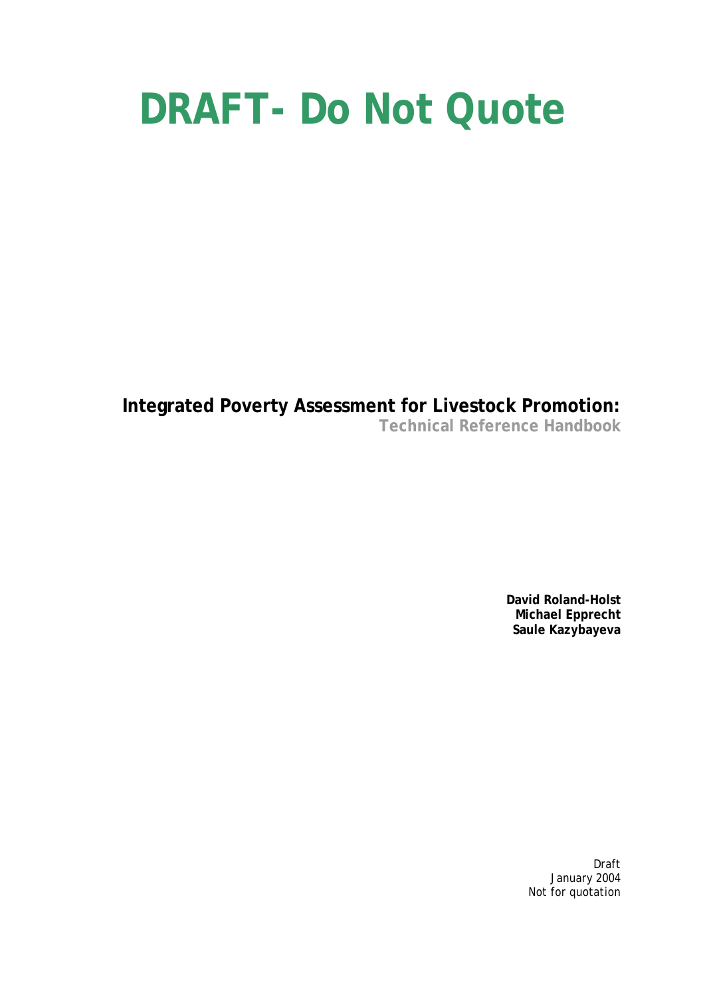# **DRAFT- Do Not Quote**

**Integrated Poverty Assessment for Livestock Promotion: Technical Reference Handbook** 

> **David Roland-Holst Michael Epprecht Saule Kazybayeva**

> > Draft January 2004 Not for quotation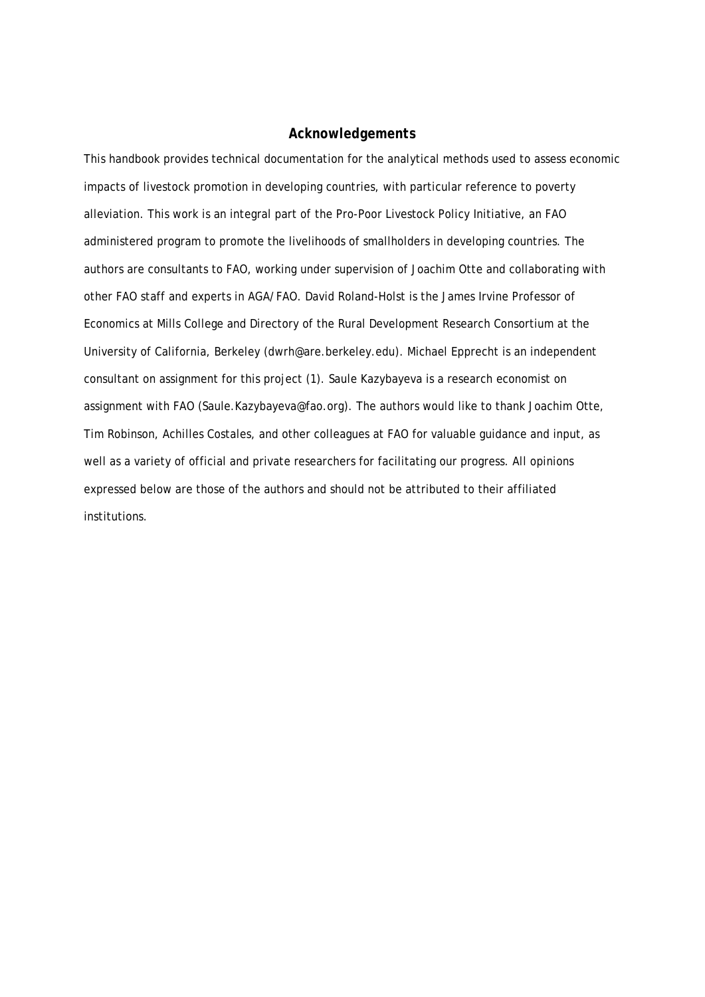#### *Acknowledgements*

This handbook provides technical documentation for the analytical methods used to assess economic impacts of livestock promotion in developing countries, with particular reference to poverty alleviation. This work is an integral part of the Pro-Poor Livestock Policy Initiative, an FAO administered program to promote the livelihoods of smallholders in developing countries. The authors are consultants to FAO, working under supervision of Joachim Otte and collaborating with other FAO staff and experts in AGA/FAO. David Roland-Holst is the James Irvine Professor of Economics at Mills College and Directory of the Rural Development Research Consortium at the University of California, Berkeley (dwrh@are.berkeley.edu). Michael Epprecht is an independent consultant on assignment for this project (1). Saule Kazybayeva is a research economist on assignment with FAO (Saule.Kazybayeva@fao.org). The authors would like to thank Joachim Otte, Tim Robinson, Achilles Costales, and other colleagues at FAO for valuable guidance and input, as well as a variety of official and private researchers for facilitating our progress. All opinions expressed below are those of the authors and should not be attributed to their affiliated institutions.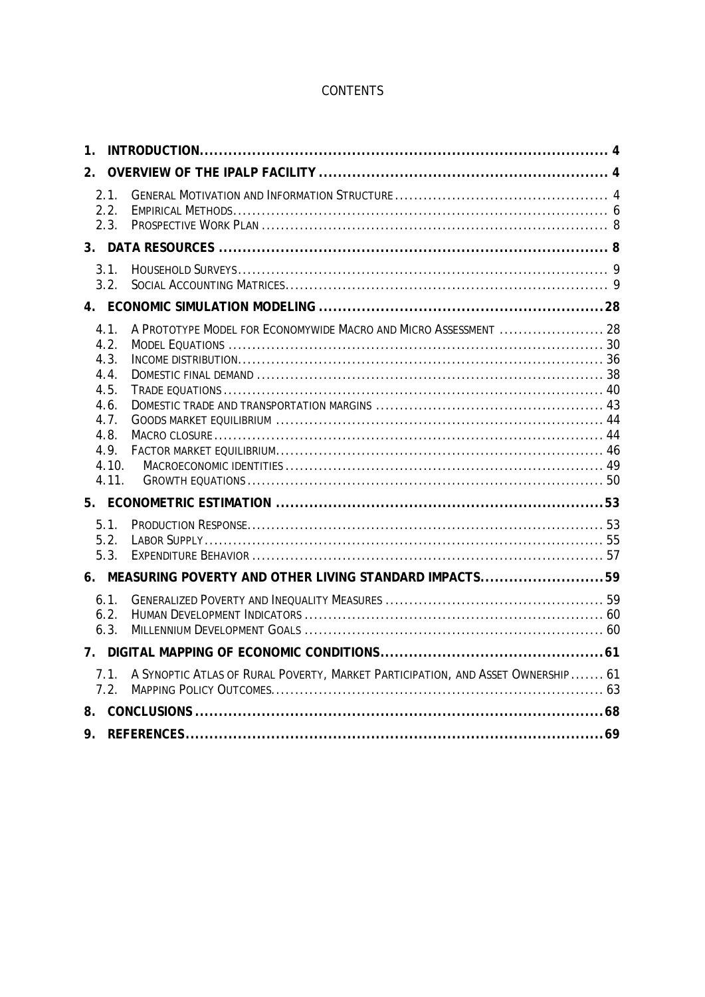# **CONTENTS**

| $\mathbf 1$ .                                                                          |                                                                                  |  |
|----------------------------------------------------------------------------------------|----------------------------------------------------------------------------------|--|
| 2 <sub>1</sub>                                                                         |                                                                                  |  |
| 2.1.<br>2.2.<br>2.3.                                                                   |                                                                                  |  |
|                                                                                        |                                                                                  |  |
| 3.1.<br>3.2.                                                                           |                                                                                  |  |
|                                                                                        |                                                                                  |  |
| 4.1.<br>4.2.<br>4.3.<br>4.4.<br>4.5.<br>4.6.<br>4.7.<br>4.8.<br>4.9.<br>4.10.<br>4.11. | A PROTOTYPE MODEL FOR ECONOMYWIDE MACRO AND MICRO ASSESSMENT  28                 |  |
| 5.1.<br>5.2.<br>5.3.                                                                   |                                                                                  |  |
|                                                                                        | 6. MEASURING POVERTY AND OTHER LIVING STANDARD IMPACTS59                         |  |
| 6.1.<br>6.2.<br>6.3.                                                                   |                                                                                  |  |
|                                                                                        |                                                                                  |  |
| 7.1.<br>7.2                                                                            | A SYNOPTIC ATLAS OF RURAL POVERTY, MARKET PARTICIPATION, AND ASSET OWNERSHIP  61 |  |
|                                                                                        |                                                                                  |  |
| 9.                                                                                     |                                                                                  |  |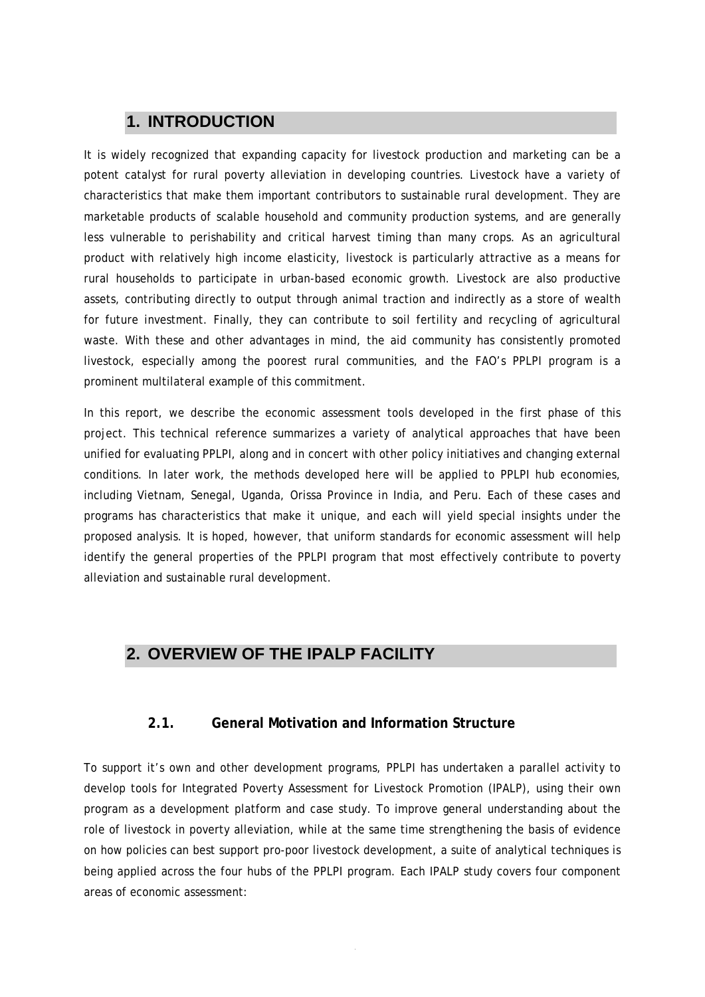# <span id="page-3-0"></span>**1. INTRODUCTION**

It is widely recognized that expanding capacity for livestock production and marketing can be a potent catalyst for rural poverty alleviation in developing countries. Livestock have a variety of characteristics that make them important contributors to sustainable rural development. They are marketable products of scalable household and community production systems, and are generally less vulnerable to perishability and critical harvest timing than many crops. As an agricultural product with relatively high income elasticity, livestock is particularly attractive as a means for rural households to participate in urban-based economic growth. Livestock are also productive assets, contributing directly to output through animal traction and indirectly as a store of wealth for future investment. Finally, they can contribute to soil fertility and recycling of agricultural waste. With these and other advantages in mind, the aid community has consistently promoted livestock, especially among the poorest rural communities, and the FAO's PPLPI program is a prominent multilateral example of this commitment.

In this report, we describe the economic assessment tools developed in the first phase of this project. This technical reference summarizes a variety of analytical approaches that have been unified for evaluating PPLPI, along and in concert with other policy initiatives and changing external conditions. In later work, the methods developed here will be applied to PPLPI hub economies, including Vietnam, Senegal, Uganda, Orissa Province in India, and Peru. Each of these cases and programs has characteristics that make it unique, and each will yield special insights under the proposed analysis. It is hoped, however, that uniform standards for economic assessment will help identify the general properties of the PPLPI program that most effectively contribute to poverty alleviation and sustainable rural development.

# **2. OVERVIEW OF THE IPALP FACILITY**

# **2.1. General Motivation and Information Structure**

To support it's own and other development programs, PPLPI has undertaken a parallel activity to develop tools for Integrated Poverty Assessment for Livestock Promotion (IPALP), using their own program as a development platform and case study. To improve general understanding about the role of livestock in poverty alleviation, while at the same time strengthening the basis of evidence on how policies can best support pro-poor livestock development, a suite of analytical techniques is being applied across the four hubs of the PPLPI program. Each IPALP study covers four component areas of economic assessment: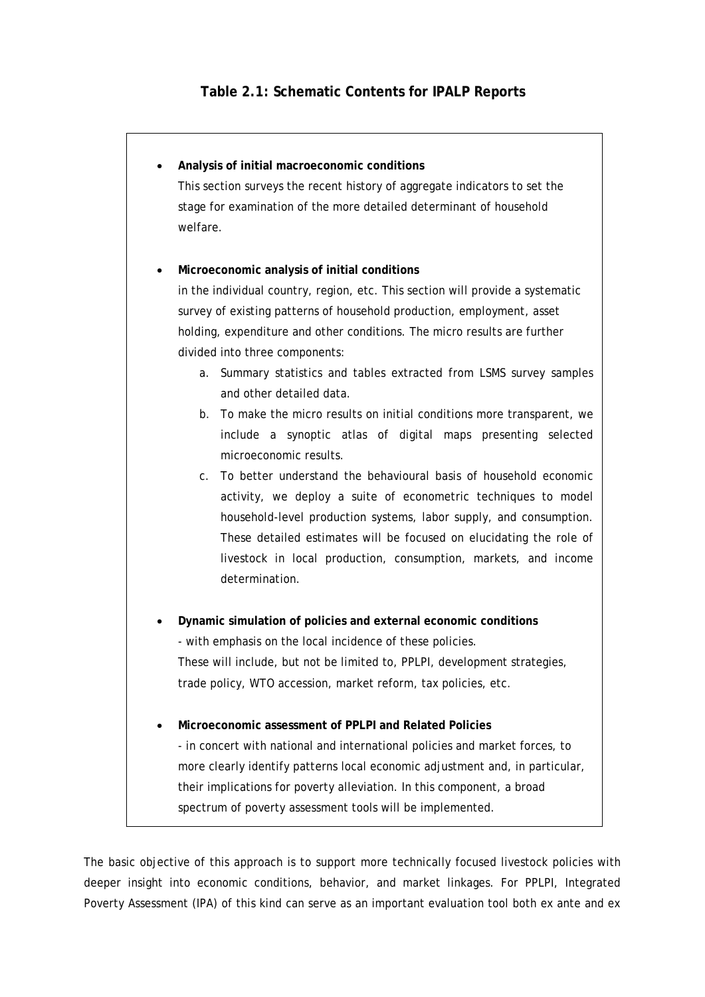| Analysis of initial macroeconomic conditions                                   |
|--------------------------------------------------------------------------------|
| This section surveys the recent history of aggregate indicators to set the     |
| stage for examination of the more detailed determinant of household            |
| welfare.                                                                       |
|                                                                                |
| Microeconomic analysis of initial conditions                                   |
| in the individual country, region, etc. This section will provide a systematic |
| survey of existing patterns of household production, employment, asset         |
| holding, expenditure and other conditions. The micro results are further       |
| divided into three components:                                                 |
| Summary statistics and tables extracted from LSMS survey samples<br>a.         |
| and other detailed data.                                                       |
| To make the micro results on initial conditions more transparent, we<br>b.     |
| include a synoptic atlas of digital maps presenting selected                   |
| microeconomic results.                                                         |
| To better understand the behavioural basis of household economic<br>C.         |
| activity, we deploy a suite of econometric techniques to model                 |
| household-level production systems, labor supply, and consumption.             |
| These detailed estimates will be focused on elucidating the role of            |
| livestock in local production, consumption, markets, and income                |
| determination.                                                                 |
|                                                                                |
| Dynamic simulation of policies and external economic conditions                |
| - with emphasis on the local incidence of these policies.                      |
| These will include, but not be limited to, PPLPI, development strategies,      |
| trade policy, WTO accession, market reform, tax policies, etc.                 |
| Microeconomic assessment of PPLPI and Related Policies                         |
| - in concert with national and international policies and market forces, to    |
| more clearly identify patterns local economic adjustment and, in particular,   |
| their implications for poverty alleviation. In this component, a broad         |

The basic objective of this approach is to support more technically focused livestock policies with deeper insight into economic conditions, behavior, and market linkages. For PPLPI, Integrated Poverty Assessment (IPA) of this kind can serve as an important evaluation tool both ex ante and ex

spectrum of poverty assessment tools will be implemented.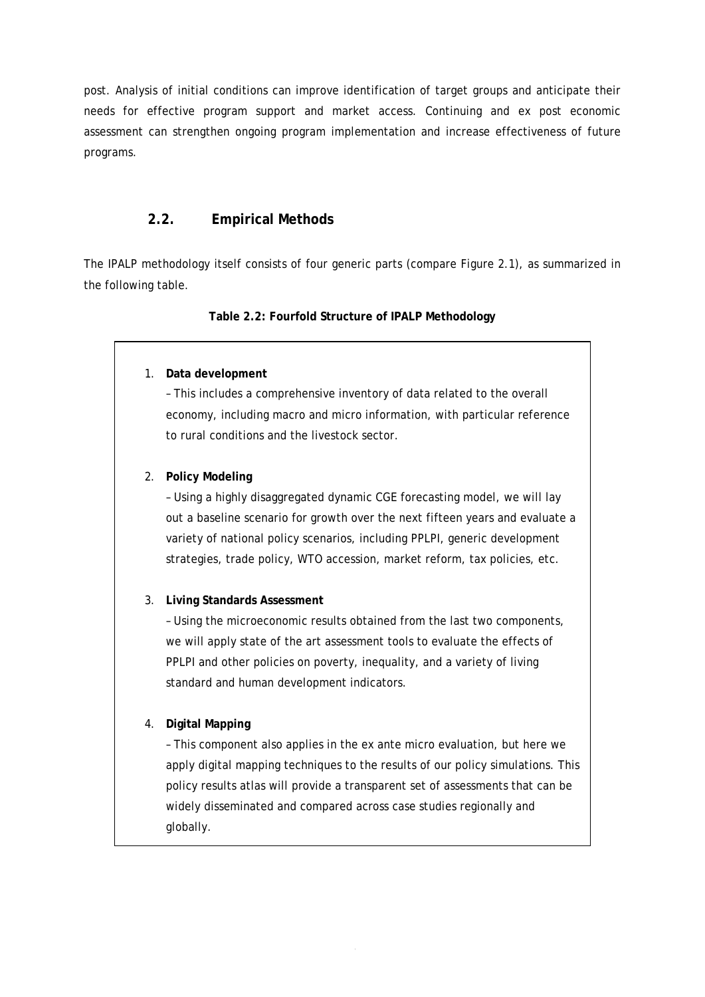<span id="page-5-0"></span>post. Analysis of initial conditions can improve identification of target groups and anticipate their needs for effective program support and market access. Continuing and ex post economic assessment can strengthen ongoing program implementation and increase effectiveness of future programs.

## **2.2. Empirical Methods**

The IPALP methodology itself consists of four generic parts (compare Figure 2.1), as summarized in the following table.

#### **Table 2.2: Fourfold Structure of IPALP Methodology**

#### 1. **Data development**

– This includes a comprehensive inventory of data related to the overall economy, including macro and micro information, with particular reference to rural conditions and the livestock sector.

#### 2. **Policy Modeling**

– Using a highly disaggregated dynamic CGE forecasting model, we will lay out a baseline scenario for growth over the next fifteen years and evaluate a variety of national policy scenarios, including PPLPI, generic development strategies, trade policy, WTO accession, market reform, tax policies, etc.

#### 3. **Living Standards Assessment**

– Using the microeconomic results obtained from the last two components, we will apply state of the art assessment tools to evaluate the effects of PPLPI and other policies on poverty, inequality, and a variety of living standard and human development indicators.

#### 4. **Digital Mapping**

– This component also applies in the ex ante micro evaluation, but here we apply digital mapping techniques to the results of our policy simulations. This policy results atlas will provide a transparent set of assessments that can be widely disseminated and compared across case studies regionally and globally.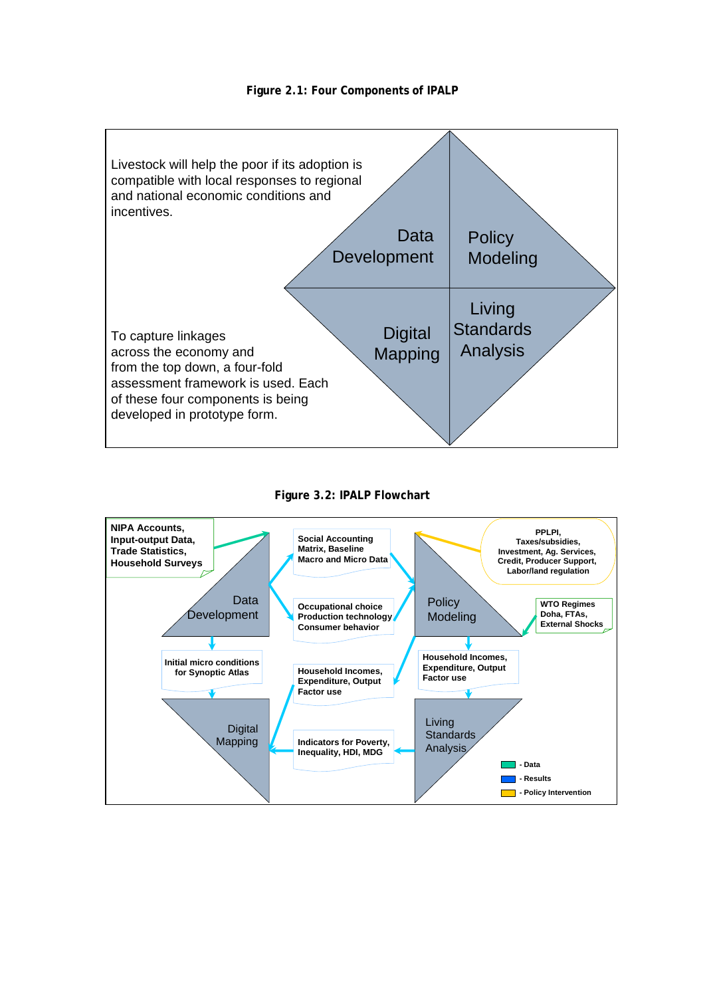



#### **Figure 3.2: IPALP Flowchart**

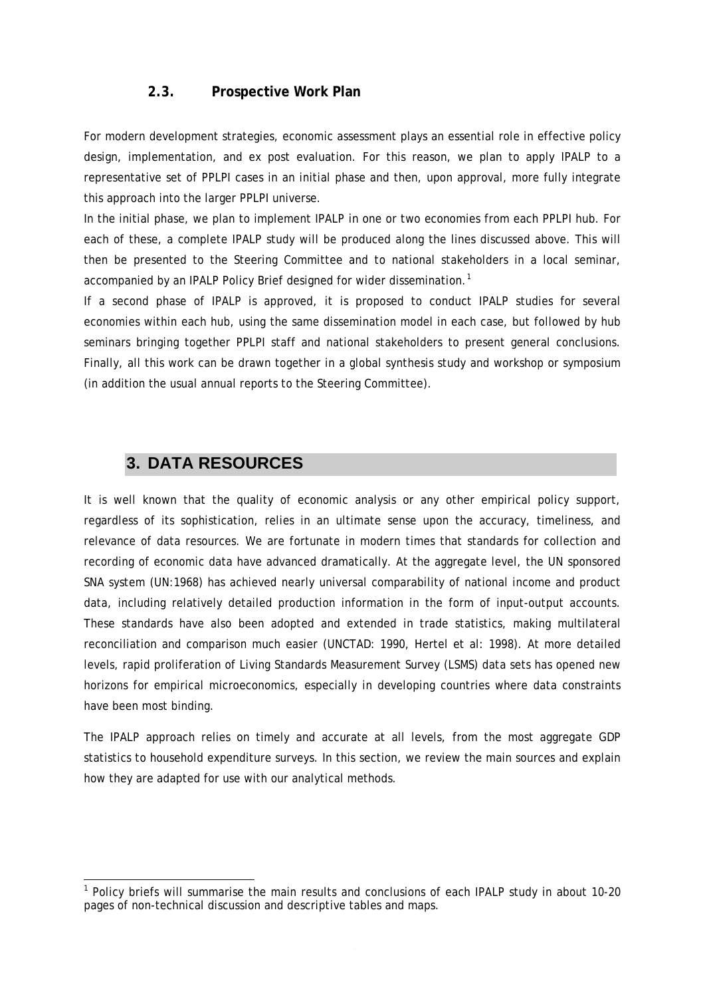#### **2.3. Prospective Work Plan**

<span id="page-7-0"></span>For modern development strategies, economic assessment plays an essential role in effective policy design, implementation, and ex post evaluation. For this reason, we plan to apply IPALP to a representative set of PPLPI cases in an initial phase and then, upon approval, more fully integrate this approach into the larger PPLPI universe.

In the initial phase, we plan to implement IPALP in one or two economies from each PPLPI hub. For each of these, a complete IPALP study will be produced along the lines discussed above. This will then be presented to the Steering Committee and to national stakeholders in a local seminar, accompanied by an IPALP Policy Brief designed for wider dissemination.<sup>[1](#page-7-1)</sup>

If a second phase of IPALP is approved, it is proposed to conduct IPALP studies for several economies within each hub, using the same dissemination model in each case, but followed by hub seminars bringing together PPLPI staff and national stakeholders to present general conclusions. Finally, all this work can be drawn together in a global synthesis study and workshop or symposium (in addition the usual annual reports to the Steering Committee).

# **3. DATA RESOURCES**

-

It is well known that the quality of economic analysis or any other empirical policy support, regardless of its sophistication, relies in an ultimate sense upon the accuracy, timeliness, and relevance of data resources. We are fortunate in modern times that standards for collection and recording of economic data have advanced dramatically. At the aggregate level, the UN sponsored SNA system (UN:1968) has achieved nearly universal comparability of national income and product data, including relatively detailed production information in the form of input-output accounts. These standards have also been adopted and extended in trade statistics, making multilateral reconciliation and comparison much easier (UNCTAD: 1990, Hertel et al: 1998). At more detailed levels, rapid proliferation of Living Standards Measurement Survey (LSMS) data sets has opened new horizons for empirical microeconomics, especially in developing countries where data constraints have been most binding.

The IPALP approach relies on timely and accurate at all levels, from the most aggregate GDP statistics to household expenditure surveys. In this section, we review the main sources and explain how they are adapted for use with our analytical methods.

<span id="page-7-1"></span><sup>&</sup>lt;sup>1</sup> Policy briefs will summarise the main results and conclusions of each IPALP study in about 10-20 pages of non-technical discussion and descriptive tables and maps.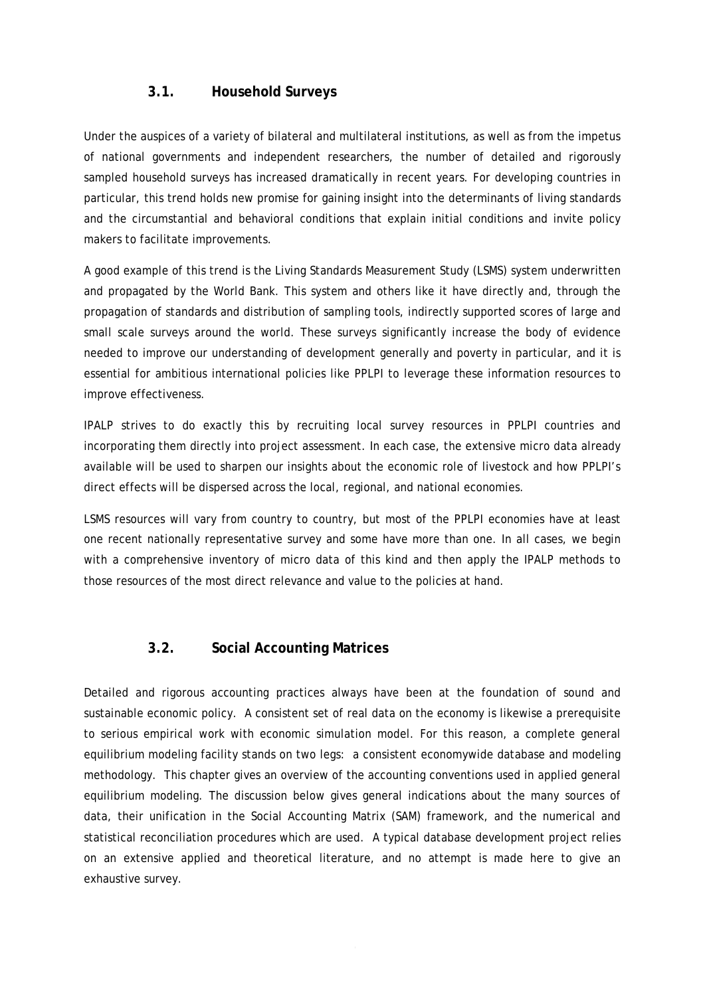#### **3.1. Household Surveys**

<span id="page-8-0"></span>Under the auspices of a variety of bilateral and multilateral institutions, as well as from the impetus of national governments and independent researchers, the number of detailed and rigorously sampled household surveys has increased dramatically in recent years. For developing countries in particular, this trend holds new promise for gaining insight into the determinants of living standards and the circumstantial and behavioral conditions that explain initial conditions and invite policy makers to facilitate improvements.

A good example of this trend is the Living Standards Measurement Study (LSMS) system underwritten and propagated by the World Bank. This system and others like it have directly and, through the propagation of standards and distribution of sampling tools, indirectly supported scores of large and small scale surveys around the world. These surveys significantly increase the body of evidence needed to improve our understanding of development generally and poverty in particular, and it is essential for ambitious international policies like PPLPI to leverage these information resources to improve effectiveness.

IPALP strives to do exactly this by recruiting local survey resources in PPLPI countries and incorporating them directly into project assessment. In each case, the extensive micro data already available will be used to sharpen our insights about the economic role of livestock and how PPLPI's direct effects will be dispersed across the local, regional, and national economies.

LSMS resources will vary from country to country, but most of the PPLPI economies have at least one recent nationally representative survey and some have more than one. In all cases, we begin with a comprehensive inventory of micro data of this kind and then apply the IPALP methods to those resources of the most direct relevance and value to the policies at hand.

# **3.2. Social Accounting Matrices**

Detailed and rigorous accounting practices always have been at the foundation of sound and sustainable economic policy. A consistent set of real data on the economy is likewise a prerequisite to serious empirical work with economic simulation model. For this reason, a complete general equilibrium modeling facility stands on two legs: a consistent economywide database and modeling methodology. This chapter gives an overview of the accounting conventions used in applied general equilibrium modeling. The discussion below gives general indications about the many sources of data, their unification in the Social Accounting Matrix (SAM) framework, and the numerical and statistical reconciliation procedures which are used. A typical database development project relies on an extensive applied and theoretical literature, and no attempt is made here to give an exhaustive survey.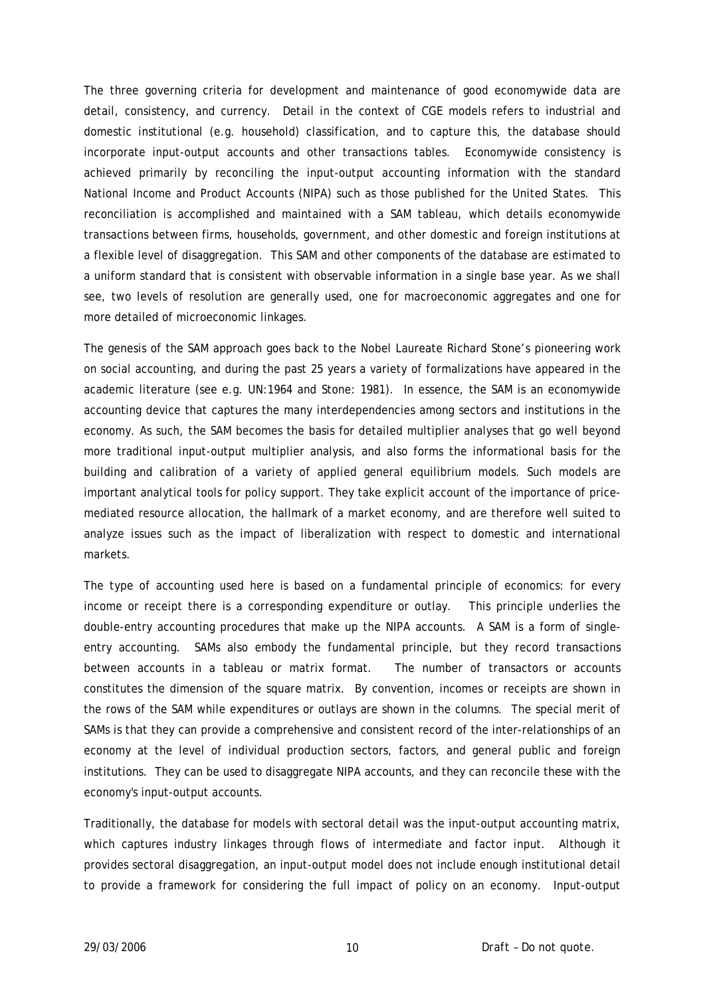The three governing criteria for development and maintenance of good economywide data are detail, consistency, and currency. Detail in the context of CGE models refers to industrial and domestic institutional (e.g. household) classification, and to capture this, the database should incorporate input-output accounts and other transactions tables. Economywide consistency is achieved primarily by reconciling the input-output accounting information with the standard National Income and Product Accounts (NIPA) such as those published for the United States. This reconciliation is accomplished and maintained with a SAM tableau, which details economywide transactions between firms, households, government, and other domestic and foreign institutions at a flexible level of disaggregation. This SAM and other components of the database are estimated to a uniform standard that is consistent with observable information in a single base year. As we shall see, two levels of resolution are generally used, one for macroeconomic aggregates and one for more detailed of microeconomic linkages.

The genesis of the SAM approach goes back to the Nobel Laureate Richard Stone's pioneering work on social accounting, and during the past 25 years a variety of formalizations have appeared in the academic literature (see e.g. UN:1964 and Stone: 1981). In essence, the SAM is an economywide accounting device that captures the many interdependencies among sectors and institutions in the economy. As such, the SAM becomes the basis for detailed multiplier analyses that go well beyond more traditional input-output multiplier analysis, and also forms the informational basis for the building and calibration of a variety of applied general equilibrium models. Such models are important analytical tools for policy support. They take explicit account of the importance of pricemediated resource allocation, the hallmark of a market economy, and are therefore well suited to analyze issues such as the impact of liberalization with respect to domestic and international markets.

The type of accounting used here is based on a fundamental principle of economics: for every income or receipt there is a corresponding expenditure or outlay. This principle underlies the double-entry accounting procedures that make up the NIPA accounts. A SAM is a form of singleentry accounting. SAMs also embody the fundamental principle, but they record transactions between accounts in a tableau or matrix format. The number of transactors or accounts constitutes the dimension of the square matrix. By convention, incomes or receipts are shown in the rows of the SAM while expenditures or outlays are shown in the columns. The special merit of SAMs is that they can provide a comprehensive and consistent record of the inter-relationships of an economy at the level of individual production sectors, factors, and general public and foreign institutions. They can be used to disaggregate NIPA accounts, and they can reconcile these with the economy's input-output accounts.

Traditionally, the database for models with sectoral detail was the input-output accounting matrix, which captures industry linkages through flows of intermediate and factor input. Although it provides sectoral disaggregation, an input-output model does not include enough institutional detail to provide a framework for considering the full impact of policy on an economy. Input-output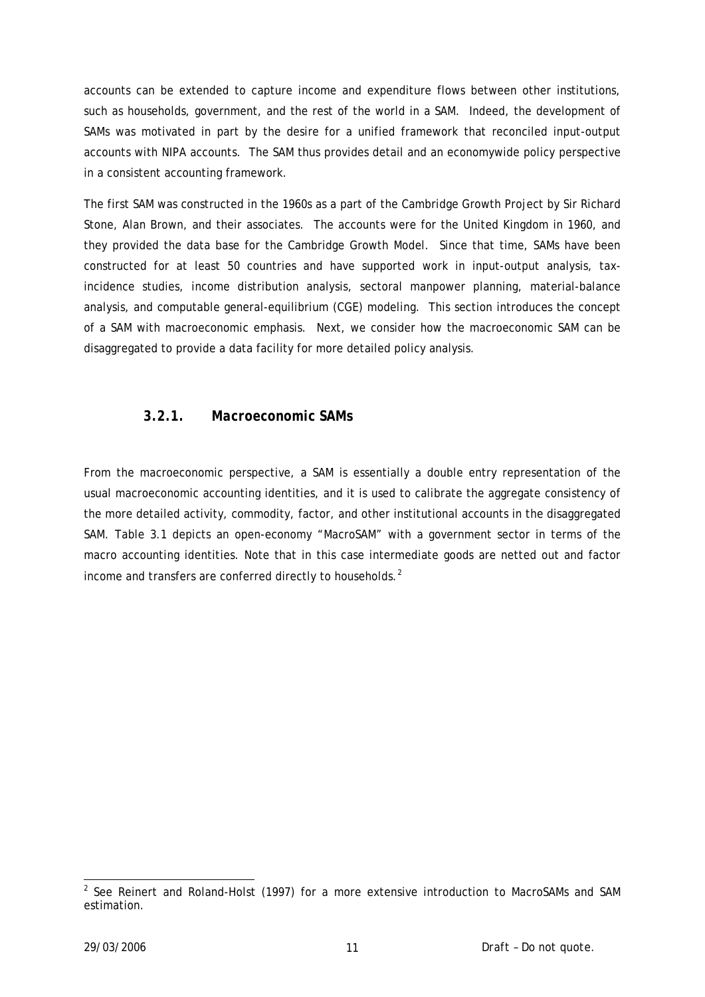accounts can be extended to capture income and expenditure flows between other institutions, such as households, government, and the rest of the world in a SAM. Indeed, the development of SAMs was motivated in part by the desire for a unified framework that reconciled input-output accounts with NIPA accounts. The SAM thus provides detail and an economywide policy perspective in a consistent accounting framework.

The first SAM was constructed in the 1960s as a part of the Cambridge Growth Project by Sir Richard Stone, Alan Brown, and their associates. The accounts were for the United Kingdom in 1960, and they provided the data base for the Cambridge Growth Model. Since that time, SAMs have been constructed for at least 50 countries and have supported work in input-output analysis, taxincidence studies, income distribution analysis, sectoral manpower planning, material-balance analysis, and computable general-equilibrium (CGE) modeling. This section introduces the concept of a SAM with macroeconomic emphasis. Next, we consider how the macroeconomic SAM can be disaggregated to provide a data facility for more detailed policy analysis.

#### *3.2.1. Macroeconomic SAMs*

From the macroeconomic perspective, a SAM is essentially a double entry representation of the usual macroeconomic accounting identities, and it is used to calibrate the aggregate consistency of the more detailed activity, commodity, factor, and other institutional accounts in the disaggregated SAM. Table 3.1 depicts an open-economy "MacroSAM" with a government sector in terms of the macro accounting identities. Note that in this case intermediate goods are netted out and factor income and transfers are conferred directly to households.<sup>[2](#page-10-0)</sup>

<span id="page-10-0"></span> 2 See Reinert and Roland-Holst (1997) for a more extensive introduction to MacroSAMs and SAM estimation.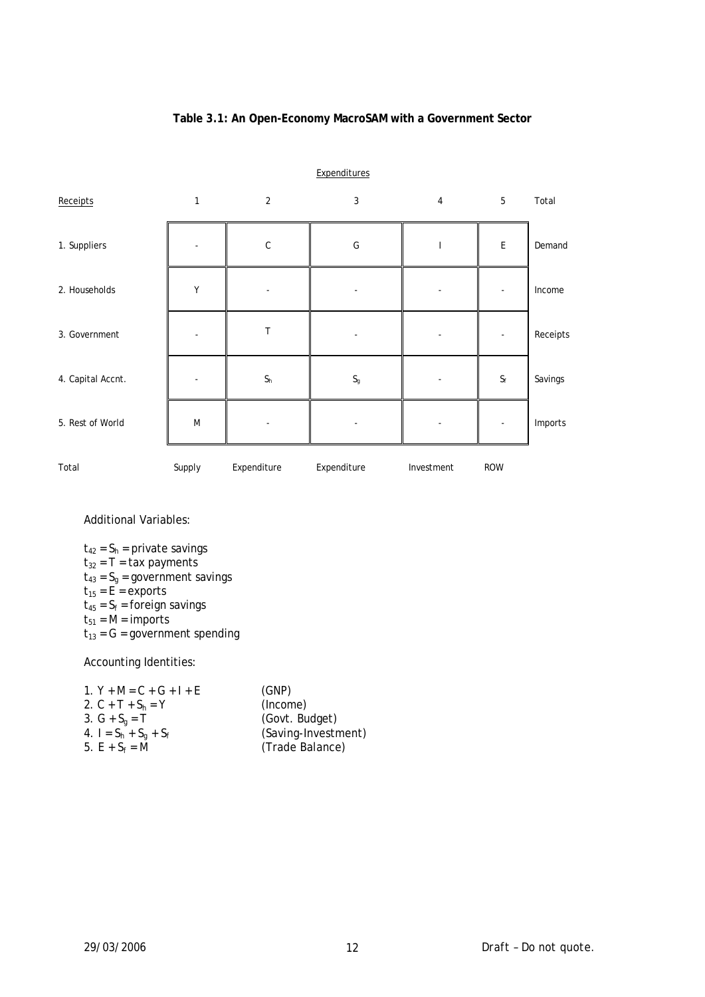#### **Table 3.1: An Open-Economy MacroSAM with a Government Sector**

|                   |              |             | Expenditures              |                |                           |          |
|-------------------|--------------|-------------|---------------------------|----------------|---------------------------|----------|
| Receipts          | $\mathbf{1}$ | 2           | 3                         | $\overline{4}$ | 5                         | Total    |
| 1. Suppliers      |              | $\mathsf C$ | G                         | J.             | $\mathsf E$               | Demand   |
| 2. Households     | Υ            |             |                           |                |                           | Income   |
| 3. Government     |              | T           |                           |                |                           | Receipts |
| 4. Capital Accnt. |              | $S_h$       | $\mathsf{S}_{\mathsf{g}}$ |                | $\mathsf{S}_{\mathsf{f}}$ | Savings  |
| 5. Rest of World  | M            |             |                           |                |                           | Imports  |
| Total             | Supply       | Expenditure | Expenditure               | Investment     | <b>ROW</b>                |          |

Additional Variables:

 $t_{42} = S_h =$  private savings  $t_{32}$  = T = tax payments  $t_{43} = S_g =$  government savings  $t_{15}$  = E = exports  $t_{45} = S_f =$  foreign savings  $t_{51}$  = M = imports  $t_{13} = G =$  government spending

Accounting Identities:

| (GNP)               |
|---------------------|
| (Income)            |
| (Govt. Budget)      |
| (Saving-Investment) |
| (Trade Balance)     |
|                     |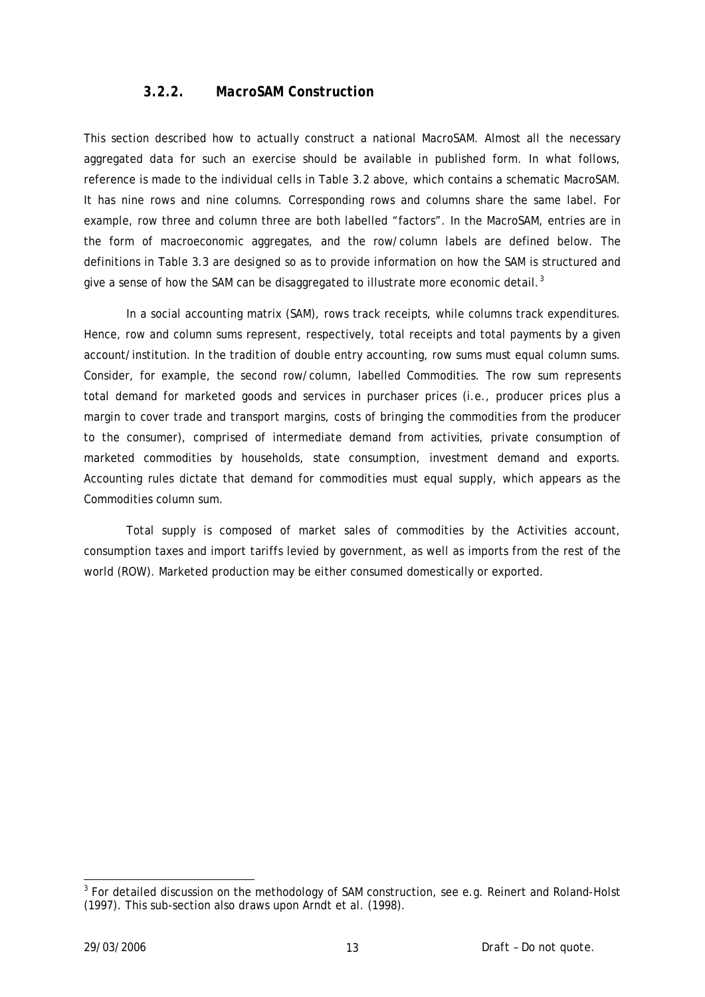## *3.2.2. MacroSAM Construction*

This section described how to actually construct a national MacroSAM. Almost all the necessary aggregated data for such an exercise should be available in published form. In what follows, reference is made to the individual cells in Table 3.2 above, which contains a schematic MacroSAM. It has nine rows and nine columns. Corresponding rows and columns share the same label. For example, row three and column three are both labelled "factors". In the MacroSAM, entries are in the form of macroeconomic aggregates, and the row/column labels are defined below. The definitions in Table 3.3 are designed so as to provide information on how the SAM is structured and give a sense of how the SAM can be disaggregated to illustrate more economic detail. $3$ 

 In a social accounting matrix (SAM), rows track receipts, while columns track expenditures. Hence, row and column sums represent, respectively, total receipts and total payments by a given account/institution. In the tradition of double entry accounting, row sums must equal column sums. Consider, for example, the second row/column, labelled Commodities. The row sum represents total demand for marketed goods and services in purchaser prices (i.e., producer prices plus a margin to cover trade and transport margins, costs of bringing the commodities from the producer to the consumer), comprised of intermediate demand from activities, private consumption of marketed commodities by households, state consumption, investment demand and exports. Accounting rules dictate that demand for commodities must equal supply, which appears as the Commodities column sum.

 Total supply is composed of market sales of commodities by the Activities account, consumption taxes and import tariffs levied by government, as well as imports from the rest of the world (ROW). Marketed production may be either consumed domestically or exported.

<span id="page-12-0"></span><sup>-</sup> $3$  For detailed discussion on the methodology of SAM construction, see e.g. Reinert and Roland-Holst (1997). This sub-section also draws upon Arndt et al. (1998).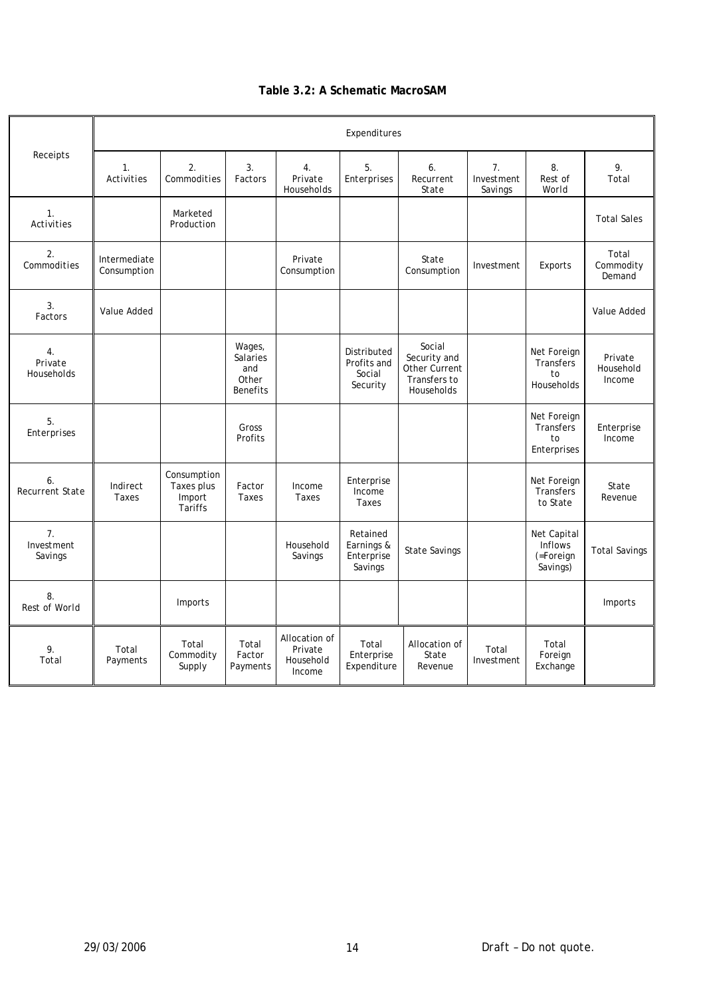#### **Table 3.2: A Schematic MacroSAM**

|                                           | Expenditures                  |                                                       |                                                              |                                                 |                                                  |                                                                       |                             |                                                 |                                |
|-------------------------------------------|-------------------------------|-------------------------------------------------------|--------------------------------------------------------------|-------------------------------------------------|--------------------------------------------------|-----------------------------------------------------------------------|-----------------------------|-------------------------------------------------|--------------------------------|
| Receipts                                  | $\mathcal{I}$ .<br>Activities | $\mathfrak{2}$ .<br>Commodities                       | 3.<br>Factors                                                | $\overline{4}$ .<br>Private<br>Households       | 5.<br>Enterprises                                | 6.<br>Recurrent<br>State                                              | 7.<br>Investment<br>Savings | 8.<br>Rest of<br>World                          | 9.<br>Total                    |
| $\mathcal{I}$ .<br>Activities             |                               | Marketed<br>Production                                |                                                              |                                                 |                                                  |                                                                       |                             |                                                 | <b>Total Sales</b>             |
| 2.<br>Commodities                         | Intermediate<br>Consumption   |                                                       |                                                              | Private<br>Consumption                          |                                                  | State<br>Consumption                                                  | Investment                  | Exports                                         | Total<br>Commodity<br>Demand   |
| 3.<br>Factors                             | Value Added                   |                                                       |                                                              |                                                 |                                                  |                                                                       |                             |                                                 | Value Added                    |
| $\overline{4}$ .<br>Private<br>Households |                               |                                                       | Wages,<br><b>Salaries</b><br>and<br>Other<br><b>Benefits</b> |                                                 | Distributed<br>Profits and<br>Social<br>Security | Social<br>Security and<br>Other Current<br>Transfers to<br>Households |                             | Net Foreign<br>Transfers<br>to<br>Households    | Private<br>Household<br>Income |
| 5.<br>Enterprises                         |                               |                                                       | Gross<br>Profits                                             |                                                 |                                                  |                                                                       |                             | Net Foreign<br>Transfers<br>to<br>Enterprises   | Enterprise<br>Income           |
| 6.<br>Recurrent State                     | Indirect<br>Taxes             | Consumption<br>Taxes plus<br>Import<br><b>Tariffs</b> | Factor<br><b>Taxes</b>                                       | Income<br>Taxes                                 | Enterprise<br>Income<br>Taxes                    |                                                                       |                             | Net Foreign<br>Transfers<br>to State            | State<br>Revenue               |
| $\overline{7}$ .<br>Investment<br>Savings |                               |                                                       |                                                              | Household<br>Savings                            | Retained<br>Earnings &<br>Enterprise<br>Savings  | <b>State Savings</b>                                                  |                             | Net Capital<br>Inflows<br>(=Foreign<br>Savings) | <b>Total Savings</b>           |
| 8.<br>Rest of World                       |                               | Imports                                               |                                                              |                                                 |                                                  |                                                                       |                             |                                                 | Imports                        |
| 9.<br>Total                               | Total<br>Payments             | Total<br>Commodity<br>Supply                          | Total<br>Factor<br>Payments                                  | Allocation of<br>Private<br>Household<br>Income | Total<br>Enterprise<br>Expenditure               | Allocation of<br>State<br>Revenue                                     | Total<br>Investment         | Total<br>Foreign<br>Exchange                    |                                |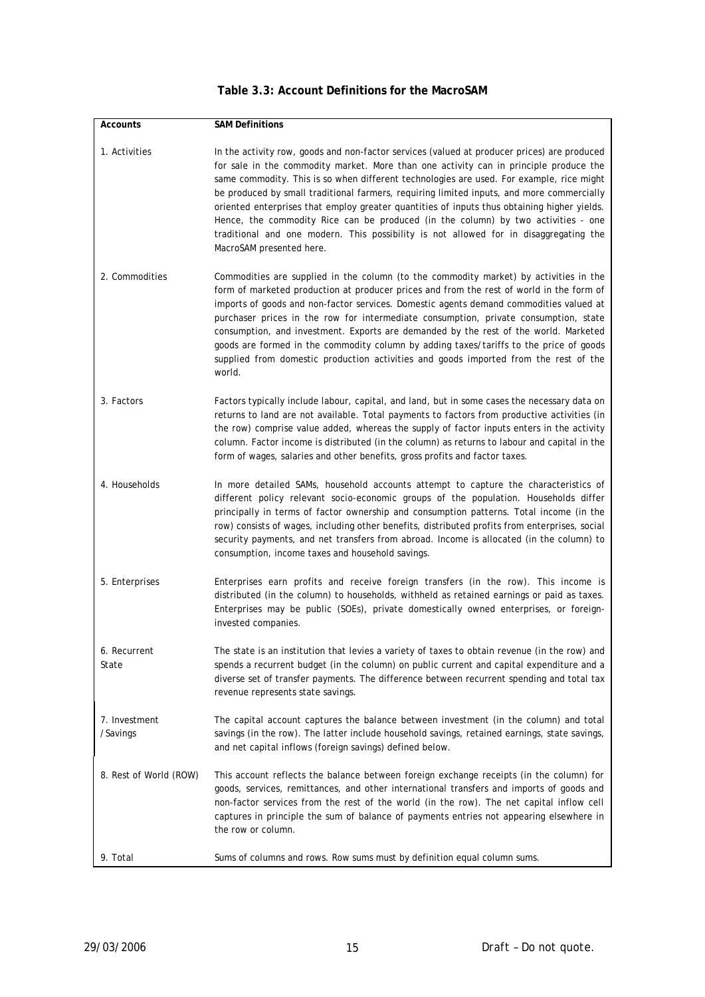| <b>Accounts</b>           | <b>SAM Definitions</b>                                                                                                                                                                                                                                                                                                                                                                                                                                                                                                                                                                                                                                                                 |
|---------------------------|----------------------------------------------------------------------------------------------------------------------------------------------------------------------------------------------------------------------------------------------------------------------------------------------------------------------------------------------------------------------------------------------------------------------------------------------------------------------------------------------------------------------------------------------------------------------------------------------------------------------------------------------------------------------------------------|
| 1. Activities             | In the activity row, goods and non-factor services (valued at producer prices) are produced<br>for sale in the commodity market. More than one activity can in principle produce the<br>same commodity. This is so when different technologies are used. For example, rice might<br>be produced by small traditional farmers, requiring limited inputs, and more commercially<br>oriented enterprises that employ greater quantities of inputs thus obtaining higher yields.<br>Hence, the commodity Rice can be produced (in the column) by two activities - one<br>traditional and one modern. This possibility is not allowed for in disaggregating the<br>MacroSAM presented here. |
| 2. Commodities            | Commodities are supplied in the column (to the commodity market) by activities in the<br>form of marketed production at producer prices and from the rest of world in the form of<br>imports of goods and non-factor services. Domestic agents demand commodities valued at<br>purchaser prices in the row for intermediate consumption, private consumption, state<br>consumption, and investment. Exports are demanded by the rest of the world. Marketed<br>goods are formed in the commodity column by adding taxes/tariffs to the price of goods<br>supplied from domestic production activities and goods imported from the rest of the<br>world.                                |
| 3. Factors                | Factors typically include labour, capital, and land, but in some cases the necessary data on<br>returns to land are not available. Total payments to factors from productive activities (in<br>the row) comprise value added, whereas the supply of factor inputs enters in the activity<br>column. Factor income is distributed (in the column) as returns to labour and capital in the<br>form of wages, salaries and other benefits, gross profits and factor taxes.                                                                                                                                                                                                                |
| 4. Households             | In more detailed SAMs, household accounts attempt to capture the characteristics of<br>different policy relevant socio-economic groups of the population. Households differ<br>principally in terms of factor ownership and consumption patterns. Total income (in the<br>row) consists of wages, including other benefits, distributed profits from enterprises, social<br>security payments, and net transfers from abroad. Income is allocated (in the column) to<br>consumption, income taxes and household savings.                                                                                                                                                               |
| 5. Enterprises            | Enterprises earn profits and receive foreign transfers (in the row). This income is<br>distributed (in the column) to households, withheld as retained earnings or paid as taxes.<br>Enterprises may be public (SOEs), private domestically owned enterprises, or foreign-<br>invested companies.                                                                                                                                                                                                                                                                                                                                                                                      |
| 6. Recurrent<br>State     | The state is an institution that levies a variety of taxes to obtain revenue (in the row) and<br>spends a recurrent budget (in the column) on public current and capital expenditure and a<br>diverse set of transfer payments. The difference between recurrent spending and total tax<br>revenue represents state savings.                                                                                                                                                                                                                                                                                                                                                           |
| 7. Investment<br>/Savings | The capital account captures the balance between investment (in the column) and total<br>savings (in the row). The latter include household savings, retained earnings, state savings,<br>and net capital inflows (foreign savings) defined below.                                                                                                                                                                                                                                                                                                                                                                                                                                     |
| 8. Rest of World (ROW)    | This account reflects the balance between foreign exchange receipts (in the column) for<br>goods, services, remittances, and other international transfers and imports of goods and<br>non-factor services from the rest of the world (in the row). The net capital inflow cell<br>captures in principle the sum of balance of payments entries not appearing elsewhere in<br>the row or column.                                                                                                                                                                                                                                                                                       |
| 9. Total                  | Sums of columns and rows. Row sums must by definition equal column sums.                                                                                                                                                                                                                                                                                                                                                                                                                                                                                                                                                                                                               |

#### **Table 3.3: Account Definitions for the MacroSAM**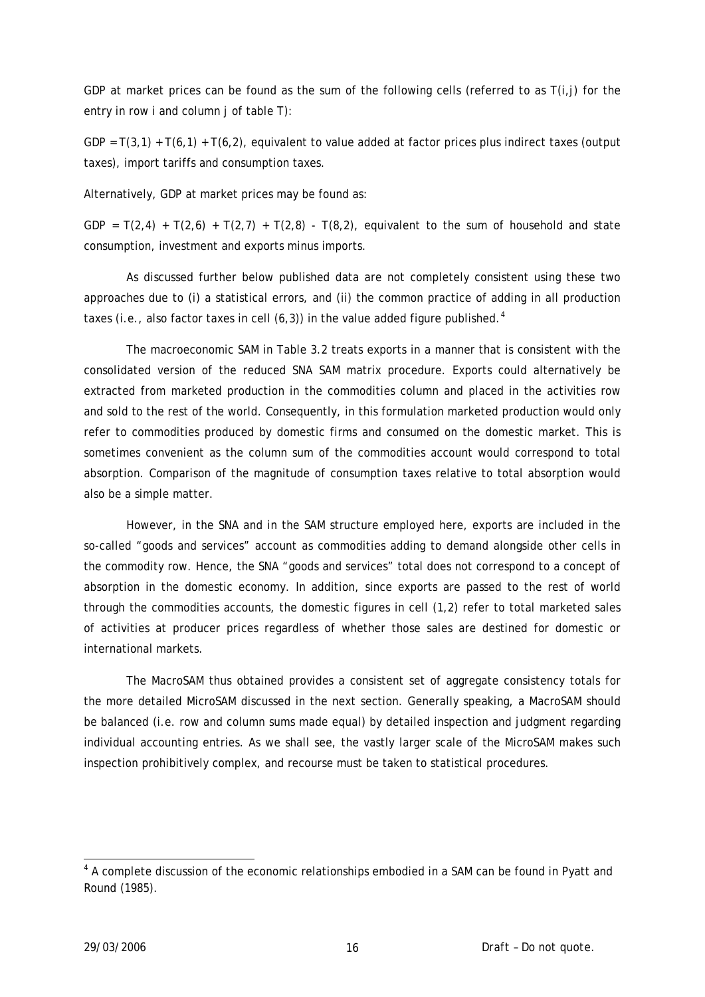GDP at market prices can be found as the sum of the following cells (referred to as T(i,j) for the entry in row i and column j of table T):

GDP =  $T(3,1)$  +  $T(6,1)$  +  $T(6,2)$ , equivalent to value added at factor prices plus indirect taxes (output taxes), import tariffs and consumption taxes.

Alternatively, GDP at market prices may be found as:

GDP =  $T(2,4) + T(2,6) + T(2,7) + T(2,8) - T(8,2)$ , equivalent to the sum of household and state consumption, investment and exports minus imports.

 As discussed further below published data are not completely consistent using these two approaches due to (i) a statistical errors, and (ii) the common practice of adding in all production taxes (i.e., also factor taxes in cell  $(6,3)$ ) in the value added figure published.<sup>[4](#page-15-0)</sup>

 The macroeconomic SAM in Table 3.2 treats exports in a manner that is consistent with the consolidated version of the reduced SNA SAM matrix procedure. Exports could alternatively be extracted from marketed production in the commodities column and placed in the activities row and sold to the rest of the world. Consequently, in this formulation marketed production would only refer to commodities produced by domestic firms and consumed on the domestic market. This is sometimes convenient as the column sum of the commodities account would correspond to total absorption. Comparison of the magnitude of consumption taxes relative to total absorption would also be a simple matter.

 However, in the SNA and in the SAM structure employed here, exports are included in the so-called "goods and services" account as commodities adding to demand alongside other cells in the commodity row. Hence, the SNA "goods and services" total does not correspond to a concept of absorption in the domestic economy. In addition, since exports are passed to the rest of world through the commodities accounts, the domestic figures in cell (1,2) refer to total marketed sales of activities at producer prices regardless of whether those sales are destined for domestic or international markets.

The MacroSAM thus obtained provides a consistent set of aggregate consistency totals for the more detailed MicroSAM discussed in the next section. Generally speaking, a MacroSAM should be balanced (i.e. row and column sums made equal) by detailed inspection and judgment regarding individual accounting entries. As we shall see, the vastly larger scale of the MicroSAM makes such inspection prohibitively complex, and recourse must be taken to statistical procedures.

1

<span id="page-15-0"></span><sup>&</sup>lt;sup>4</sup> A complete discussion of the economic relationships embodied in a SAM can be found in Pyatt and Round (1985).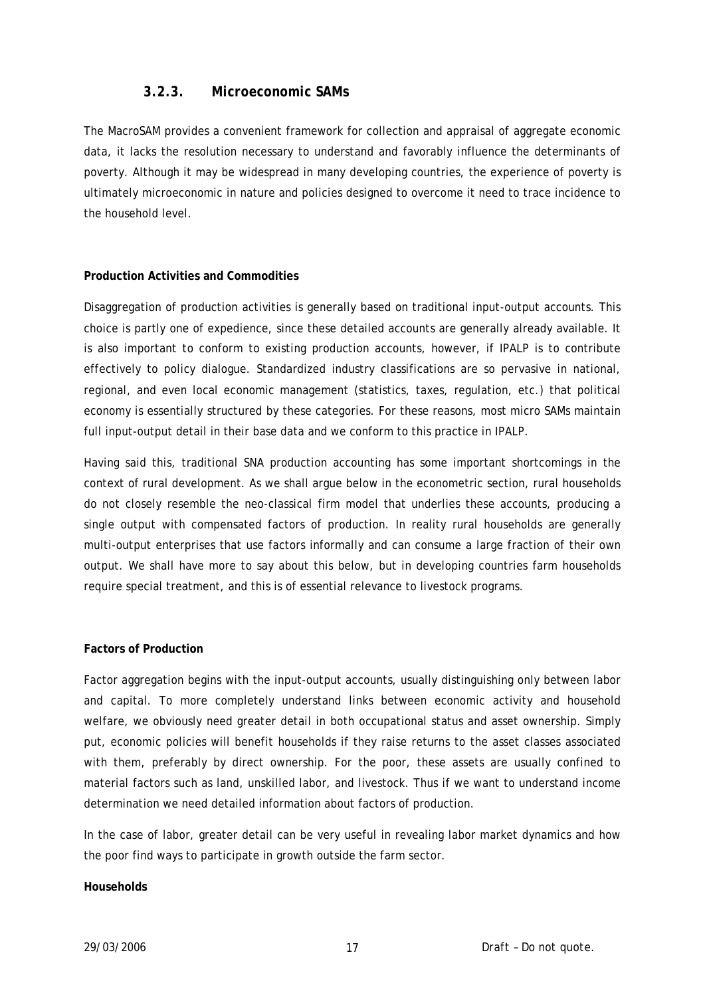#### *3.2.3. Microeconomic SAMs*

The MacroSAM provides a convenient framework for collection and appraisal of aggregate economic data, it lacks the resolution necessary to understand and favorably influence the determinants of poverty. Although it may be widespread in many developing countries, the experience of poverty is ultimately microeconomic in nature and policies designed to overcome it need to trace incidence to the household level.

#### **Production Activities and Commodities**

Disaggregation of production activities is generally based on traditional input-output accounts. This choice is partly one of expedience, since these detailed accounts are generally already available. It is also important to conform to existing production accounts, however, if IPALP is to contribute effectively to policy dialogue. Standardized industry classifications are so pervasive in national, regional, and even local economic management (statistics, taxes, regulation, etc.) that political economy is essentially structured by these categories. For these reasons, most micro SAMs maintain full input-output detail in their base data and we conform to this practice in IPALP.

Having said this, traditional SNA production accounting has some important shortcomings in the context of rural development. As we shall argue below in the econometric section, rural households do not closely resemble the neo-classical firm model that underlies these accounts, producing a single output with compensated factors of production. In reality rural households are generally multi-output enterprises that use factors informally and can consume a large fraction of their own output. We shall have more to say about this below, but in developing countries farm households require special treatment, and this is of essential relevance to livestock programs.

#### **Factors of Production**

Factor aggregation begins with the input-output accounts, usually distinguishing only between labor and capital. To more completely understand links between economic activity and household welfare, we obviously need greater detail in both occupational status and asset ownership. Simply put, economic policies will benefit households if they raise returns to the asset classes associated with them, preferably by direct ownership. For the poor, these assets are usually confined to material factors such as land, unskilled labor, and livestock. Thus if we want to understand income determination we need detailed information about factors of production.

In the case of labor, greater detail can be very useful in revealing labor market dynamics and how the poor find ways to participate in growth outside the farm sector.

#### **Households**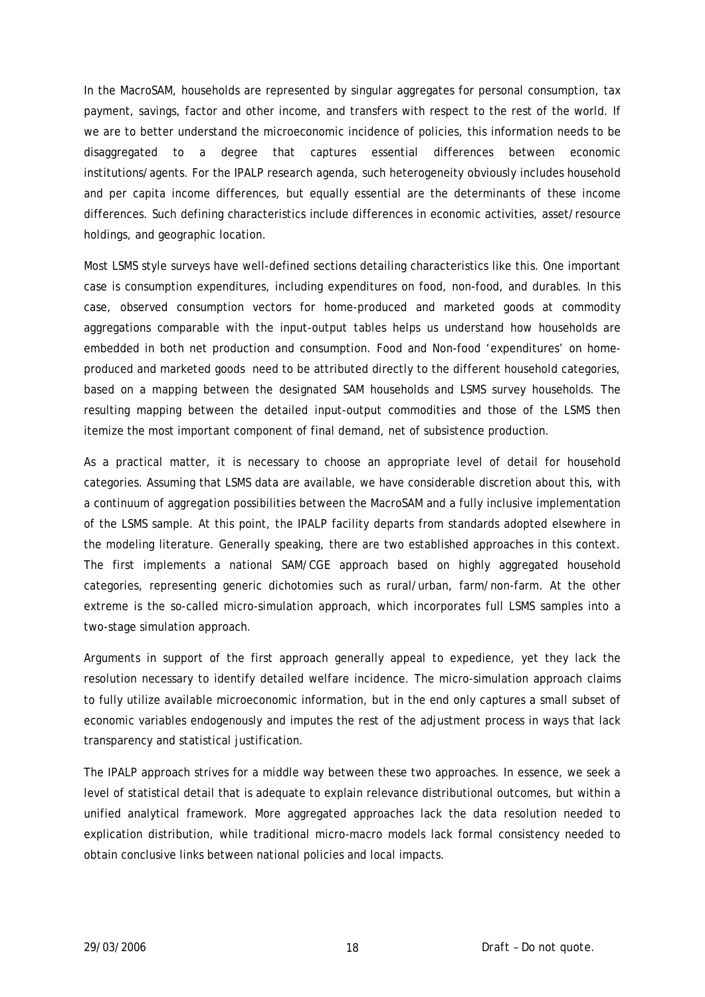In the MacroSAM, households are represented by singular aggregates for personal consumption, tax payment, savings, factor and other income, and transfers with respect to the rest of the world. If we are to better understand the microeconomic incidence of policies, this information needs to be disaggregated to a degree that captures essential differences between economic institutions/agents. For the IPALP research agenda, such heterogeneity obviously includes household and per capita income differences, but equally essential are the determinants of these income differences. Such defining characteristics include differences in economic activities, asset/resource holdings, and geographic location.

Most LSMS style surveys have well-defined sections detailing characteristics like this. One important case is consumption expenditures, including expenditures on food, non-food, and durables. In this case, observed consumption vectors for home-produced and marketed goods at commodity aggregations comparable with the input-output tables helps us understand how households are embedded in both net production and consumption. Food and Non-food 'expenditures' on homeproduced and marketed goods need to be attributed directly to the different household categories, based on a mapping between the designated SAM households and LSMS survey households. The resulting mapping between the detailed input-output commodities and those of the LSMS then itemize the most important component of final demand, net of subsistence production.

As a practical matter, it is necessary to choose an appropriate level of detail for household categories. Assuming that LSMS data are available, we have considerable discretion about this, with a continuum of aggregation possibilities between the MacroSAM and a fully inclusive implementation of the LSMS sample. At this point, the IPALP facility departs from standards adopted elsewhere in the modeling literature. Generally speaking, there are two established approaches in this context. The first implements a national SAM/CGE approach based on highly aggregated household categories, representing generic dichotomies such as rural/urban, farm/non-farm. At the other extreme is the so-called micro-simulation approach, which incorporates full LSMS samples into a two-stage simulation approach.

Arguments in support of the first approach generally appeal to expedience, yet they lack the resolution necessary to identify detailed welfare incidence. The micro-simulation approach claims to fully utilize available microeconomic information, but in the end only captures a small subset of economic variables endogenously and imputes the rest of the adjustment process in ways that lack transparency and statistical justification.

The IPALP approach strives for a middle way between these two approaches. In essence, we seek a level of statistical detail that is adequate to explain relevance distributional outcomes, but within a unified analytical framework. More aggregated approaches lack the data resolution needed to explication distribution, while traditional micro-macro models lack formal consistency needed to obtain conclusive links between national policies and local impacts.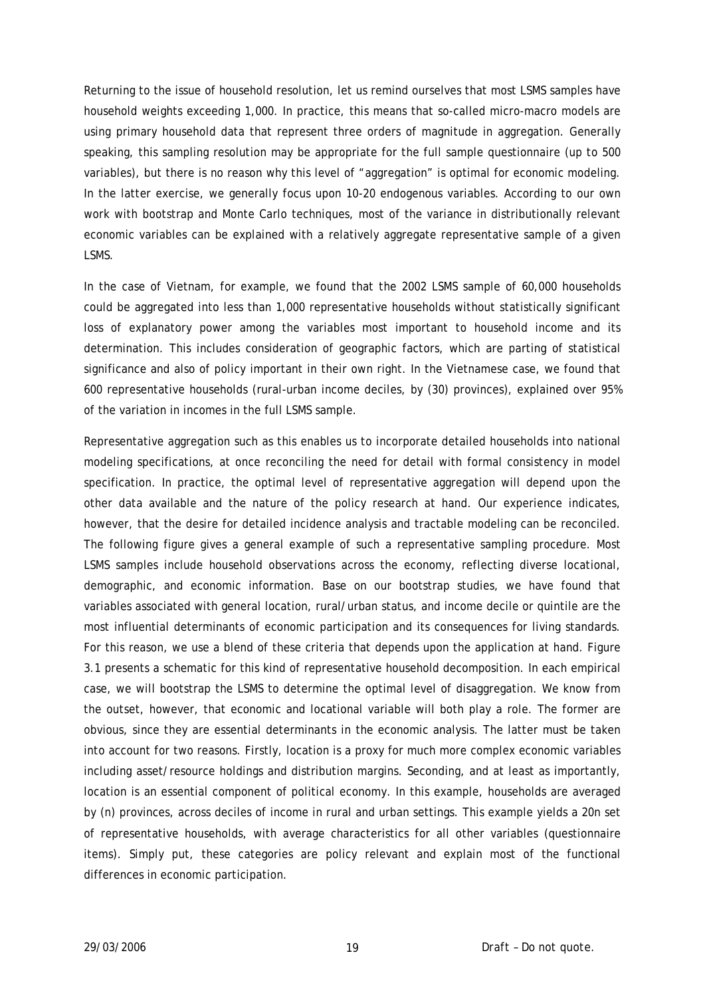Returning to the issue of household resolution, let us remind ourselves that most LSMS samples have household weights exceeding 1,000. In practice, this means that so-called micro-macro models are using primary household data that represent three orders of magnitude in aggregation. Generally speaking, this sampling resolution may be appropriate for the full sample questionnaire (up to 500 variables), but there is no reason why this level of "aggregation" is optimal for economic modeling. In the latter exercise, we generally focus upon 10-20 endogenous variables. According to our own work with bootstrap and Monte Carlo techniques, most of the variance in distributionally relevant economic variables can be explained with a relatively aggregate representative sample of a given LSMS.

In the case of Vietnam, for example, we found that the 2002 LSMS sample of 60,000 households could be aggregated into less than 1,000 representative households without statistically significant loss of explanatory power among the variables most important to household income and its determination. This includes consideration of geographic factors, which are parting of statistical significance and also of policy important in their own right. In the Vietnamese case, we found that 600 representative households (rural-urban income deciles, by (30) provinces), explained over 95% of the variation in incomes in the full LSMS sample.

Representative aggregation such as this enables us to incorporate detailed households into national modeling specifications, at once reconciling the need for detail with formal consistency in model specification. In practice, the optimal level of representative aggregation will depend upon the other data available and the nature of the policy research at hand. Our experience indicates, however, that the desire for detailed incidence analysis and tractable modeling can be reconciled. The following figure gives a general example of such a representative sampling procedure. Most LSMS samples include household observations across the economy, reflecting diverse locational, demographic, and economic information. Base on our bootstrap studies, we have found that variables associated with general location, rural/urban status, and income decile or quintile are the most influential determinants of economic participation and its consequences for living standards. For this reason, we use a blend of these criteria that depends upon the application at hand. Figure 3.1 presents a schematic for this kind of representative household decomposition. In each empirical case, we will bootstrap the LSMS to determine the optimal level of disaggregation. We know from the outset, however, that economic and locational variable will both play a role. The former are obvious, since they are essential determinants in the economic analysis. The latter must be taken into account for two reasons. Firstly, location is a proxy for much more complex economic variables including asset/resource holdings and distribution margins. Seconding, and at least as importantly, location is an essential component of political economy. In this example, households are averaged by (n) provinces, across deciles of income in rural and urban settings. This example yields a 20n set of representative households, with average characteristics for all other variables (questionnaire items). Simply put, these categories are policy relevant and explain most of the functional differences in economic participation.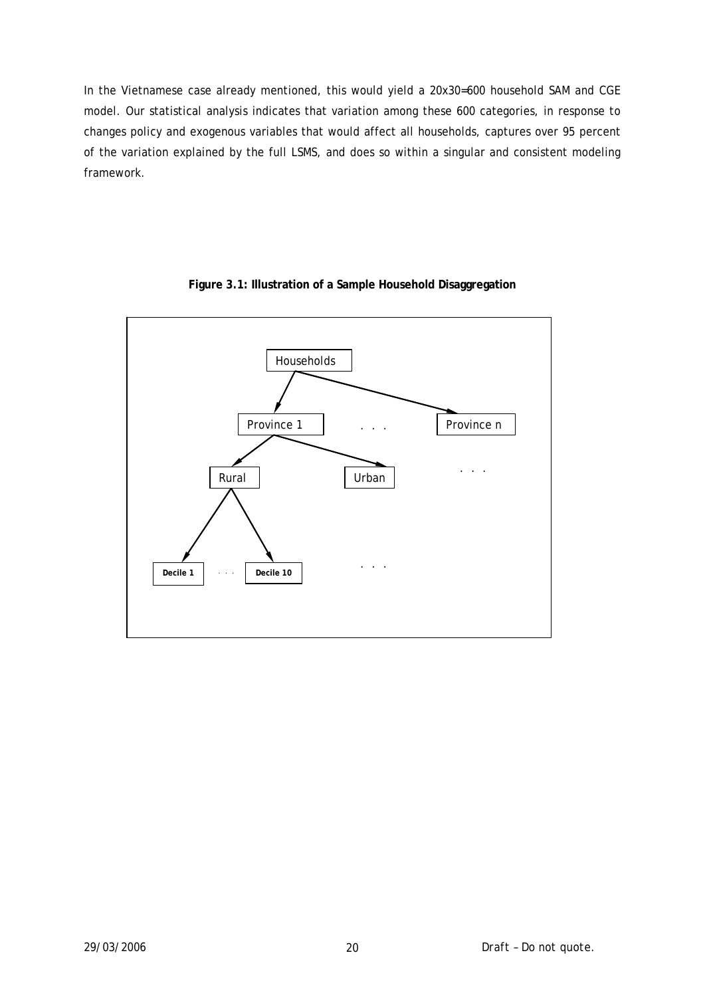In the Vietnamese case already mentioned, this would yield a 20x30=600 household SAM and CGE model. Our statistical analysis indicates that variation among these 600 categories, in response to changes policy and exogenous variables that would affect all households, captures over 95 percent of the variation explained by the full LSMS, and does so within a singular and consistent modeling framework.



#### **Figure 3.1: Illustration of a Sample Household Disaggregation**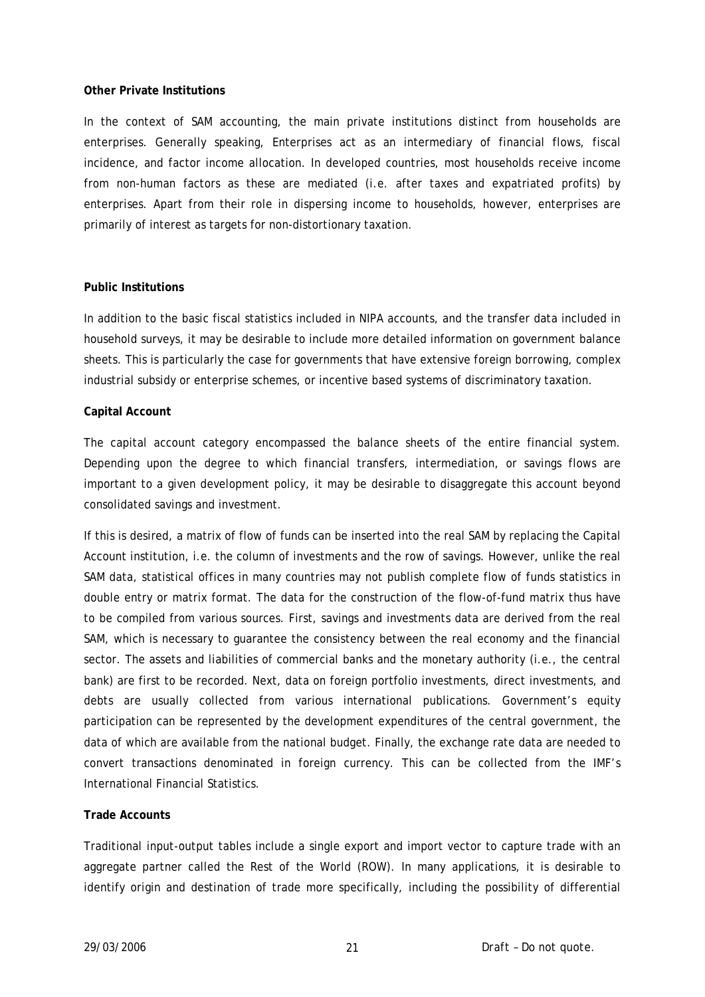#### **Other Private Institutions**

In the context of SAM accounting, the main private institutions distinct from households are enterprises. Generally speaking, Enterprises act as an intermediary of financial flows, fiscal incidence, and factor income allocation. In developed countries, most households receive income from non-human factors as these are mediated (i.e. after taxes and expatriated profits) by enterprises. Apart from their role in dispersing income to households, however, enterprises are primarily of interest as targets for non-distortionary taxation.

#### **Public Institutions**

In addition to the basic fiscal statistics included in NIPA accounts, and the transfer data included in household surveys, it may be desirable to include more detailed information on government balance sheets. This is particularly the case for governments that have extensive foreign borrowing, complex industrial subsidy or enterprise schemes, or incentive based systems of discriminatory taxation.

#### **Capital Account**

The capital account category encompassed the balance sheets of the entire financial system. Depending upon the degree to which financial transfers, intermediation, or savings flows are important to a given development policy, it may be desirable to disaggregate this account beyond consolidated savings and investment.

If this is desired, a matrix of flow of funds can be inserted into the real SAM by replacing the Capital Account institution, i.e. the column of investments and the row of savings. However, unlike the real SAM data, statistical offices in many countries may not publish complete flow of funds statistics in double entry or matrix format. The data for the construction of the flow-of-fund matrix thus have to be compiled from various sources. First, savings and investments data are derived from the real SAM, which is necessary to guarantee the consistency between the real economy and the financial sector. The assets and liabilities of commercial banks and the monetary authority (i.e., the central bank) are first to be recorded. Next, data on foreign portfolio investments, direct investments, and debts are usually collected from various international publications. Government's equity participation can be represented by the development expenditures of the central government, the data of which are available from the national budget. Finally, the exchange rate data are needed to convert transactions denominated in foreign currency. This can be collected from the IMF's International Financial Statistics.

#### **Trade Accounts**

Traditional input-output tables include a single export and import vector to capture trade with an aggregate partner called the Rest of the World (ROW). In many applications, it is desirable to identify origin and destination of trade more specifically, including the possibility of differential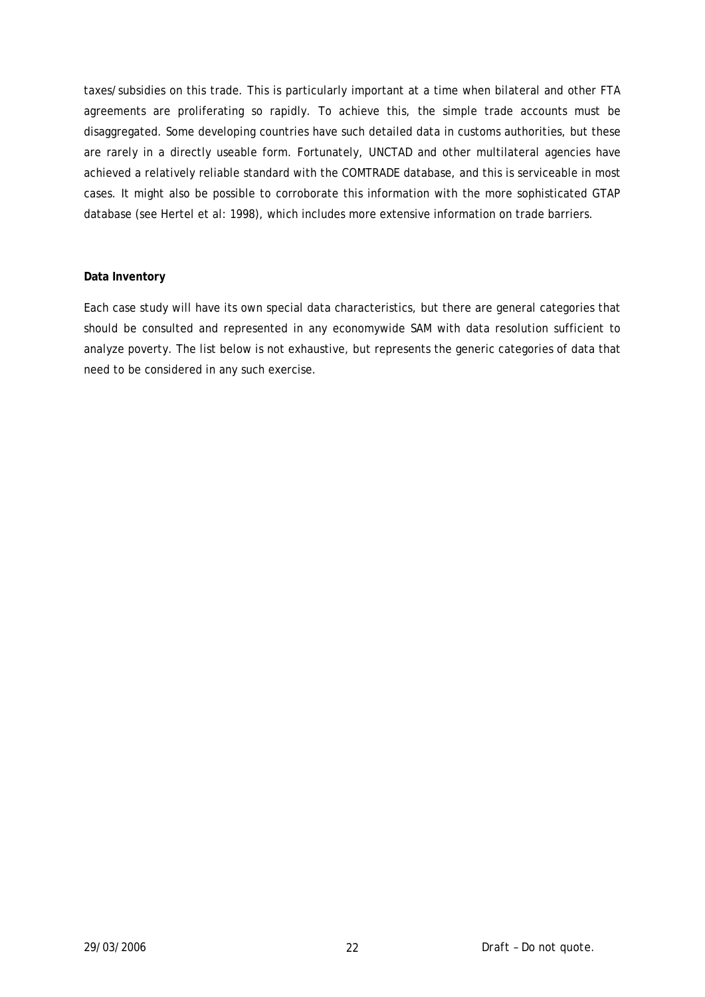taxes/subsidies on this trade. This is particularly important at a time when bilateral and other FTA agreements are proliferating so rapidly. To achieve this, the simple trade accounts must be disaggregated. Some developing countries have such detailed data in customs authorities, but these are rarely in a directly useable form. Fortunately, UNCTAD and other multilateral agencies have achieved a relatively reliable standard with the COMTRADE database, and this is serviceable in most cases. It might also be possible to corroborate this information with the more sophisticated GTAP database (see Hertel et al: 1998), which includes more extensive information on trade barriers.

#### **Data Inventory**

Each case study will have its own special data characteristics, but there are general categories that should be consulted and represented in any economywide SAM with data resolution sufficient to analyze poverty. The list below is not exhaustive, but represents the generic categories of data that need to be considered in any such exercise.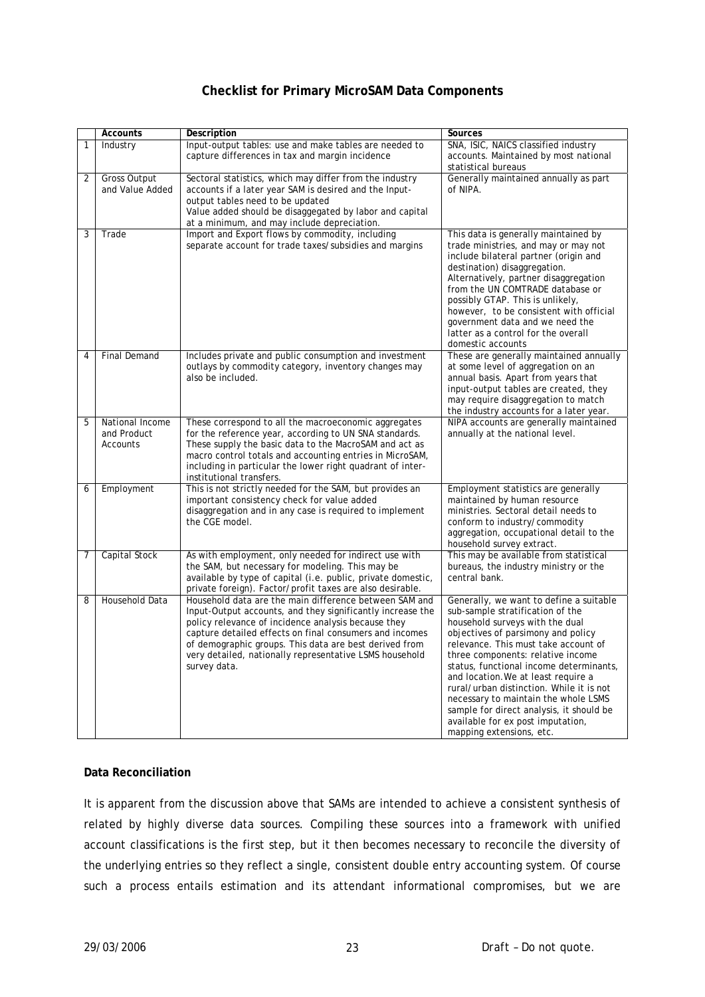# **Checklist for Primary MicroSAM Data Components**

|                | <b>Accounts</b>                            | Description                                                                                                                                                                                                                                                                                                                                                                 | <b>Sources</b>                                                                                                                                                                                                                                                                                                                                                                                                                                                                                                       |
|----------------|--------------------------------------------|-----------------------------------------------------------------------------------------------------------------------------------------------------------------------------------------------------------------------------------------------------------------------------------------------------------------------------------------------------------------------------|----------------------------------------------------------------------------------------------------------------------------------------------------------------------------------------------------------------------------------------------------------------------------------------------------------------------------------------------------------------------------------------------------------------------------------------------------------------------------------------------------------------------|
| 1              | Industry                                   | Input-output tables: use and make tables are needed to<br>capture differences in tax and margin incidence                                                                                                                                                                                                                                                                   | SNA, ISIC, NAICS classified industry<br>accounts. Maintained by most national                                                                                                                                                                                                                                                                                                                                                                                                                                        |
| $\overline{2}$ | <b>Gross Output</b><br>and Value Added     | Sectoral statistics, which may differ from the industry<br>accounts if a later year SAM is desired and the Input-<br>output tables need to be updated<br>Value added should be disaggegated by labor and capital<br>at a minimum, and may include depreciation.                                                                                                             | statistical bureaus<br>Generally maintained annually as part<br>of NIPA.                                                                                                                                                                                                                                                                                                                                                                                                                                             |
| 3              | Trade                                      | Import and Export flows by commodity, including<br>separate account for trade taxes/subsidies and margins                                                                                                                                                                                                                                                                   | This data is generally maintained by<br>trade ministries, and may or may not<br>include bilateral partner (origin and<br>destination) disaggregation.<br>Alternatively, partner disaggregation<br>from the UN COMTRADE database or<br>possibly GTAP. This is unlikely,<br>however, to be consistent with official<br>government data and we need the<br>latter as a control for the overall<br>domestic accounts                                                                                                     |
| $\overline{4}$ | <b>Final Demand</b>                        | Includes private and public consumption and investment<br>outlays by commodity category, inventory changes may<br>also be included.                                                                                                                                                                                                                                         | These are generally maintained annually<br>at some level of aggregation on an<br>annual basis. Apart from years that<br>input-output tables are created, they<br>may require disaggregation to match<br>the industry accounts for a later year.                                                                                                                                                                                                                                                                      |
| 5              | National Income<br>and Product<br>Accounts | These correspond to all the macroeconomic aggregates<br>for the reference year, according to UN SNA standards.<br>These supply the basic data to the MacroSAM and act as<br>macro control totals and accounting entries in MicroSAM,<br>including in particular the lower right quadrant of inter-<br>institutional transfers.                                              | NIPA accounts are generally maintained<br>annually at the national level.                                                                                                                                                                                                                                                                                                                                                                                                                                            |
| 6              | Employment                                 | This is not strictly needed for the SAM, but provides an<br>important consistency check for value added<br>disaggregation and in any case is required to implement<br>the CGE model.                                                                                                                                                                                        | Employment statistics are generally<br>maintained by human resource<br>ministries. Sectoral detail needs to<br>conform to industry/commodity<br>aggregation, occupational detail to the<br>household survey extract.                                                                                                                                                                                                                                                                                                 |
| 7              | Capital Stock                              | As with employment, only needed for indirect use with<br>the SAM, but necessary for modeling. This may be<br>available by type of capital (i.e. public, private domestic,<br>private foreign). Factor/profit taxes are also desirable.                                                                                                                                      | This may be available from statistical<br>bureaus, the industry ministry or the<br>central bank.                                                                                                                                                                                                                                                                                                                                                                                                                     |
| 8              | Household Data                             | Household data are the main difference between SAM and<br>Input-Output accounts, and they significantly increase the<br>policy relevance of incidence analysis because they<br>capture detailed effects on final consumers and incomes<br>of demographic groups. This data are best derived from<br>very detailed, nationally representative LSMS household<br>survey data. | Generally, we want to define a suitable<br>sub-sample stratification of the<br>household surveys with the dual<br>objectives of parsimony and policy<br>relevance. This must take account of<br>three components: relative income<br>status, functional income determinants,<br>and location. We at least require a<br>rural/urban distinction. While it is not<br>necessary to maintain the whole LSMS<br>sample for direct analysis, it should be<br>available for ex post imputation,<br>mapping extensions, etc. |

#### **Data Reconciliation**

It is apparent from the discussion above that SAMs are intended to achieve a consistent synthesis of related by highly diverse data sources. Compiling these sources into a framework with unified account classifications is the first step, but it then becomes necessary to reconcile the diversity of the underlying entries so they reflect a single, consistent double entry accounting system. Of course such a process entails estimation and its attendant informational compromises, but we are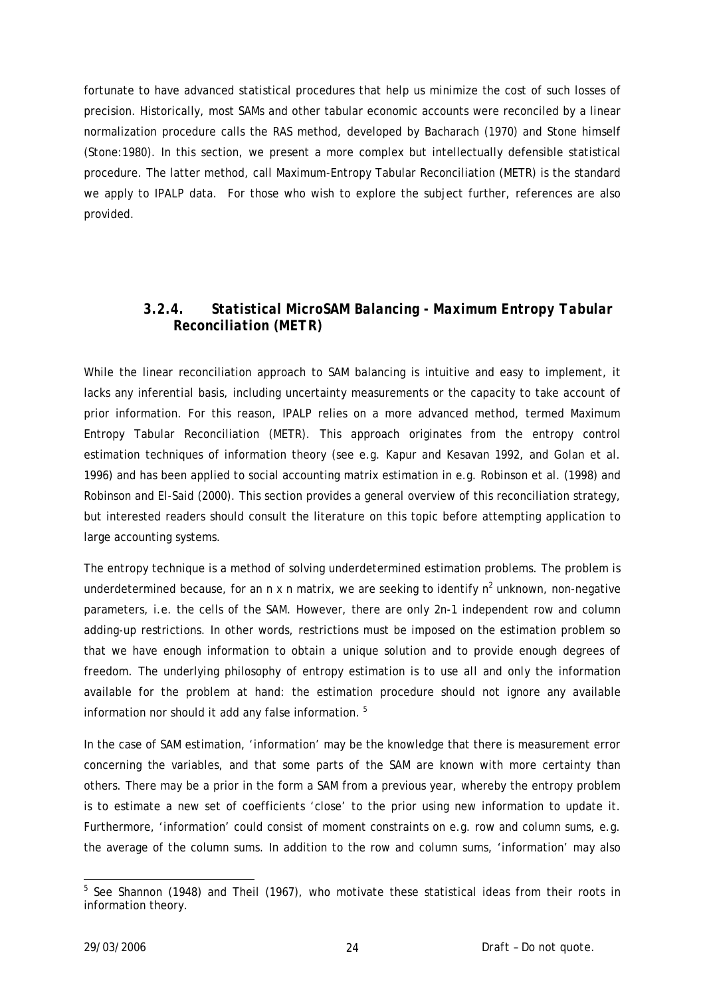fortunate to have advanced statistical procedures that help us minimize the cost of such losses of precision. Historically, most SAMs and other tabular economic accounts were reconciled by a linear normalization procedure calls the RAS method, developed by Bacharach (1970) and Stone himself (Stone:1980). In this section, we present a more complex but intellectually defensible statistical procedure. The latter method, call Maximum-Entropy Tabular Reconciliation (METR) is the standard we apply to IPALP data. For those who wish to explore the subject further, references are also provided.

# *3.2.4. Statistical MicroSAM Balancing - Maximum Entropy Tabular Reconciliation (METR)*

While the linear reconciliation approach to SAM balancing is intuitive and easy to implement, it lacks any inferential basis, including uncertainty measurements or the capacity to take account of prior information. For this reason, IPALP relies on a more advanced method, termed Maximum Entropy Tabular Reconciliation (METR). This approach originates from the entropy control estimation techniques of information theory (see e.g. Kapur and Kesavan 1992, and Golan et al. 1996) and has been applied to social accounting matrix estimation in e.g. Robinson et al. (1998) and Robinson and El-Said (2000). This section provides a general overview of this reconciliation strategy, but interested readers should consult the literature on this topic before attempting application to large accounting systems.

The entropy technique is a method of solving underdetermined estimation problems. The problem is underdetermined because, for an *n* x *n* matrix, we are seeking to identify  $n^2$  unknown, non-negative parameters, i.e. the cells of the SAM. However, there are only *2n-1* independent row and column adding-up restrictions. In other words, restrictions must be imposed on the estimation problem so that we have enough information to obtain a unique solution and to provide enough degrees of freedom. The underlying philosophy of entropy estimation is to use *all* and *only* the information available for the problem at hand: the estimation procedure should not ignore any available information nor should it add any false information. [5](#page-23-0)

In the case of SAM estimation, 'information' may be the knowledge that there is measurement error concerning the variables, and that some parts of the SAM are known with more certainty than others. There may be a prior in the form a SAM from a previous year, whereby the entropy problem is to estimate a new set of coefficients 'close' to the prior using new information to update it. Furthermore, 'information' could consist of moment constraints on e.g. row and column sums, e.g. the average of the column sums. In addition to the row and column sums, 'information' may also

<span id="page-23-0"></span> 5 See Shannon (1948) and Theil (1967), who motivate these statistical ideas from their roots in information theory.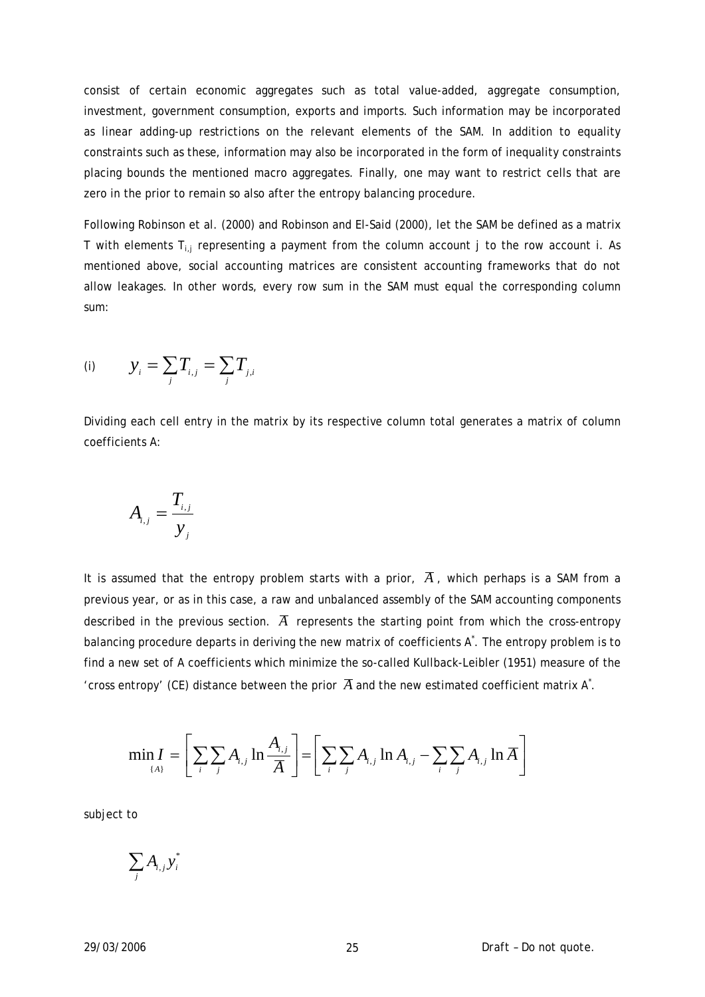consist of certain economic aggregates such as total value-added, aggregate consumption, investment, government consumption, exports and imports. Such information may be incorporated as linear adding-up restrictions on the relevant elements of the SAM. In addition to equality constraints such as these, information may also be incorporated in the form of inequality constraints placing bounds the mentioned macro aggregates. Finally, one may want to restrict cells that are zero in the prior to remain so also after the entropy balancing procedure.

Following Robinson et al. (2000) and Robinson and El-Said (2000), let the SAM be defined as a matrix T with elements  $T_{i,j}$  representing a payment from the column account j to the row account i. As mentioned above, social accounting matrices are consistent accounting frameworks that do not allow leakages. In other words, every row sum in the SAM must equal the corresponding column sum:

(i) 
$$
y_i = \sum_j T_{i,j} = \sum_j T_{j,i}
$$

Dividing each cell entry in the matrix by its respective column total generates a matrix of column coefficients A:

$$
A_{i,j} = \frac{T_{i,j}}{y_j}
$$

It is assumed that the entropy problem starts with a prior,  $\overline{A}$ , which perhaps is a SAM from a previous year, or as in this case, a raw and unbalanced assembly of the SAM accounting components described in the previous section.  $\overline{A}$  represents the starting point from which the cross-entropy balancing procedure departs in deriving the new matrix of coefficients  $A^*$ . The entropy problem is to find a new set of A coefficients which minimize the so-called Kullback-Leibler (1951) measure of the 'cross entropy' (CE) distance between the prior  $\overline{A}$  and the new estimated coefficient matrix A<sup>\*</sup>.

$$
\min_{\{A\}} I = \left[ \sum_i \sum_j A_{i,j} \ln \frac{A_{i,j}}{\overline{A}} \right] = \left[ \sum_i \sum_j A_{i,j} \ln A_{i,j} - \sum_i \sum_j A_{i,j} \ln \overline{A} \right]
$$

subject to

$$
\sum_j A_{i,j} y_i^*
$$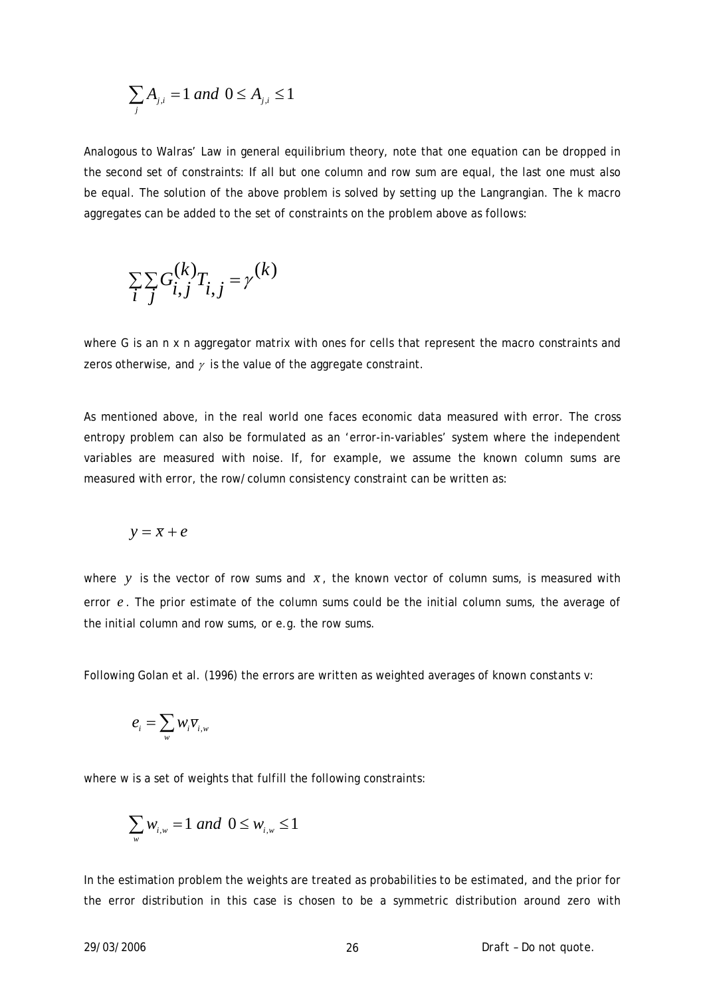$$
\sum_{j} A_{j,i} = 1 \ and \ 0 \le A_{j,i} \le 1
$$

Analogous to Walras' Law in general equilibrium theory, note that one equation can be dropped in the second set of constraints: If all but one column and row sum are equal, the last one must also be equal. The solution of the above problem is solved by setting up the Langrangian. The *k* macro aggregates can be added to the set of constraints on the problem above as follows:

$$
\sum_{i} \sum_{j} G_{i,j}^{(k)} T_{i,j} = \gamma^{(k)}
$$

where *G* is an *n* x *n* aggregator matrix with ones for cells that represent the macro constraints and zeros otherwise, and  $\gamma$  is the value of the aggregate constraint.

As mentioned above, in the real world one faces economic data measured with error. The cross entropy problem can also be formulated as an 'error-in-variables' system where the independent variables are measured with noise. If, for example, we assume the known column sums are measured with error, the row/column consistency constraint can be written as:

$$
y = \overline{x} + e
$$

where y is the vector of row sums and  $\bar{x}$ , the known vector of column sums, is measured with error  $e$ . The prior estimate of the column sums could be the initial column sums, the average of the initial column and row sums, or e.g. the row sums.

Following Golan et al. (1996) the errors are written as weighted averages of known constants *v*:

$$
\boldsymbol{e}_{_{i}}=\sum_{_{w}}W_{_{i}}\overline{V}_{_{i,w}}
$$

where *w* is a set of weights that fulfill the following constraints:

$$
\sum_{w} w_{i,w} = 1 \ and \ 0 \leq w_{i,w} \leq 1
$$

In the estimation problem the weights are treated as probabilities to be estimated, and the prior for the error distribution in this case is chosen to be a symmetric distribution around zero with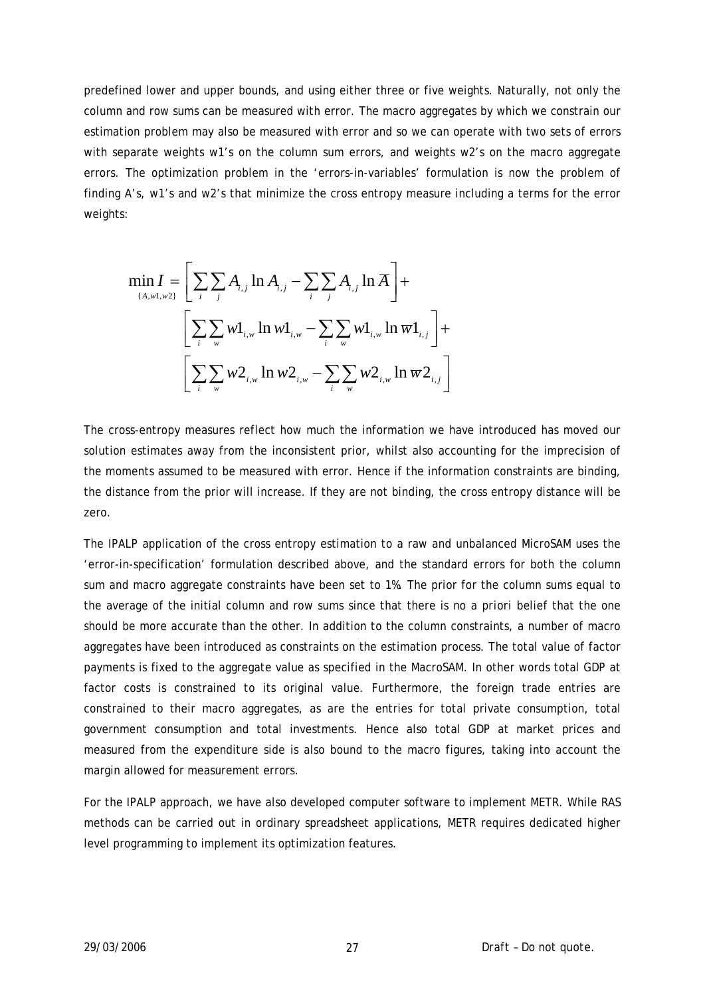predefined lower and upper bounds, and using either three or five weights. Naturally, not only the column and row sums can be measured with error. The macro aggregates by which we constrain our estimation problem may also be measured with error and so we can operate with two sets of errors with separate weights *w1*'s on the column sum errors, and weights *w2*'s on the macro aggregate errors. The optimization problem in the 'errors-in-variables' formulation is now the problem of finding *A*'s, *w1*'s and *w2*'s that minimize the cross entropy measure including a terms for the error weights:

$$
\min_{\{A,w\},w2\}} I = \left[ \sum_{i} \sum_{j} A_{i,j} \ln A_{i,j} - \sum_{i} \sum_{j} A_{i,j} \ln \overline{A} \right] +
$$
  

$$
\left[ \sum_{i} \sum_{w} w1_{i,w} \ln w1_{i,w} - \sum_{i} \sum_{w} w1_{i,w} \ln \overline{w1}_{i,j} \right] +
$$
  

$$
\left[ \sum_{i} \sum_{w} w2_{i,w} \ln w2_{i,w} - \sum_{i} \sum_{w} w2_{i,w} \ln \overline{w2}_{i,j} \right]
$$

The cross-entropy measures reflect how much the information we have introduced has moved our solution estimates away from the inconsistent prior, whilst also accounting for the imprecision of the moments assumed to be measured with error. Hence if the information constraints are binding, the distance from the prior will increase. If they are not binding, the cross entropy distance will be zero.

The IPALP application of the cross entropy estimation to a raw and unbalanced MicroSAM uses the 'error-in-specification' formulation described above, and the standard errors for both the column sum and macro aggregate constraints have been set to 1%. The prior for the column sums equal to the average of the initial column and row sums since that there is no *a priori* belief that the one should be more accurate than the other. In addition to the column constraints, a number of macro aggregates have been introduced as constraints on the estimation process. The total value of factor payments is fixed to the aggregate value as specified in the MacroSAM. In other words total GDP at factor costs is constrained to its original value. Furthermore, the foreign trade entries are constrained to their macro aggregates, as are the entries for total private consumption, total government consumption and total investments. Hence also total GDP at market prices and measured from the expenditure side is also bound to the macro figures, taking into account the margin allowed for measurement errors.

For the IPALP approach, we have also developed computer software to implement METR. While RAS methods can be carried out in ordinary spreadsheet applications, METR requires dedicated higher level programming to implement its optimization features.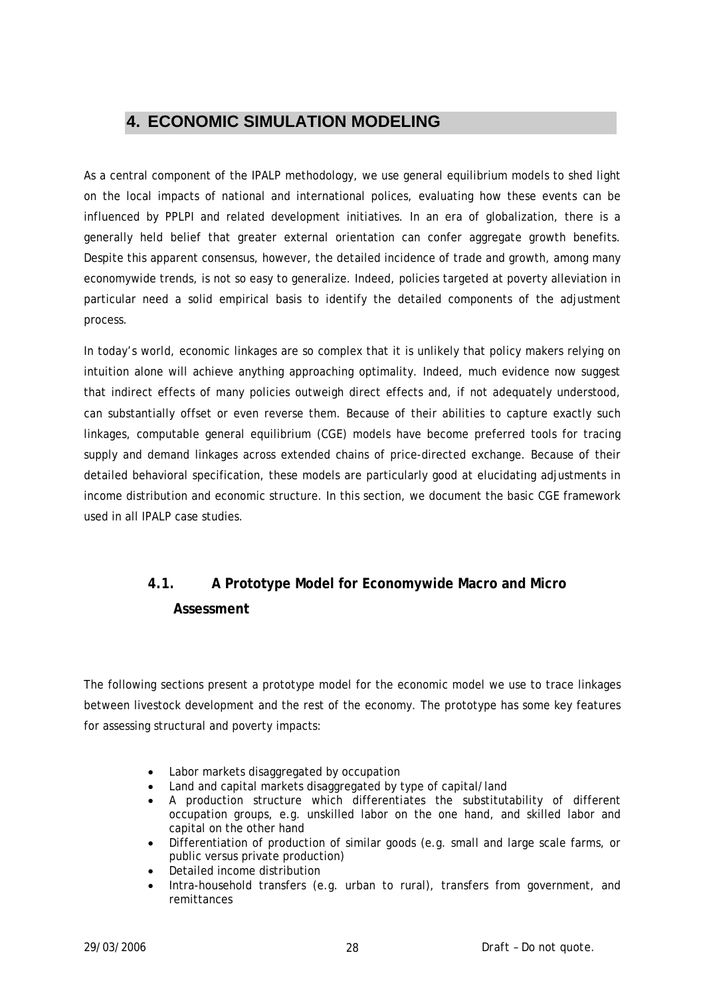# <span id="page-27-0"></span>**4. ECONOMIC SIMULATION MODELING**

As a central component of the IPALP methodology, we use general equilibrium models to shed light on the local impacts of national and international polices, evaluating how these events can be influenced by PPLPI and related development initiatives. In an era of globalization, there is a generally held belief that greater external orientation can confer aggregate growth benefits. Despite this apparent consensus, however, the detailed incidence of trade and growth, among many economywide trends, is not so easy to generalize. Indeed, policies targeted at poverty alleviation in particular need a solid empirical basis to identify the detailed components of the adjustment process.

In today's world, economic linkages are so complex that it is unlikely that policy makers relying on intuition alone will achieve anything approaching optimality. Indeed, much evidence now suggest that indirect effects of many policies outweigh direct effects and, if not adequately understood, can substantially offset or even reverse them. Because of their abilities to capture exactly such linkages, computable general equilibrium (CGE) models have become preferred tools for tracing supply and demand linkages across extended chains of price-directed exchange. Because of their detailed behavioral specification, these models are particularly good at elucidating adjustments in income distribution and economic structure. In this section, we document the basic CGE framework used in all IPALP case studies.

# **4.1. A Prototype Model for Economywide Macro and Micro Assessment**

The following sections present a prototype model for the economic model we use to trace linkages between livestock development and the rest of the economy. The prototype has some key features for assessing structural and poverty impacts:

- Labor markets disaggregated by occupation
- Land and capital markets disaggregated by type of capital/land
- A production structure which differentiates the substitutability of different occupation groups, e.g. unskilled labor on the one hand, and skilled labor and capital on the other hand
- Differentiation of production of similar goods (e.g. small and large scale farms, or public versus private production)
- Detailed income distribution
- Intra-household transfers (e.g. urban to rural), transfers from government, and remittances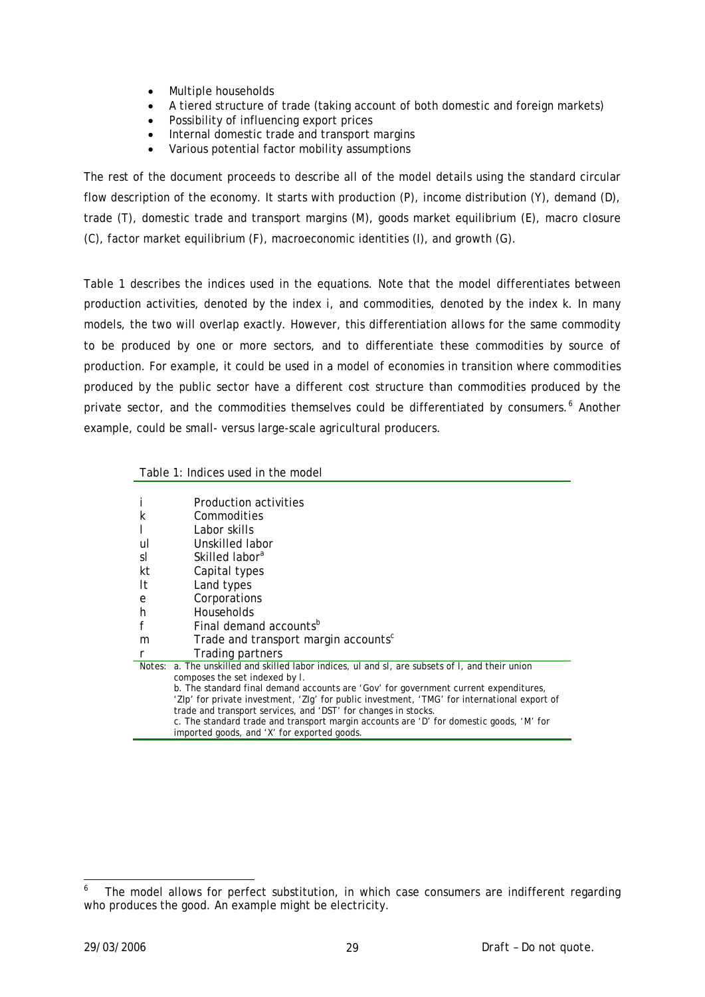- Multiple households
- A tiered structure of trade (taking account of both domestic and foreign markets)
- Possibility of influencing export prices
- Internal domestic trade and transport margins
- Various potential factor mobility assumptions

The rest of the document proceeds to describe all of the model details using the standard circular flow description of the economy. It starts with production (*P*), income distribution (*Y*), demand (*D*), trade (*T*), domestic trade and transport margins (*M*), goods market equilibrium (*E*), macro closure (*C*), factor market equilibrium (*F*), macroeconomic identities (*I*), and growth (*G*).

Table 1 describes the indices used in the equations. Note that the model differentiates between production activities, denoted by the index *i*, and commodities, denoted by the index *k*. In many models, the two will overlap exactly. However, this differentiation allows for the same commodity to be produced by one or more sectors, and to differentiate these commodities by source of production. For example, it could be used in a model of economies in transition where commodities produced by the public sector have a different cost structure than commodities produced by the private sector, and the commodities themselves could be differentiated by consumers.<sup>[6](#page-28-0)</sup> Another example, could be small- versus large-scale agricultural producers.

|    | Production activities                                                                           |
|----|-------------------------------------------------------------------------------------------------|
| k  | Commodities                                                                                     |
|    | Labor skills                                                                                    |
| ul | Unskilled labor                                                                                 |
| sI | Skilled labor <sup>a</sup>                                                                      |
| kt | Capital types                                                                                   |
| It | Land types                                                                                      |
| e  | Corporations                                                                                    |
| h  | <b>Households</b>                                                                               |
| f  | Final demand accounts <sup>b</sup>                                                              |
| m  | Trade and transport margin accounts <sup>c</sup>                                                |
| r  | Trading partners                                                                                |
|    | Notes: a. The unskilled and skilled labor indices, ul and sl, are subsets of I, and their union |
|    | composes the set indexed by /.                                                                  |
|    | b. The standard final demand accounts are ' $Gov$ ' for government current expenditures,        |
|    | 'Zlp' for private investment, 'Zlg' for public investment, 'TMG' for international export of    |
|    | trade and transport services, and 'DST' for changes in stocks.                                  |
|    | c. The standard trade and transport margin accounts are 'D' for domestic goods, 'M' for         |
|    | imported goods, and 'X' for exported goods.                                                     |
|    |                                                                                                 |

Table 1: Indices used in the model

<span id="page-28-0"></span><sup>-</sup>6 The model allows for perfect substitution, in which case consumers are indifferent regarding who produces the good. An example might be electricity.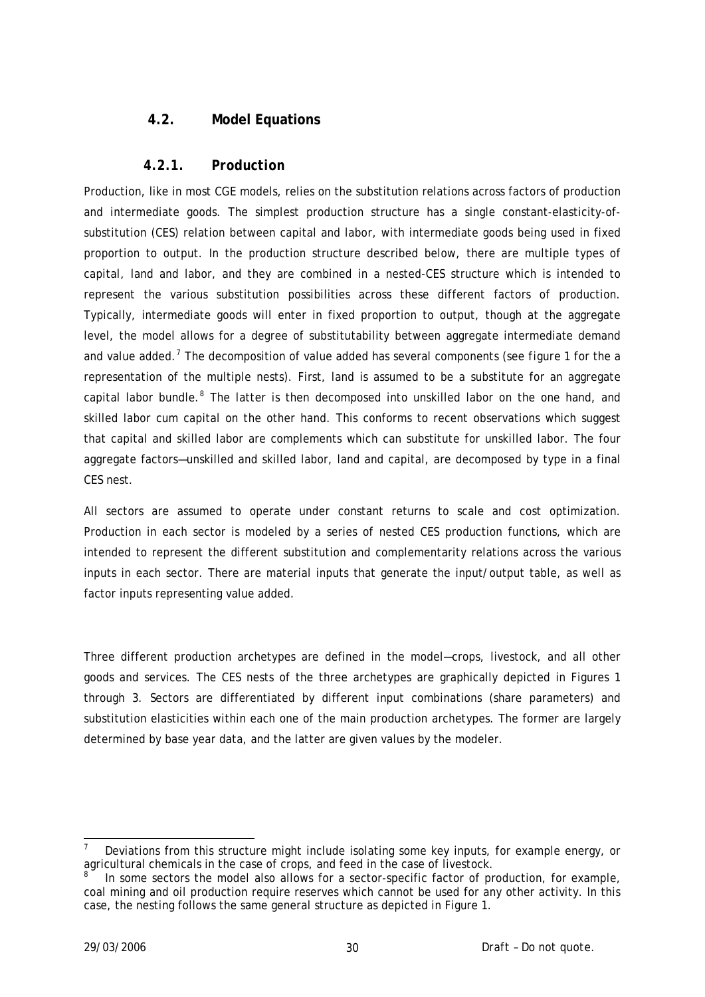# <span id="page-29-0"></span>**4.2. Model Equations**

#### *4.2.1. Production*

Production, like in most CGE models, relies on the substitution relations across factors of production and intermediate goods. The simplest production structure has a single constant-elasticity-ofsubstitution (CES) relation between capital and labor, with intermediate goods being used in fixed proportion to output. In the production structure described below, there are multiple types of capital, land and labor, and they are combined in a nested-CES structure which is intended to represent the various substitution possibilities across these different factors of production. Typically, intermediate goods will enter in fixed proportion to output, though at the aggregate level, the model allows for a degree of substitutability between aggregate intermediate demand and value added.<sup>[7](#page-29-1)</sup> The decomposition of value added has several components (see *figure* 1 for the a representation of the multiple nests). First, land is assumed to be a substitute for an aggregate capital labor bundle.<sup>[8](#page-29-2)</sup> The latter is then decomposed into unskilled labor on the one hand, and skilled labor cum capital on the other hand. This conforms to recent observations which suggest that capital and skilled labor are complements which can substitute for unskilled labor. The four aggregate factors—unskilled and skilled labor, land and capital, are decomposed by type in a final CES nest.

All sectors are assumed to operate under constant returns to scale and cost optimization. Production in each sector is modeled by a series of nested CES production functions, which are intended to represent the different substitution and complementarity relations across the various inputs in each sector. There are material inputs that generate the input/output table, as well as factor inputs representing value added.

Three different production archetypes are defined in the model—crops, livestock, and all other goods and services. The CES nests of the three archetypes are graphically depicted in Figures 1 through 3. Sectors are differentiated by different input combinations (share parameters) and substitution elasticities within each one of the main production archetypes. The former are largely determined by base year data, and the latter are given values by the modeler.

-

<span id="page-29-1"></span><sup>7</sup> Deviations from this structure might include isolating some key inputs, for example energy, or agricultural chemicals in the case of crops, and feed in the case of livestock.

<span id="page-29-2"></span><sup>8</sup> In some sectors the model also allows for a sector-specific factor of production, for example, coal mining and oil production require reserves which cannot be used for any other activity. In this case, the nesting follows the same general structure as depicted in Figure 1.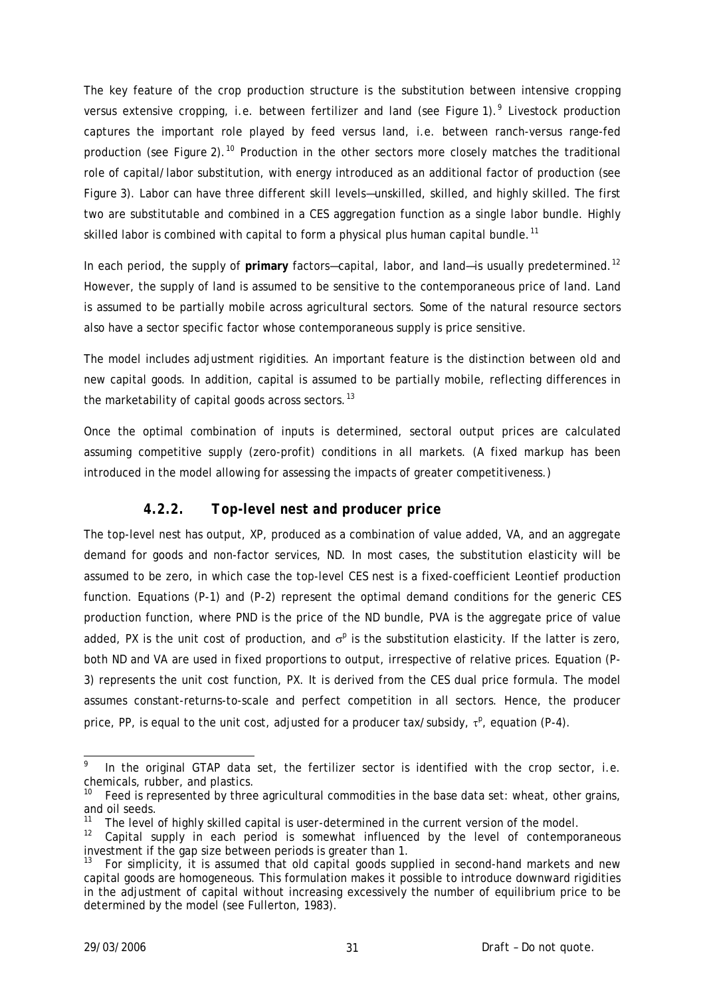The key feature of the crop production structure is the substitution between intensive cropping versus extensive cropping, i.e. between fertilizer and land (see Figure 1).<sup>[9](#page-30-0)</sup> Livestock production captures the important role played by feed versus land, i.e. between ranch-versus range-fed production (see Figure 2).<sup>[10](#page-30-1)</sup> Production in the other sectors more closely matches the traditional role of capital/labor substitution, with energy introduced as an additional factor of production (see Figure 3). Labor can have three different skill levels—unskilled, skilled, and highly skilled. The first two are substitutable and combined in a CES aggregation function as a single labor bundle. Highly skilled labor is combined with capital to form a physical plus human capital bundle.<sup>[11](#page-30-2)</sup>

In each period, the supply of primary factors-capital, labor, and land-is usually predetermined.<sup>[12](#page-30-3)</sup> However, the supply of land is assumed to be sensitive to the contemporaneous price of land. Land is assumed to be partially mobile across agricultural sectors. Some of the natural resource sectors also have a sector specific factor whose contemporaneous supply is price sensitive.

The model includes adjustment rigidities. An important feature is the distinction between *old* and *new* capital goods. In addition, capital is assumed to be partially mobile, reflecting differences in the marketability of capital goods across sectors.<sup>[13](#page-30-4)</sup>

Once the optimal combination of inputs is determined, sectoral output prices are calculated assuming competitive supply (zero-profit) conditions in all markets. (A fixed markup has been introduced in the model allowing for assessing the impacts of greater competitiveness.)

# *4.2.2. Top-level nest and producer price*

The top-level nest has output, *XP*, produced as a combination of value added, *VA*, and an aggregate demand for goods and non-factor services, *ND*. In most cases, the substitution elasticity will be assumed to be zero, in which case the top-level CES nest is a fixed-coefficient Leontief production function. Equations (P-1) and (P-2) represent the optimal demand conditions for the generic CES production function, where *PND* is the price of the *ND* bundle, *PVA* is the aggregate price of value added, PX is the unit cost of production, and  $\sigma^p$  is the substitution elasticity. If the latter is zero, both *ND* and *VA* are used in fixed proportions to output, irrespective of relative prices. Equation (P-3) represents the unit cost function, *PX*. It is derived from the CES dual price formula. The model assumes constant-returns-to-scale and perfect competition in all sectors. Hence, the producer price, PP, is equal to the unit cost, adjusted for a producer tax/subsidy, τ<sup>ρ</sup>, equation (P-4).

-

<span id="page-30-0"></span><sup>9</sup> In the original GTAP data set, the fertilizer sector is identified with the crop sector, i.e. chemicals, rubber, and plastics.

<span id="page-30-1"></span> $10$  Feed is represented by three agricultural commodities in the base data set: wheat, other grains, and oil seeds.

<span id="page-30-2"></span><sup>&</sup>lt;sup>11</sup> The level of highly skilled capital is user-determined in the current version of the model.

<span id="page-30-3"></span><sup>&</sup>lt;sup>12</sup> Capital supply in each period is somewhat influenced by the level of contemporaneous investment if the gap size between periods is greater than 1.

<span id="page-30-4"></span><sup>13</sup> For simplicity, it is assumed that old capital goods supplied in second-hand markets and new capital goods are homogeneous. This formulation makes it possible to introduce downward rigidities in the adjustment of capital without increasing excessively the number of equilibrium price to be determined by the model (see Fullerton, 1983).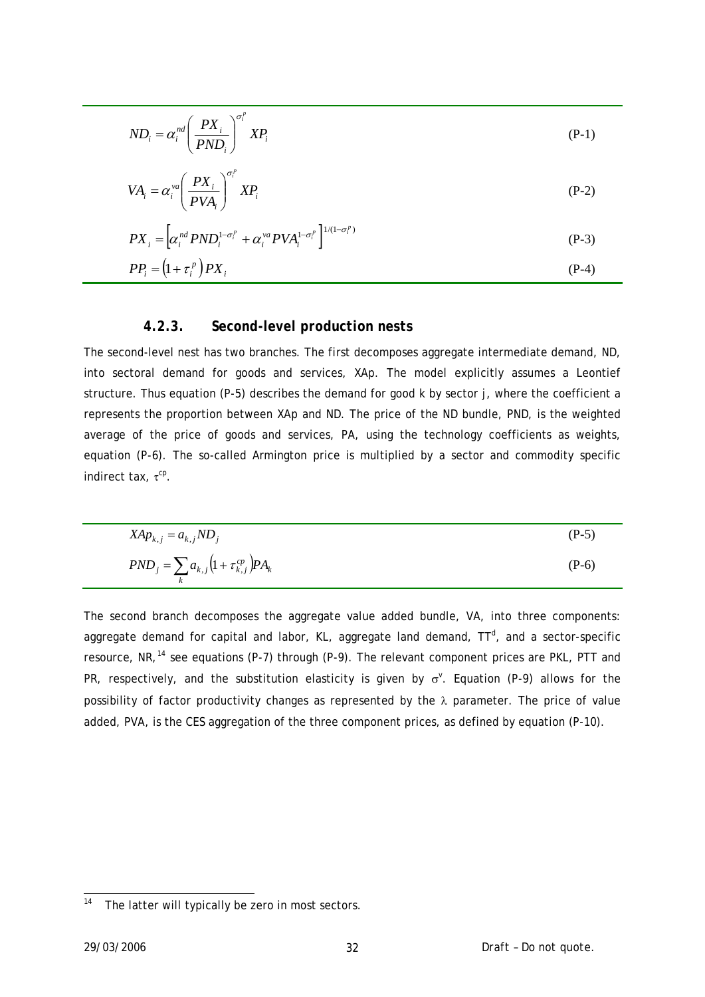$$
ND_i = \alpha_i^{nd} \left( \frac{PX_i}{PND_i} \right)^{\sigma_i^p} XP_i
$$
 (P-1)

$$
VA_i = \alpha_i^{va} \left(\frac{PX_i}{PVA_i}\right)^{\sigma_i^p} XP_i
$$
 (P-2)

$$
PX_i = \left[\alpha_i^{nd} PND_i^{1-\sigma_i^p} + \alpha_i^{va} PVA_i^{1-\sigma_i^p}\right]^{1/(1-\sigma_i^p)}
$$
\n
$$
PIN_i = \left(\alpha_i, \beta_i\right) \cdot \text{DIV}_i
$$
\n
$$
PIN_i = \left(\alpha_i, \beta_i\right) \cdot \text{DIV}_i
$$

$$
PP_i = \left(1 + \tau_i^p\right)PX_i\tag{P-4}
$$

#### *4.2.3. Second-level production nests*

The second-level nest has two branches. The first decomposes aggregate intermediate demand, *ND*, into sectoral demand for goods and services, *XAp*. The model explicitly assumes a Leontief structure. Thus equation (P-5) describes the demand for good *k* by sector *j*, where the coefficient *a* represents the proportion between *XAp* and *ND*. The price of the *ND* bundle, *PND*, is the weighted average of the price of goods and services, *PA*, using the technology coefficients as weights, equation (P-6). The so-called Armington price is multiplied by a sector and commodity specific indirect tax, τ<sup>cp</sup>.

$$
XAp_{k,j} = a_{k,j} N D_j
$$
\n
$$
PND_j = \sum_k a_{k,j} \left(1 + \tau_{k,j}^{cp}\right) PA_k
$$
\n
$$
(P-6)
$$

The second branch decomposes the aggregate value added bundle, *VA*, into three components: aggregate demand for capital and labor, KL, aggregate land demand, TT<sup>d</sup>, and a sector-specific resource, *NR*, [14](#page-31-0) see equations (P-7) through (P-9). The relevant component prices are *PKL*, *PTT* and *PR*, respectively, and the substitution elasticity is given by  $σ<sup>v</sup>$ . Equation (P-9) allows for the possibility of factor productivity changes as represented by the λ parameter. The price of value added, *PVA*, is the CES aggregation of the three component prices, as defined by equation (P-10).

<span id="page-31-0"></span> $14$ The latter will typically be zero in most sectors.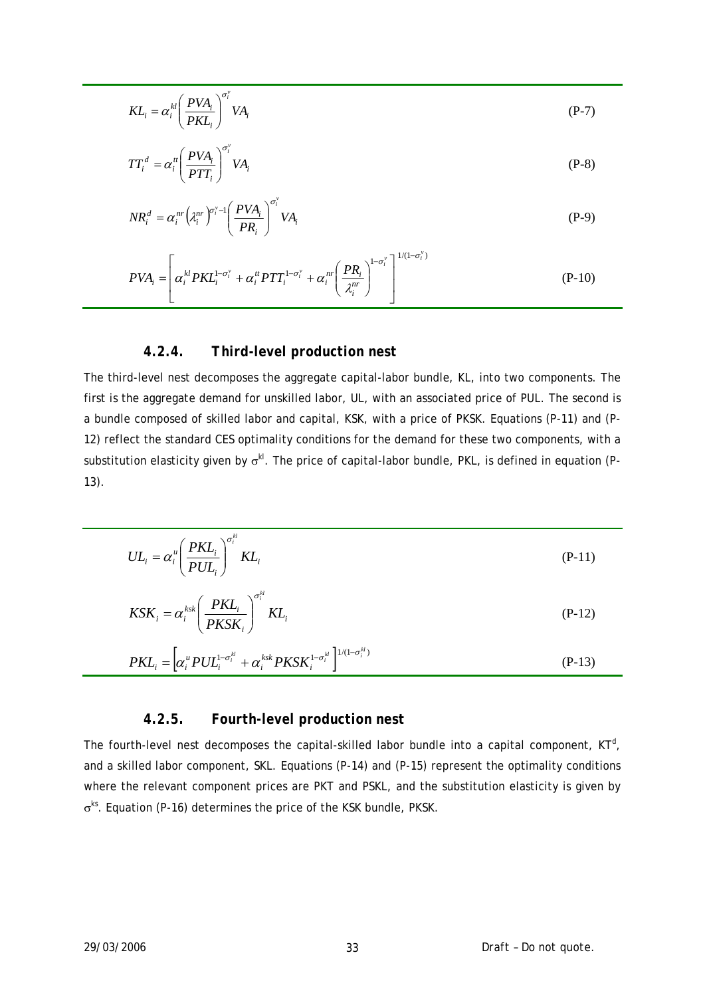$$
KL_i = \alpha_i^{kl} \left(\frac{PVA_i}{PKL_i}\right)^{\sigma_i^{v}} VA_i
$$
 (P-7)

$$
TT_i^d = \alpha_i^n \left(\frac{PVA_i}{PTT_i}\right)^{\sigma_i^v} VA_i
$$
 (P-8)

$$
NR_i^d = \alpha_i^{nr} \left(\lambda_i^{nr}\right)^{\sigma_i^{v}} \left(\frac{PVA_i}{PR_i}\right)^{\sigma_i^{v}} VA_i
$$
\n
$$
(P-9)
$$

$$
PVA_i = \left[\alpha_i^{kl} PKL_i^{1-\sigma_i^{v}} + \alpha_i^{tt} PTT_i^{1-\sigma_i^{v}} + \alpha_i^{nt} \left(\frac{PR_i}{\lambda_i^{nt}}\right)^{1-\sigma_i^{v}}\right]^{1/(1-\sigma_i^{v})}
$$
(P-10)

#### *4.2.4. Third-level production nest*

The third-level nest decomposes the aggregate capital-labor bundle, *KL*, into two components. The first is the aggregate demand for unskilled labor, *UL*, with an associated price of *PUL*. The second is a bundle composed of skilled labor and capital, *KSK*, with a price of *PKSK*. Equations (P-11) and (P-12) reflect the standard CES optimality conditions for the demand for these two components, with a substitution elasticity given by σ*kl*. The price of capital-labor bundle, *PKL*, is defined in equation (P-13).

$$
UL_i = \alpha_i^u \left(\frac{PKL_i}{PUL_i}\right)^{\sigma_i^u} KL_i
$$
 (P-11)

$$
KSK_i = \alpha_i^{ksk} \left(\frac{PKL_i}{PKSK_i}\right)^{\sigma_i^{kl}} KL_i
$$
 (P-12)

$$
PKL_i = \left[\alpha_i^u PUL_i^{1-\sigma_i^{kl}} + \alpha_i^{ksk} PKSK_i^{1-\sigma_i^{kl}}\right]^{1/(1-\sigma_i^{kl})}
$$
\n
$$
(P-13)
$$

#### *4.2.5. Fourth-level production nest*

The fourth-level nest decomposes the capital-skilled labor bundle into a capital component,  $KT^d$ , and a skilled labor component, *SKL*. Equations (P-14) and (P-15) represent the optimality conditions where the relevant component prices are *PKT* and *PSKL*, and the substitution elasticity is given by σ*ks*. Equation (P-16) determines the price of the *KSK* bundle, *PKSK*.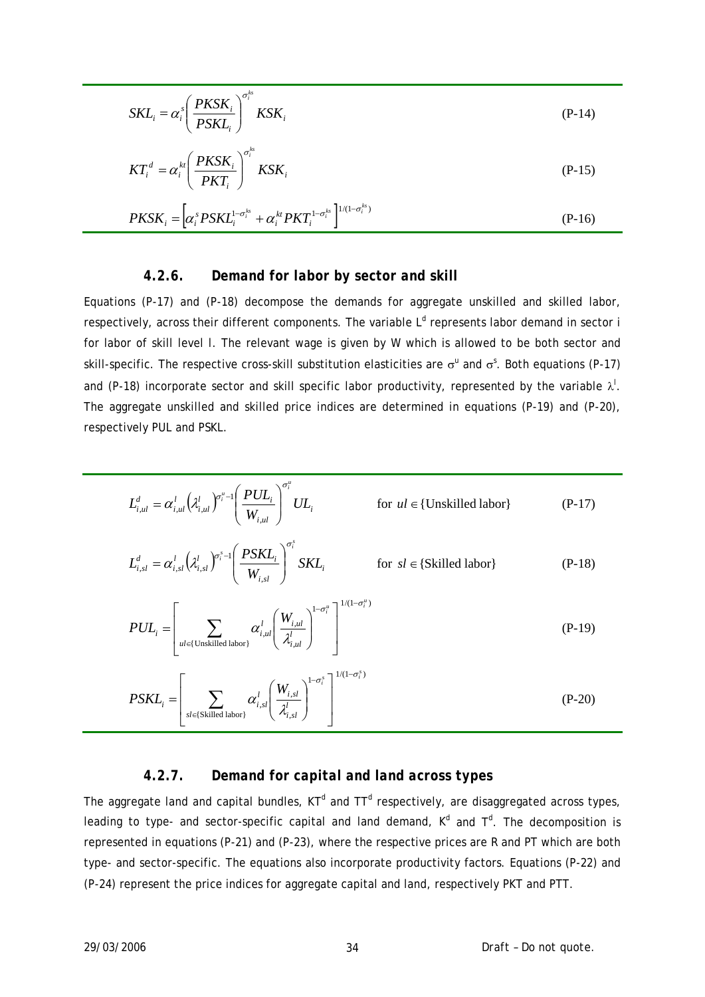$$
SKL_i = \alpha_i^s \left(\frac{PKSK_i}{PSKL_i}\right)^{\sigma_i^{ks}} KSK_i
$$
 (P-14)

$$
KT_i^d = \alpha_i^{kt} \left(\frac{PKSK_i}{PKT_i}\right)^{\sigma_i^{ks}} KSK_i
$$
 (P-15)

$$
PKSK_i = \left[\alpha_i^s PSKL_i^{1-\sigma_i^{ks}} + \alpha_i^{kt} PKT_i^{1-\sigma_i^{ks}}\right]^{1/(1-\sigma_i^{ks})}
$$
\n
$$
(P-16)
$$

#### *4.2.6. Demand for labor by sector and skill*

Equations (P-17) and (P-18) decompose the demands for aggregate unskilled and skilled labor, respectively, across their different components. The variable *L<sup>d</sup>* represents labor demand in sector *i* for labor of skill level *l*. The relevant wage is given by *W* which is allowed to be both sector and skill-specific. The respective cross-skill substitution elasticities are  $\sigma^u$  and  $\sigma^s$ . Both equations (P-17) and (P-18) incorporate sector and skill specific labor productivity, represented by the variable  $\lambda'$ . The aggregate unskilled and skilled price indices are determined in equations (P-19) and (P-20), respectively *PUL* and *PSKL*.

$$
L_{i,ul}^{d} = \alpha_{i,ul}^{l} \left(\lambda_{i,ul}^{l}\right)^{\sigma_{i}^{u} - l} \left(\frac{PUL_{i}}{W_{i,ul}}\right)^{\sigma_{i}^{u}} UL_{i}
$$
 for  $ul \in \{\text{Unskilled labor}\}$  (P-17)  

$$
L_{i,sl}^{d} = \alpha_{i,sl}^{l} \left(\lambda_{i,sl}^{l}\right)^{\sigma_{i}^{s} - l} \left(\frac{PSKL_{i}}{W_{i,sl}}\right)^{\sigma_{i}^{s}}
$$
  $SKL_{i}$  for  $sl \in \{\text{Skilled labor}\}$  (P-18)

$$
PUL_i = \left[ \sum_{ul \in \{\text{Unskilled labor}\}} \alpha_{i,ul}^l \left( \frac{W_{i,ul}}{\lambda_{i,ul}^l} \right)^{1 - \sigma_i^u} \right]^{1/(1 - \sigma_i^u)}
$$
\n
$$
\left[ \sum_{\substack{u \in \{\text{Unskilled labor}\}} \alpha_{i,ul}^l \text{max} \right]^{1/(1 - \sigma_i^s)}}
$$
\n
$$
\left[ \sum_{\substack{u \in \{\text{Unskilled labor}\}} \alpha_{i,ul}^l \text{max} \right]^{1/(1 - \sigma_i^s)}}
$$

$$
PSKL_i = \left[ \sum_{sl \in \{ \text{Skilled labor} \}} \alpha_{i, sl}^l \left( \frac{W_{i, sl}}{\lambda_{i, sl}^l} \right)^{1 - \sigma_i^s} \right]^{1/(1 - \sigma_i^s)}
$$
(P-20)

#### *4.2.7. Demand for capital and land across types*

The aggregate land and capital bundles,  $KT<sup>d</sup>$  and  $TT<sup>d</sup>$  respectively, are disaggregated across types, leading to type- and sector-specific capital and land demand,  $K^d$  and  $T^d$ . The decomposition is represented in equations (P-21) and (P-23), where the respective prices are *R* and *PT* which are both type- and sector-specific. The equations also incorporate productivity factors. Equations (P-22) and (P-24) represent the price indices for aggregate capital and land, respectively *PKT* and *PTT*.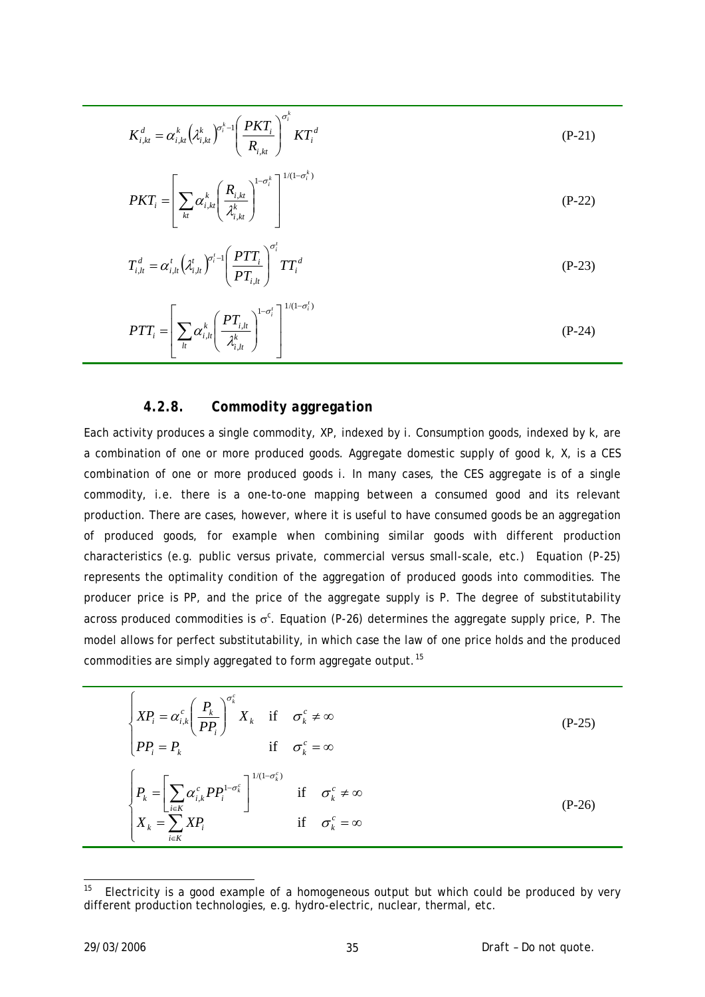$$
K_{i,kt}^{d} = \alpha_{i,kt}^{k} \left(\lambda_{i,kt}^{k}\right)^{\sigma_{i}^{k}-1} \left(\frac{PKT_{i}}{R_{i,kt}}\right)^{\sigma_{i}^{k}} KT_{i}^{d}
$$
\n
$$
PKT_{i} = \left[\sum_{kt} \alpha_{i,kt}^{k} \left(\frac{R_{i,kt}}{\lambda_{i,kt}^{k}}\right)^{1-\sigma_{i}^{k}}\right]^{1/(1-\sigma_{i}^{k})}
$$
\n
$$
\left(\sum_{i} \alpha_{i,kt}^{k} \left(\frac{R_{i,kt}}{\lambda_{i,kt}^{k}}\right)^{1-\sigma_{i}^{k}}\right]^{1/(1-\sigma_{i}^{k})}
$$
\n
$$
\left(\sum_{i} \alpha_{i,kt}^{k} \left(\frac{R_{i,kt}}{\lambda_{i,kt}^{k}}\right)^{1-\sigma_{i}^{k}}\right)
$$
\n
$$
\left(\sum_{i} \alpha_{i,kt}^{k} \left(\frac{R_{i,kt}}{\lambda_{i,kt}^{k}}\right)^{1-\sigma_{i}^{k}}\right)
$$
\n
$$
\left(\sum_{i} \alpha_{i,kt}^{k} \left(\frac{R_{i,kt}}{\lambda_{i,kt}^{k}}\right)^{1-\sigma_{i}^{k}}\right)
$$
\n
$$
\left(\sum_{i} \alpha_{i,kt}^{k} \left(\frac{R_{i,kt}}{\lambda_{i,kt}^{k}}\right)^{1-\sigma_{i}^{k}}\right)
$$
\n
$$
\left(\sum_{i} \alpha_{i,kt}^{k} \left(\frac{R_{i,kt}}{\lambda_{i,kt}^{k}}\right)^{1-\sigma_{i}^{k}}\right)
$$
\n
$$
\left(\sum_{i} \alpha_{i,kt}^{k} \left(\frac{R_{i,kt}}{\lambda_{i,kt}^{k}}\right)^{1-\sigma_{i}^{k}}\right)
$$
\n
$$
\left(\sum_{i} \alpha_{i,kt}^{k} \left(\frac{R_{i,kt}}{\lambda_{i,kt}^{k}}\right)^{1-\sigma_{i}^{k}}\right)
$$
\n
$$
\left(\sum_{i} \alpha_{i,kt}^{k} \left(\frac{R_{i,kt}}{\lambda_{i,kt}^{k}}\right)^{1-\sigma_{i}^{k}}\right)
$$
\n
$$
\left(\sum_{i} \alpha_{i,kt}^{k} \left
$$

$$
T_{i,lt}^d = \alpha_{i,lt}^t \left( \lambda_{i,lt}^t \right)^{\sigma_i^t - 1} \left( \frac{PTT_i}{PT_{i,lt}} \right)^{\sigma_i} TT_i^d
$$
 (P-23)

$$
PTT_i = \left[\sum_{l} \alpha_{i,l}^k \left(\frac{PT_{i,l}}{\lambda_{i,l}^k}\right)^{1-\sigma_i^t}\right]^{1/(1-\sigma_i^t)}
$$
\n
$$
(P-24)
$$

#### *4.2.8. Commodity aggregation*

Each activity produces a single commodity, *XP*, indexed by *i*. Consumption goods, indexed by *k*, are a combination of one or more produced goods. Aggregate domestic supply of good *k*, *X*, is a CES combination of one or more produced goods *i*. In many cases, the CES aggregate is of a single commodity, i.e. there is a one-to-one mapping between a consumed good and its relevant production. There are cases, however, where it is useful to have consumed goods be an aggregation of produced goods, for example when combining similar goods with different production characteristics (e.g. public versus private, commercial versus small-scale, etc.) Equation (P-25) represents the optimality condition of the aggregation of produced goods into commodities. The producer price is *PP*, and the price of the aggregate supply is *P*. The degree of substitutability across produced commodities is σ<sup>c</sup>. Equation (P-26) determines the aggregate supply price, *P*. The model allows for perfect substitutability, in which case the law of one price holds and the produced commodities are simply aggregated to form aggregate output.<sup>[15](#page-34-0)</sup>

$$
\begin{cases}\nXP_i = \alpha_{i,k}^c \left(\frac{P_k}{PP_i}\right)^{\sigma_k^c} X_k & \text{if } \sigma_k^c \neq \infty \\
PP_i = P_k & \text{if } \sigma_k^c = \infty\n\end{cases}
$$
\n
$$
\begin{cases}\nP_k = \left[\sum_{i \in K} \alpha_{i,k}^c PP_i^{1-\sigma_k^c}\right]^{1/(1-\sigma_k^c)} & \text{if } \sigma_k^c \neq \infty \\
X_k = \sum_{i \in K} XP_i & \text{if } \sigma_k^c = \infty\n\end{cases}
$$
\n
$$
(P-26)
$$

<span id="page-34-0"></span><sup>15</sup> 15 Electricity is a good example of a homogeneous output but which could be produced by very different production technologies, e.g. hydro-electric, nuclear, thermal, etc.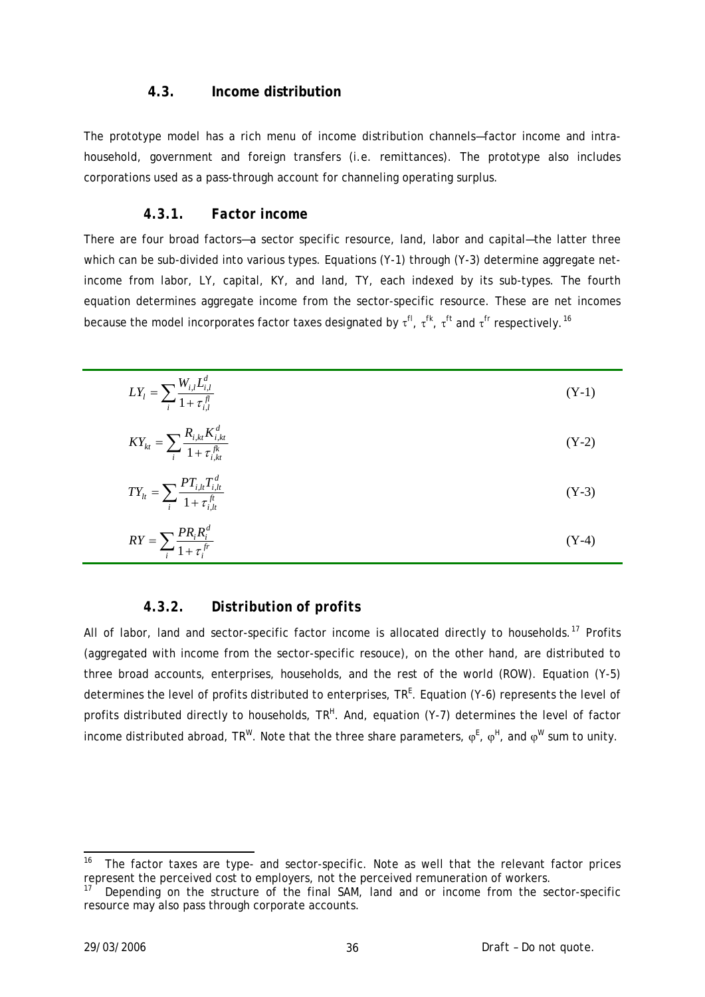#### **4.3. Income distribution**

<span id="page-35-0"></span>The prototype model has a rich menu of income distribution channels—factor income and intrahousehold, government and foreign transfers (i.e. remittances). The prototype also includes corporations used as a pass-through account for channeling operating surplus.

#### *4.3.1. Factor income*

There are four broad factors—a sector specific resource, land, labor and capital—the latter three which can be sub-divided into various types. Equations (Y-1) through (Y-3) determine aggregate netincome from labor, *LY*, capital, *KY*, and land, *TY*, each indexed by its sub-types. The fourth equation determines aggregate income from the sector-specific resource. These are net incomes because the model incorporates factor taxes designated by τ<sup>*fl*</sup>, τ<sup>*ft*</sup>, τ<sup>*ft*</sup> and τ<sup>*fr*</sup> respectively.<sup>[16](#page-35-1)</sup>

| $LY_l = \sum_i \frac{W_{i,l}L_{i,l}^d}{1 + \tau_{i,l}^d}$               | $(Y-1)$ |
|-------------------------------------------------------------------------|---------|
| $KY_{kt} = \sum_{i} \frac{R_{i,kt} K_{i,kt}^{d}}{1 + \tau_{i,t}^{fk}}$  | $(Y-2)$ |
| $TY_{lt} = \sum_{i} \frac{PT_{i,lt}T_{i,lt}^{d}}{1 + \tau_{i,lt}^{ft}}$ | $(Y-3)$ |
| $RY = \sum_i \frac{PR_i R_i^d}{1 + \tau_i^{fr}}$                        | $(Y-4)$ |

#### *4.3.2. Distribution of profits*

All of labor, land and sector-specific factor income is allocated directly to households.<sup>[17](#page-35-2)</sup> Profits (aggregated with income from the sector-specific resouce), on the other hand, are distributed to three broad accounts, enterprises, households, and the rest of the world (ROW). Equation (Y-5) determines the level of profits distributed to enterprises, TR<sup>E</sup>. Equation (Y-6) represents the level of profits distributed directly to households, TR<sup>H</sup>. And, equation (Y-7) determines the level of factor income distributed abroad,  $TR^W$ . Note that the three share parameters,  $\varphi^E$ ,  $\varphi^H$ , and  $\varphi^W$  sum to unity.

-

<span id="page-35-1"></span><sup>16</sup> The factor taxes are type- and sector-specific. Note as well that the relevant factor prices represent the perceived cost to employers, not the perceived remuneration of workers.

<span id="page-35-2"></span>Depending on the structure of the final SAM, land and or income from the sector-specific resource may also pass through corporate accounts.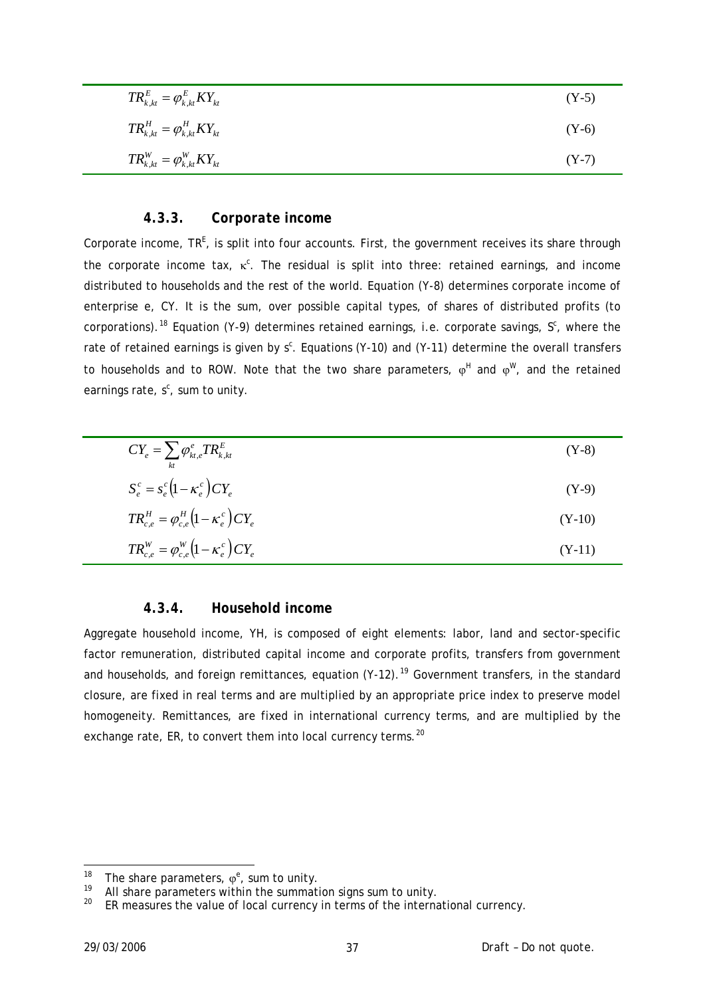| $TR_{k,kt}^E = \varphi_{k,kt}^E KY_{kt}$ | $(Y-5)$ |
|------------------------------------------|---------|
| $TR_{k,kt}^H = \varphi_{k,kt}^H KY_{kt}$ | $(Y-6)$ |
| $TR_{k,kt}^W = \varphi_{k,kt}^W KY_{kt}$ | $(Y-7)$ |

#### *4.3.3. Corporate income*

Corporate income, TR<sup>E</sup>, is split into four accounts. First, the government receives its share through the corporate income tax, κ<sup>c</sup>. The residual is split into three: retained earnings, and income distributed to households and the rest of the world. Equation (Y-8) determines corporate income of enterprise *e*, *CY*. It is the sum, over possible capital types, of shares of distributed profits (to corporations).<sup>[18](#page-36-0)</sup> Equation (Y-9) determines retained earnings, i.e. corporate savings,  $S<sup>c</sup>$ , where the rate of retained earnings is given by  $s^c$ . Equations (Y-10) and (Y-11) determine the overall transfers to households and to ROW. Note that the two share parameters,  $\varphi^H$  and  $\varphi^W$ , and the retained earnings rate,  $s^c$ , sum to unity.

| $CY_e = \sum_{kt} \varphi_{kt,e}^e TR_{k,kt}^E$                 | $(Y-8)$  |
|-----------------------------------------------------------------|----------|
| $S_e^c = s_e^c \left(1 - \kappa_e^c\right) C Y_e$               | $(Y-9)$  |
| $TR_{c.e}^H = \varphi_{c.e}^H \left(1 - \kappa_e^c\right) CY_e$ | $(Y-10)$ |
| $TR_{c,e}^{W} = \varphi_{c,e}^{W} (1 - \kappa_e^c) C Y_e$       | $(Y-11)$ |

#### *4.3.4. Household income*

Aggregate household income, *YH*, is composed of eight elements: labor, land and sector-specific factor remuneration, distributed capital income and corporate profits, transfers from government and households, and foreign remittances, equation (Y-12).<sup>[19](#page-36-1)</sup> Government transfers, in the standard closure, are fixed in real terms and are multiplied by an appropriate price index to preserve model homogeneity. Remittances, are fixed in international currency terms, and are multiplied by the exchange rate,  $ER$ , to convert them into local currency terms.<sup>[20](#page-36-2)</sup>

<span id="page-36-0"></span><sup>18</sup> <sup>18</sup> The share parameters,  $\varphi^e$ , sum to unity.

<span id="page-36-2"></span><span id="page-36-1"></span><sup>19</sup> All share parameters within the summation signs sum to unity.<br>20  $\mu$  and the summation signs sum to unity.

*ER* measures the value of local currency in terms of the international currency.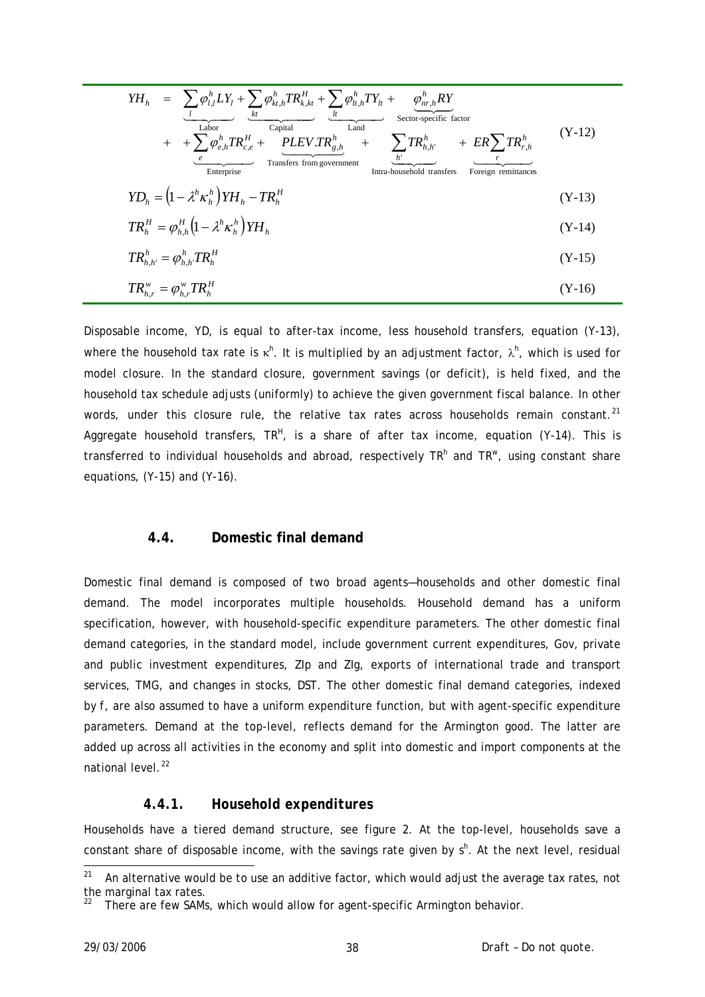$$
YH_{h} = \sum_{l} \varphi_{l,l}^{h} LY_{l} + \sum_{kl} \varphi_{kt,l}^{h} TR_{k,kt}^{H} + \sum_{l} \varphi_{lt,l}^{h} TY_{lt} + \varphi_{nr,h}^{h} RY
$$
  
\n
$$
+ + \sum_{l} \varphi_{e,h}^{h} TR_{c,e}^{H} + \varphi_{LEV} TR_{g,h}^{h} + \sum_{l} TR_{h,h'}^{h} + ER \sum_{r} TR_{r,h}^{h}
$$
  
\n
$$
YD_{h} = (1 - \lambda^{h} \kappa_{h}^{h}) YH_{h} - TR_{h}^{H}
$$
  
\n
$$
TR_{h}^{H} = \varphi_{h,h}^{H} (1 - \lambda^{h} \kappa_{h}^{h}) YH_{h}
$$
  
\n
$$
TR_{h,r}^{H} = \varphi_{h,h}^{h} TR_{h}^{H}
$$
  
\n
$$
(Y-13)
$$
  
\n
$$
TR_{h,r}^{V} = \varphi_{h,r}^{W} TR_{h}^{H}
$$
  
\n
$$
(Y-16)
$$

Disposable income, *YD*, is equal to after-tax income, less household transfers, equation (Y-13), where the household tax rate is κ<sup>*h*</sup>. It is multiplied by an adjustment factor, λ<sup>*h*</sup>, which is used for model closure. In the standard closure, government savings (or deficit), is held fixed, and the household tax schedule adjusts (uniformly) to achieve the given government fiscal balance. In other words, under this closure rule, the relative tax rates across households remain constant.<sup>[21](#page-37-0)</sup> Aggregate household transfers,  $TR^H$ , is a share of after tax income, equation (Y-14). This is transferred to individual households and abroad, respectively TR<sup>h</sup> and TR<sup>w</sup>, using constant share equations, (Y-15) and (Y-16).

### **4.4. Domestic final demand**

Domestic final demand is composed of two broad agents—households and other domestic final demand. The model incorporates multiple households. Household demand has a uniform specification, however, with household-specific expenditure parameters. The other domestic final demand categories, in the standard model, include government current expenditures, *Gov*, private and public investment expenditures, *ZIp* and *ZIg*, exports of international trade and transport services, *TMG*, and changes in stocks, *DST*. The other domestic final demand categories, indexed by *f*, are also assumed to have a uniform expenditure function, but with agent-specific expenditure parameters. Demand at the top-level, reflects demand for the Armington good. The latter are added up across all activities in the economy and split into domestic and import components at the national level.<sup>[22](#page-37-1)</sup>

#### *4.4.1. Household expenditures*

Households have a tiered demand structure, see figure 2. At the top-level, households save a constant share of disposable income, with the savings rate given by  $s<sup>h</sup>$ . At the next level, residual

<span id="page-37-1"></span><span id="page-37-0"></span> $21$ An alternative would be to use an additive factor, which would adjust the average tax rates, not the marginal tax rates.

There are few SAMs, which would allow for agent-specific Armington behavior.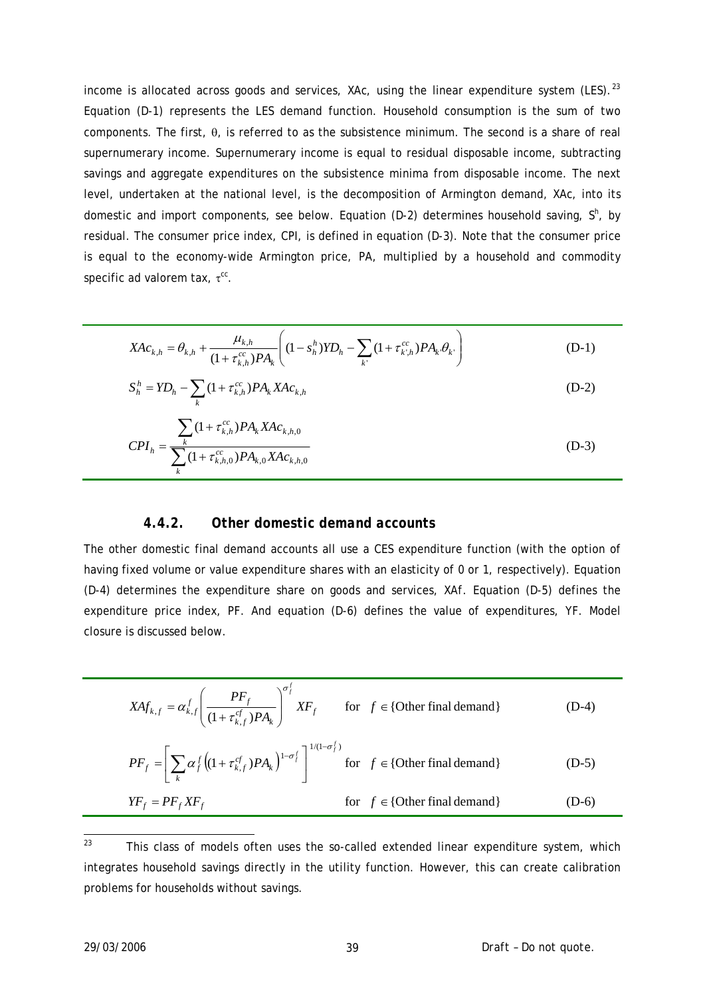income is allocated across goods and services,  $XAC$ , using the linear expenditure system (LES).<sup>[23](#page-38-0)</sup> Equation (D-1) represents the LES demand function. Household consumption is the sum of two components. The first, θ, is referred to as the subsistence minimum. The second is a share of real supernumerary income. Supernumerary income is equal to residual disposable income, subtracting savings and aggregate expenditures on the subsistence minima from disposable income. The next level, undertaken at the national level, is the decomposition of Armington demand, *XAc*, into its domestic and import components, see below. Equation (D-2) determines household saving, S<sup>h</sup>, by residual. The consumer price index, *CPI*, is defined in equation (D-3). Note that the consumer price is equal to the economy-wide Armington price, *PA*, multiplied by a household and commodity specific ad valorem tax, τ<sup>cc</sup>.

$$
XAc_{k,h} = \theta_{k,h} + \frac{\mu_{k,h}}{(1 + \tau_{k,h}^{cc})PA_k} \left( (1 - s_h^h)YD_h - \sum_{k'} (1 + \tau_{k',h}^{cc})PA_k \theta_{k'} \right)
$$
(D-1)

$$
S_h^h = Y D_h - \sum_k (1 + \tau_{k,h}^{cc}) P A_k X A c_{k,h}
$$
 (D-2)

$$
CPI_h = \frac{\sum_{k} (1 + \tau_{k,h}^{cc}) P A_k X A c_{k,h,0}}{\sum_{k} (1 + \tau_{k,h,0}^{cc}) P A_{k,0} X A c_{k,h,0}}
$$
(D-3)

#### *4.4.2. Other domestic demand accounts*

The other domestic final demand accounts all use a CES expenditure function (with the option of having fixed volume or value expenditure shares with an elasticity of 0 or 1, respectively). Equation (D-4) determines the expenditure share on goods and services, *XAf*. Equation (D-5) defines the expenditure price index, *PF*. And equation (D-6) defines the value of expenditures, *YF*. Model closure is discussed below.

$$
XAf_{k,f} = \alpha_{k,f}^f \left( \frac{PF_f}{(1 + \tau_{k,f}^{cf})PA_k} \right)^{\sigma_f^f} XF_f \quad \text{for } f \in \{\text{Other final demand}\}
$$
\n
$$
PF_f = \left[ \sum_k \alpha_f^f \left( (1 + \tau_{k,f}^{cf})PA_k \right)^{1-\sigma_f^f} \right]^{1/(1-\sigma_f^f)} \quad \text{for } f \in \{\text{Other final demand}\}
$$
\n
$$
YF_f = PF_f XF_f \quad \text{for } f \in \{\text{Other final demand}\}
$$
\n(D-6)

<span id="page-38-0"></span> $23$ This class of models often uses the so-called extended linear expenditure system, which integrates household savings directly in the utility function. However, this can create calibration problems for households without savings.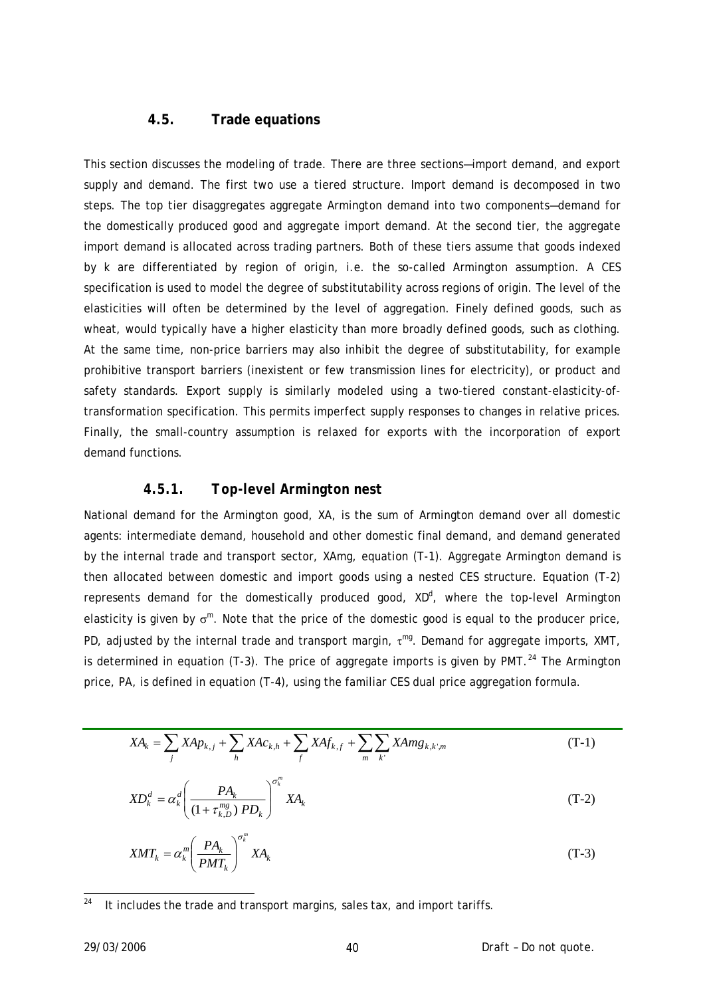#### **4.5. Trade equations**

This section discusses the modeling of trade. There are three sections—import demand, and export supply and demand. The first two use a tiered structure. Import demand is decomposed in two steps. The top tier disaggregates aggregate Armington demand into two components—demand for the domestically produced good and aggregate import demand. At the second tier, the aggregate import demand is allocated across trading partners. Both of these tiers assume that goods indexed by *k* are differentiated by region of origin, i.e. the so-called Armington assumption. A CES specification is used to model the degree of substitutability across regions of origin. The level of the elasticities will often be determined by the level of aggregation. Finely defined goods, such as wheat, would typically have a higher elasticity than more broadly defined goods, such as clothing. At the same time, non-price barriers may also inhibit the degree of substitutability, for example prohibitive transport barriers (inexistent or few transmission lines for electricity), or product and safety standards. Export supply is similarly modeled using a two-tiered constant-elasticity-oftransformation specification. This permits imperfect supply responses to changes in relative prices. Finally, the small-country assumption is relaxed for exports with the incorporation of export demand functions.

## *4.5.1. Top-level Armington nest*

National demand for the Armington good, *XA*, is the sum of Armington demand over all domestic agents: intermediate demand, household and other domestic final demand, and demand generated by the internal trade and transport sector, *XAmg*, equation (T-1). Aggregate Armington demand is then allocated between domestic and import goods using a nested CES structure. Equation (T-2) represents demand for the domestically produced good, XD<sup>d</sup>, where the top-level Armington elasticity is given by  $\sigma^m$ . Note that the price of the domestic good is equal to the producer price, *PD*, adjusted by the internal trade and transport margin, τ *mg*. Demand for aggregate imports, *XMT*, is determined in equation (T-3). The price of aggregate imports is given by *PMT*. [24](#page-39-0) The Armington price, *PA*, is defined in equation (T-4), using the familiar CES dual price aggregation formula.

$$
XA_{k} = \sum_{j} XAp_{k,j} + \sum_{h} XAc_{k,h} + \sum_{f} XAf_{k,f} + \sum_{m} \sum_{k'} XAmg_{k,k',m}
$$
 (T-1)

$$
XD_k^d = \alpha_k^d \left( \frac{PA_k}{\left(1 + \tau_{k,D}^{mg}\right) PD_k}\right)^{\sigma_k^m} XA_k \tag{T-2}
$$

$$
XMT_k = \alpha_k^m \left(\frac{PA_k}{PMT_k}\right)^{\sigma_k^m} XA_k \tag{T-3}
$$

-

<span id="page-39-0"></span>It includes the trade and transport margins, sales tax, and import tariffs.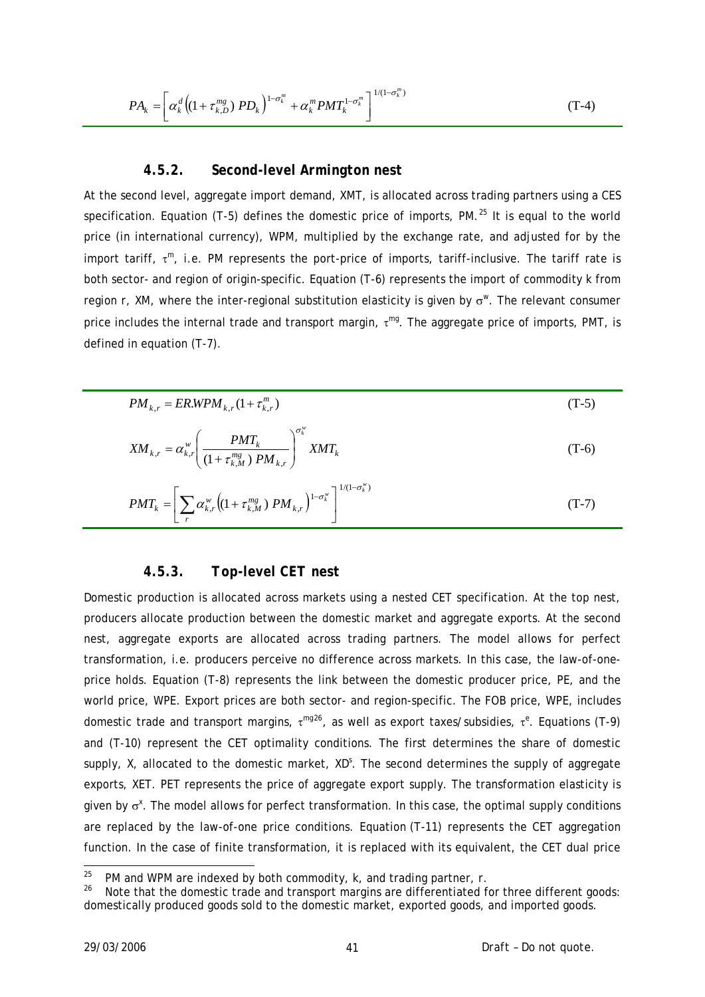$$
PA_{k} = \left[\alpha_{k}^{d}\left((1+\tau_{k,D}^{mg})\;PD_{k}\right)^{1-\sigma_{k}^{m}} + \alpha_{k}^{m}PMT_{k}^{1-\sigma_{k}^{m}}\right]^{1/(1-\sigma_{k}^{m})}
$$
(T-4)

#### *4.5.2. Second-level Armington nest*

At the second level, aggregate import demand, *XMT*, is allocated across trading partners using a CES specification. Equation (T-5) defines the domestic price of imports, *PM*. [25](#page-40-0) It is equal to the world price (in international currency), *WPM*, multiplied by the exchange rate, and adjusted for by the import tariff, τ *<sup>m</sup>*, i.e. *PM* represents the port-price of imports, tariff-inclusive. The tariff rate is both sector- and region of origin-specific. Equation (T-6) represents the import of commodity *k* from region *r*, *XM*, where the inter-regional substitution elasticity is given by σ*<sup>w</sup>*. The relevant consumer price includes the internal trade and transport margin, τ *mg*. The aggregate price of imports, *PMT*, is defined in equation (T-7).

$$
PM_{k,r} = ERWPM_{k,r}(1+\tau_{k,r}^m)
$$
\n
$$
(T-5)
$$

$$
XM_{k,r} = \alpha_{k,r}^{w} \left( \frac{PMT_k}{(1 + \tau_{k,M}^{mg}) P M_{k,r}} \right)^{\sigma_k^{w}} XMT_k
$$
 (T-6)

$$
PMT_k = \left[ \sum_r \alpha_{k,r}^w \left( (1 + \tau_{k,M}^{mg}) P M_{k,r} \right)^{1 - \sigma_k^w} \right]^{1/(1 - \sigma_k^w)}
$$
(T-7)

#### *4.5.3. Top-level CET nest*

Domestic production is allocated across markets using a nested CET specification. At the top nest, producers allocate production between the domestic market and aggregate exports. At the second nest, aggregate exports are allocated across trading partners. The model allows for perfect transformation, i.e. producers perceive no difference across markets. In this case, the law-of-oneprice holds. Equation (T-8) represents the link between the domestic producer price, *PE*, and the world price, *WPE*. Export prices are both sector- and region-specific. The FOB price, *WPE*, includes domestic trade and transport margins, τ *mg*[26](#page-40-1), as well as export taxes/subsidies, τ *e* . Equations (T-9) and (T-10) represent the CET optimality conditions. The first determines the share of domestic supply, *X*, allocated to the domestic market, *XD*<sup>S</sup>. The second determines the supply of aggregate exports, *XET*. PET represents the price of aggregate export supply. The transformation elasticity is given by σ*<sup>x</sup>* . The model allows for perfect transformation. In this case, the optimal supply conditions are replaced by the law-of-one price conditions. Equation (T-11) represents the CET aggregation function. In the case of finite transformation, it is replaced with its equivalent, the CET dual price

 $25$ 

<span id="page-40-1"></span><span id="page-40-0"></span><sup>&</sup>lt;sup>25</sup> *PM* and *WPM* are indexed by both commodity,  $k$ , and trading partner,  $r$ .<br><sup>26</sup> Note that the domestic trade and transport margins are differentiated for three different goods: domestically produced goods sold to the domestic market, exported goods, and imported goods.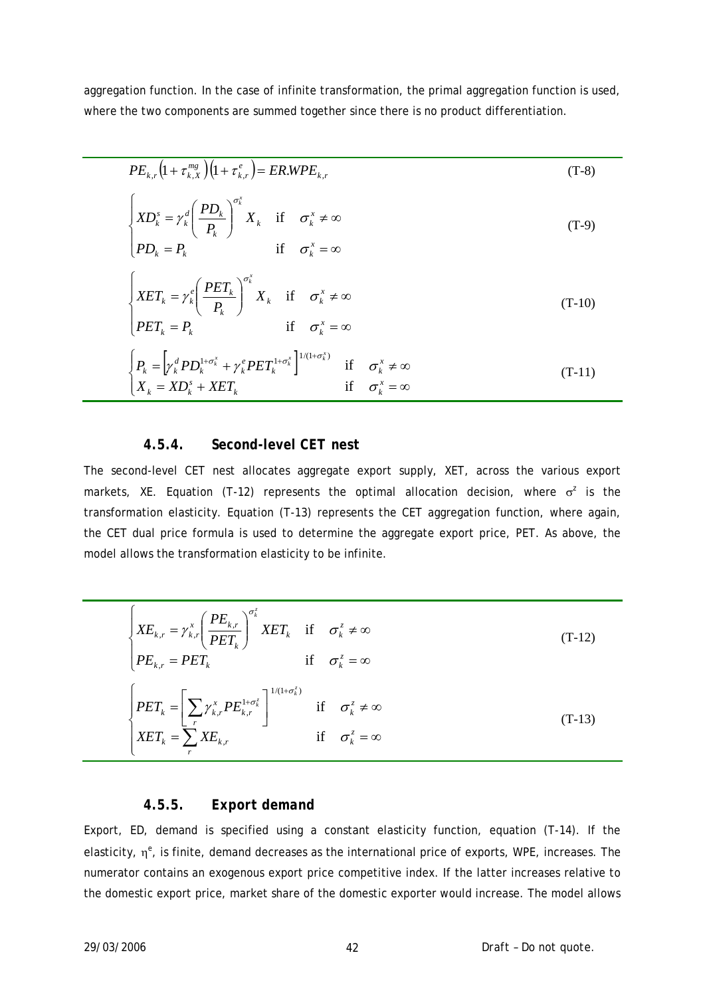aggregation function. In the case of infinite transformation, the primal aggregation function is used, where the two components are summed together since there is no product differentiation.

$$
PE_{k,r}\left(1+\tau_{k,X}^{mg}\right)\left(1+\tau_{k,r}^{e}\right)=ER.WPE_{k,r}
$$
\n(T-8)  
\n
$$
\begin{cases}\nXD_{k}^{s} = \gamma_{k}^{d}\left(\frac{PD_{k}}{P_{k}}\right)^{\sigma_{k}^{x}}X_{k} & \text{if } \sigma_{k}^{x} \neq \infty \\
PD_{k} = P_{k} & \text{if } \sigma_{k}^{x} = \infty\n\end{cases}
$$
\n(T-9)  
\n
$$
\begin{cases}\nXET_{k} = \gamma_{k}^{e}\left(\frac{PET_{k}}{P_{k}}\right)^{\sigma_{k}^{x}}X_{k} & \text{if } \sigma_{k}^{x} \neq \infty \\
PET_{k} = P_{k} & \text{if } \sigma_{k}^{x} = \infty\n\end{cases}
$$
\n(T-10)  
\n
$$
\begin{cases}\nP_{k} = \left[\gamma_{k}^{d}PD_{k}^{1+\sigma_{k}^{x}} + \gamma_{k}^{e}PET_{k}^{1+\sigma_{k}^{x}}\right]^{1/(1+\sigma_{k}^{x})} & \text{if } \sigma_{k}^{x} \neq \infty \\
X_{k} = XD_{k}^{s} + XET_{k} & \text{if } \sigma_{k}^{x} = \infty\n\end{cases}
$$
\n(T-11)

### *4.5.4. Second-level CET nest*

The second-level CET nest allocates aggregate export supply, *XET*, across the various export markets, *XE*. Equation (T-12) represents the optimal allocation decision, where σ*<sup>z</sup>* is the transformation elasticity. Equation (T-13) represents the CET aggregation function, where again, the CET dual price formula is used to determine the aggregate export price, *PET*. As above, the model allows the transformation elasticity to be infinite.

$$
\begin{cases}\nXE_{k,r} = \gamma_{k,r}^{x} \left(\frac{PE_{k,r}}{PET_k}\right)^{\sigma_k^{z}} XET_k & \text{if } \sigma_k^{z} \neq \infty \\
PE_{k,r} = PET_k & \text{if } \sigma_k^{z} = \infty\n\end{cases}
$$
\n(T-12)\n
$$
\begin{cases}\nPET_k = \left[\sum_{r} \gamma_{k,r}^{x} PE_{k,r}^{1 + \sigma_k^{z}}\right]^{1/(1 + \sigma_k^{z})} & \text{if } \sigma_k^{z} \neq \infty \\
XET_k = \sum_{r} XE_{k,r} & \text{if } \sigma_k^{z} = \infty\n\end{cases}
$$
\n(T-13)

## *4.5.5. Export demand*

Export, *ED*, demand is specified using a constant elasticity function, equation (T-14). If the elasticity, η*<sup>e</sup>* , is finite, demand decreases as the international price of exports, *WPE*, increases. The numerator contains an exogenous export price competitive index. If the latter increases relative to the domestic export price, market share of the domestic exporter would increase. The model allows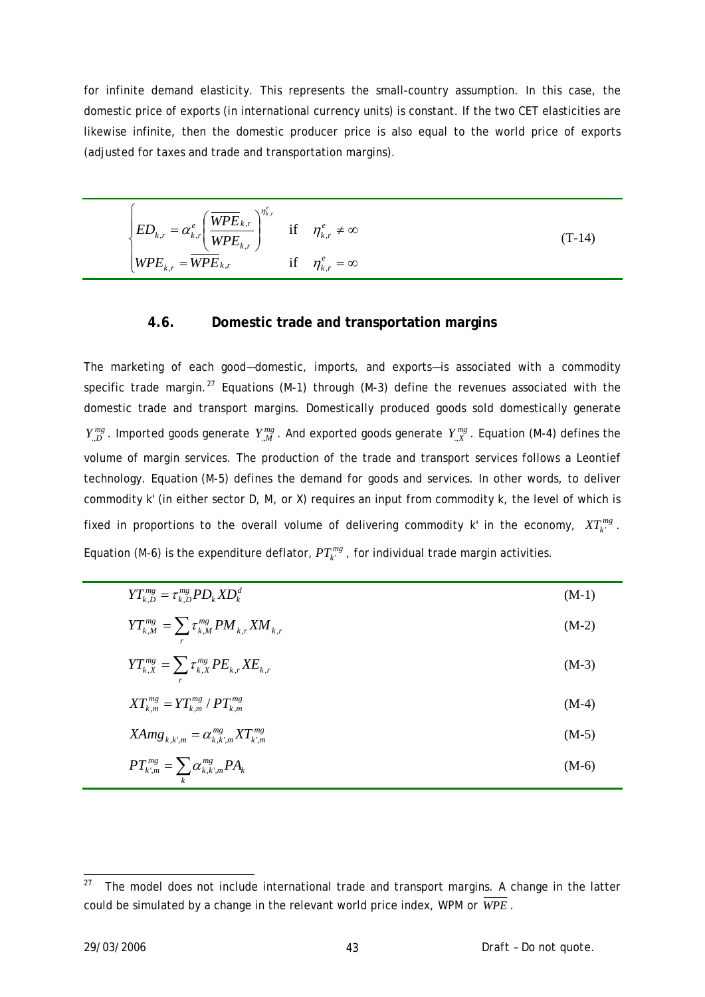for infinite demand elasticity. This represents the small-country assumption. In this case, the domestic price of exports (in international currency units) is constant. If the two CET elasticities are likewise infinite, then the domestic producer price is also equal to the world price of exports (adjusted for taxes and trade and transportation margins).

$$
\begin{cases}\nED_{k,r} = \alpha_{k,r}^e \left(\frac{\overline{WPE}_{k,r}}{WPE_{k,r}}\right)^{\eta_{k,r}^e} & \text{if } \eta_{k,r}^e \neq \infty \\
WPE_{k,r} = \overline{WPE}_{k,r} & \text{if } \eta_{k,r}^e = \infty\n\end{cases} \tag{T-14}
$$

#### **4.6. Domestic trade and transportation margins**

The marketing of each good—domestic, imports, and exports—is associated with a commodity specific trade margin.<sup>[27](#page-42-0)</sup> Equations (M-1) through (M-3) define the revenues associated with the domestic trade and transport margins. Domestically produced goods sold domestically generate  $Y_{n,D}^{mg}$ . Imported goods generate  $Y_{n,M}^{mg}$ . And exported goods generate  $Y_{n,X}^{mg}$ . Equation (M-4) defines the volume of margin services. The production of the trade and transport services follows a Leontief technology. Equation (M-5) defines the demand for goods and services. In other words, to deliver commodity *k*' (in either sector *D*, *M*, or *X*) requires an input from commodity *k*, the level of which is fixed in proportions to the overall volume of delivering commodity  $k$  in the economy,  $XT_{k}^{mg}$ . Equation (M-6) is the expenditure deflator,  $PT_{k'}^{mg}$ , for individual trade margin activities.

| $YT_{k,D}^{mg} = \tau_{k,D}^{mg} PD_k X D_k^d$           | $(M-1)$ |
|----------------------------------------------------------|---------|
| $YT_{k,M}^{mg} = \sum \tau_{k,M}^{mg} PM_{k,r}XM_{k,r}$  | $(M-2)$ |
| $YT_{k,X}^{mg} = \sum \tau_{k,X}^{mg} PE_{k,r} XE_{k,r}$ | $(M-3)$ |
| $XT_{k,m}^{mg} = YT_{k,m}^{mg} / PT_{k,m}^{mg}$          | $(M-4)$ |
| $X\!Amg_{k,k',m} = \alpha_{k,k',m}^{mg} X T_{k',m}^{mg}$ | $(M-5)$ |
| $PT_{k,m}^{mg} = \sum \alpha_{k,k,m}^{mg} P A_k$         | $(M-6)$ |

<span id="page-42-0"></span><sup>27</sup> The model does not include international trade and transport margins. A change in the latter could be simulated by a change in the relevant world price index, *WPM* or *WPE* .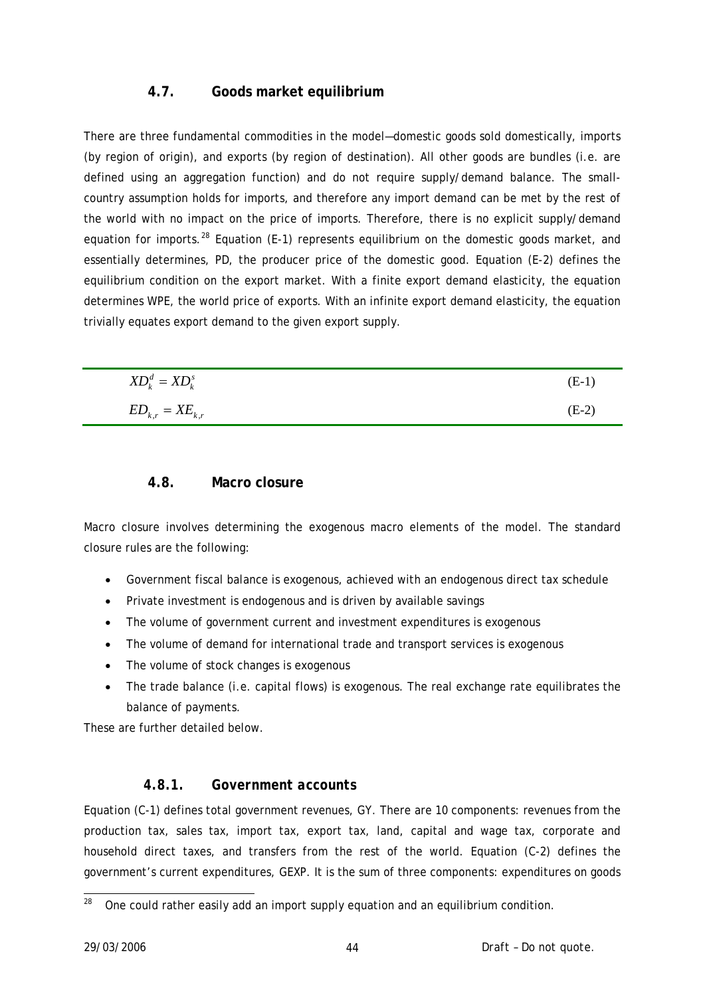## **4.7. Goods market equilibrium**

There are three fundamental commodities in the model—domestic goods sold domestically, imports (by region of origin), and exports (by region of destination). All other goods are bundles (i.e. are defined using an aggregation function) and do not require supply/demand balance. The smallcountry assumption holds for imports, and therefore any import demand can be met by the rest of the world with no impact on the price of imports. Therefore, there is no explicit supply/demand equation for imports.<sup>[28](#page-43-0)</sup> Equation (E-1) represents equilibrium on the domestic goods market, and essentially determines, *PD*, the producer price of the domestic good. Equation (E-2) defines the equilibrium condition on the export market. With a finite export demand elasticity, the equation determines *WPE*, the world price of exports. With an infinite export demand elasticity, the equation trivially equates export demand to the given export supply.

| $XD_k^d = \mathsf{XD}_k^s$ | $(E-1)$ |
|----------------------------|---------|
| $ED_{k,r} = XE_{k,r}$      | $(E-2)$ |

## **4.8. Macro closure**

Macro closure involves determining the exogenous macro elements of the model. The standard closure rules are the following:

- Government fiscal balance is exogenous, achieved with an endogenous direct tax schedule
- Private investment is endogenous and is driven by available savings
- The volume of government current and investment expenditures is exogenous
- The volume of demand for international trade and transport services is exogenous
- The volume of stock changes is exogenous
- The trade balance (i.e. capital flows) is exogenous. The real exchange rate equilibrates the balance of payments.

These are further detailed below.

## *4.8.1. Government accounts*

Equation (C-1) defines total government revenues, *GY*. There are 10 components: revenues from the production tax, sales tax, import tax, export tax, land, capital and wage tax, corporate and household direct taxes, and transfers from the rest of the world. Equation (C-2) defines the government's current expenditures, *GEXP*. It is the sum of three components: expenditures on goods

<span id="page-43-0"></span><sup>28</sup> 28 One could rather easily add an import supply equation and an equilibrium condition.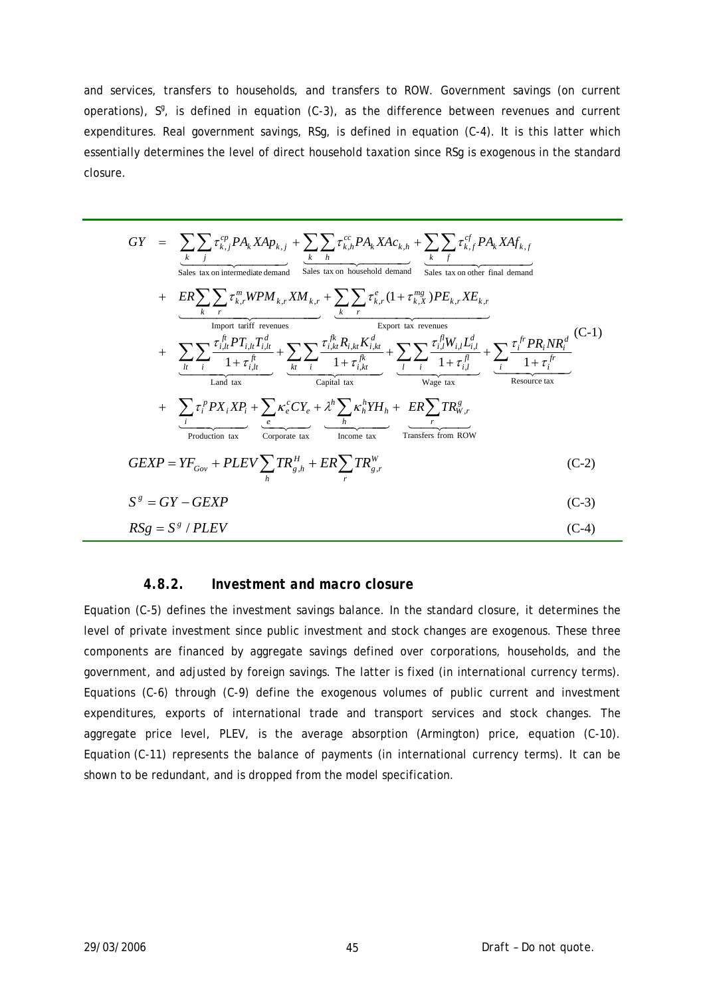and services, transfers to households, and transfers to ROW. Government savings (on current operations),  $\mathcal{S}$ , is defined in equation (C-3), as the difference between revenues and current expenditures. Real government savings, *RSg*, is defined in equation (C-4). It is this latter which essentially determines the level of direct household taxation since *RSg* is exogenous in the standard closure.

$$
GY = \sum_{k} \sum_{j} \tau_{k,j}^{cp} P A_{k} X A p_{k,j} + \sum_{k} \sum_{h} \tau_{k,h}^{cc} P A_{k} X A c_{k,h} + \sum_{k} \sum_{f} \tau_{k,f}^{cf} P A_{k} X A f_{k,f}
$$
  
\nSales tax on intermediate demand  
\n
$$
+ \underbrace{ER \sum_{k} \sum_{r} \tau_{k,r}^{m} W P M_{k,r} X M_{k,r}}_{\text{Import tartiff revenues}} + \underbrace{\sum_{k} \sum_{r} \tau_{k,r}^{e} (1 + \tau_{k,X}^{mg}) P E_{k,r} X E_{k,r}}_{\text{Support tax revenues}}
$$
  
\n
$$
+ \underbrace{\sum_{h} \sum_{i} \tau_{i,h}^{fn} P T_{i,h} T_{i,h}^{d}}_{\text{Land tax}} + \underbrace{\sum_{k} \sum_{i} \tau_{i,k,h}^{fk} R_{i,k,h} K_{i,k}^{d}}_{\text{Capital tax}} + \underbrace{\sum_{i} \sum_{j} \tau_{i,h}^{fn} P T_{i,h} T_{i,h}^{d}}_{\text{Capital tax}}
$$
  
\n
$$
+ \underbrace{\sum_{i} \tau_{i}^{fp} P X_{i} X P_{i}}_{\text{Land tax}} + \underbrace{\sum_{k} \sum_{r} \tau_{i,k,h}^{fk} R_{i,k,h} K_{i,k}^{d}}_{\text{Capital tax}} + \underbrace{\sum_{i} \sum_{j} \tau_{i,h}^{fn} W_{i,j} L_{i,j}^{d}}_{\text{Population tax}} + \underbrace{\sum_{i} \tau_{i}^{fp} P X_{i} X P_{i}}_{\text{Condition tax}} + \underbrace{\sum_{i} \tau_{i}^{e} P X_{i} X P_{i}}_{\text{Coriprate tax}}
$$
  
\n
$$
+ \underbrace{\sum_{i} \tau_{i}^{p} P X_{i} X P_{i}}_{\text{Production tax}} + \underbrace{\sum_{i} \kappa_{e}^{c} C Y_{e}}_{\text{Coriprate tax}}
$$
  
\n
$$
+ \underbrace{\sum_{i} \tau_{i}^{p} P X_{i} X P_{i}}_{\text{Coriprate tax}}
$$
  
\n
$$
GEXP = Y F_{Gov} + PLEV \sum_{h} T R_{g,h}^{H} + ER \sum_{r} T R_{g,r}^{W}
$$
  
\n
$$
S^{g} =
$$

#### *4.8.2. Investment and macro closure*

Equation (C-5) defines the investment savings balance. In the standard closure, it determines the level of private investment since public investment and stock changes are exogenous. These three components are financed by aggregate savings defined over corporations, households, and the government, and adjusted by foreign savings. The latter is fixed (in international currency terms). Equations (C-6) through (C-9) define the exogenous volumes of public current and investment expenditures, exports of international trade and transport services and stock changes. The aggregate price level, *PLEV*, is the average absorption (Armington) price, equation (C-10). Equation (C-11) represents the balance of payments (in international currency terms). It can be shown to be redundant, and is dropped from the model specification.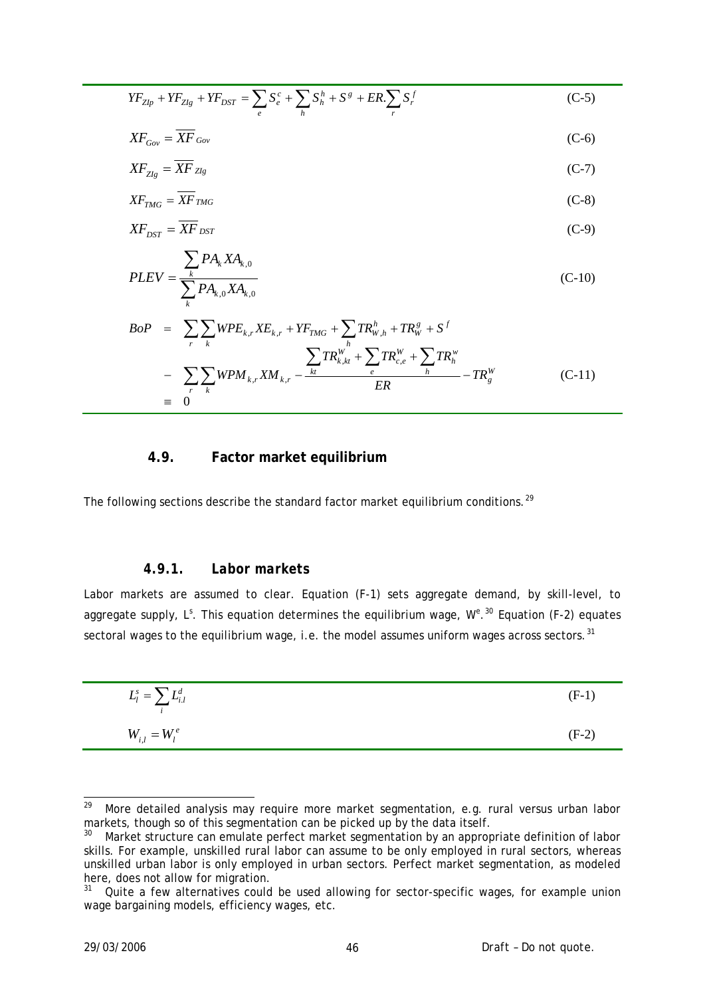$$
YF_{Zlp} + YF_{Zlg} + YF_{DST} = \sum_{e} S_e^c + \sum_{h} S_h^h + S^g + ER \cdot \sum_{r} S_r^f
$$
 (C-5)

$$
XF_{Gov} = \overline{XF}_{Gov} \tag{C-6}
$$

$$
XF_{Zlg} = \overline{XF}_{Zlg} \tag{C-7}
$$

$$
XF_{TMG} = \overline{XF}_{TMG} \tag{C-8}
$$

$$
XF_{DST} = \overline{XF}_{DST} \tag{C-9}
$$

$$
PLEV = \frac{\sum_{k} PA_{k} X A_{k,0}}{\sum_{k} PA_{k,0} X A_{k,0}}
$$
 (C-10)

$$
BoP = \sum_{r} \sum_{k} WPE_{k,r} XE_{k,r} + YF_{TMG} + \sum_{h} TR_{W,h}^{h} + TR_{W}^{g} + S^{f}
$$
  

$$
- \sum_{r} \sum_{k} WPM_{k,r} XM_{k,r} - \frac{\sum_{kt} TR_{k,kt}^{W} + \sum_{e} TR_{c,e}^{W} + \sum_{h} TR_{g}^{W}}{ER} - TR_{g}^{W}
$$
  

$$
\equiv 0
$$
 (C-11)

## **4.9. Factor market equilibrium**

The following sections describe the standard factor market equilibrium conditions.<sup>[29](#page-45-0)</sup>

## *4.9.1. Labor markets*

Labor markets are assumed to clear. Equation (F-1) sets aggregate demand, by skill-level, to aggregate supply, L<sup>s</sup>. This equation determines the equilibrium wage,  $W^{2,30}$  $W^{2,30}$  $W^{2,30}$  Equation (F-2) equates sectoral wages to the equilibrium wage, i.e. the model assumes uniform wages across sectors.  $31$ 

| $L_l^s = \sum L_{i.l}^d$ | $(F-1)$ |
|--------------------------|---------|
| $W_{i,l} = W_l^e$        | $(F-2)$ |

<span id="page-45-0"></span><sup>29</sup> More detailed analysis may require more market segmentation, e.g. rural versus urban labor markets, though so of this segmentation can be picked up by the data itself.

<span id="page-45-1"></span><sup>&</sup>lt;sup>30</sup> Market structure can emulate perfect market segmentation by an appropriate definition of labor skills. For example, unskilled rural labor can assume to be only employed in rural sectors, whereas unskilled urban labor is only employed in urban sectors. Perfect market segmentation, as modeled here, does not allow for migration.

<span id="page-45-2"></span><sup>&</sup>lt;sup>31</sup> Quite a few alternatives could be used allowing for sector-specific wages, for example union wage bargaining models, efficiency wages, etc.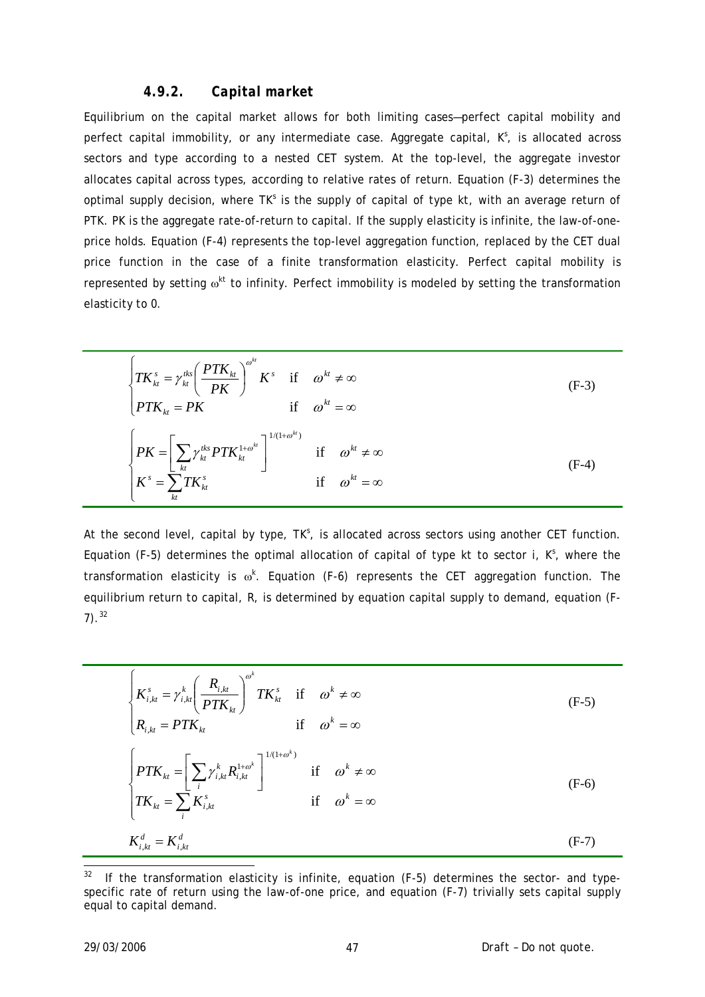### *4.9.2. Capital market*

Equilibrium on the capital market allows for both limiting cases—perfect capital mobility and perfect capital immobility, or any intermediate case. Aggregate capital,  $K^s$ , is allocated across sectors and type according to a nested CET system. At the top-level, the aggregate investor allocates capital across types, according to relative rates of return. Equation (F-3) determines the optimal supply decision, where  $TK^s$  is the supply of capital of type  $kt$ , with an average return of *PTK*. *PK* is the aggregate rate-of-return to capital. If the supply elasticity is infinite, the law-of-oneprice holds. Equation (F-4) represents the top-level aggregation function, replaced by the CET dual price function in the case of a finite transformation elasticity. Perfect capital mobility is represented by setting  $\omega^{kt}$  to infinity. Perfect immobility is modeled by setting the transformation elasticity to 0.

$$
\begin{cases}\nTK_{kt}^{s} = \gamma_{kt}^{tks} \left(\frac{PTK_{kt}}{PK}\right)^{\omega^{kt}} K^{s} & \text{if } \omega^{kt} \neq \infty \\
PTK_{kt} = PK & \text{if } \omega^{kt} = \infty\n\end{cases}
$$
\n(F-3)\n
$$
\begin{cases}\nPK = \left[\sum_{kt} \gamma_{kt}^{tks} PTK_{kt}^{1+\omega^{kt}}\right]^{1/(1+\omega^{kt})} & \text{if } \omega^{kt} \neq \infty \\
K^{s} = \sum_{kt} TK_{kt}^{s} & \text{if } \omega^{kt} = \infty\n\end{cases}
$$
\n(F-4)

At the second level, capital by type, TK<sup>o</sup>, is allocated across sectors using another CET function. Equation (F-5) determines the optimal allocation of capital of type  $kt$  to sector  $i$ ,  $K^s$ , where the transformation elasticity is ω*<sup>k</sup>* . Equation (F-6) represents the CET aggregation function. The equilibrium return to capital, *R*, is determined by equation capital supply to demand, equation (F- $7)$ .  $32$ 

$$
\begin{cases}\nK_{i,kt}^{s} = \gamma_{i,kt}^{k} \left(\frac{R_{i,kt}}{PTK_{kt}}\right)^{\omega^{k}} TK_{kt}^{s} & \text{if } \omega^{k} \neq \infty \\
R_{i,kt} = PTK_{kt} & \text{if } \omega^{k} = \infty\n\end{cases}
$$
\n
$$
\begin{cases}\nPTK_{kt} = \left[\sum_{i} \gamma_{i,kt}^{k} R_{i,kt}^{1+\omega^{k}}\right]^{1/(1+\omega^{k})} & \text{if } \omega^{k} \neq \infty \\
TK_{kt} = \sum_{i} K_{i,kt}^{s} & \text{if } \omega^{k} = \infty\n\end{cases}
$$
\n
$$
K_{i,kt}^{d} = K_{i,kt}^{d}
$$
\n(F-7)

<span id="page-46-0"></span> $32\,$ If the transformation elasticity is infinite, equation (F-5) determines the sector- and typespecific rate of return using the law-of-one price, and equation (F-7) trivially sets capital supply equal to capital demand.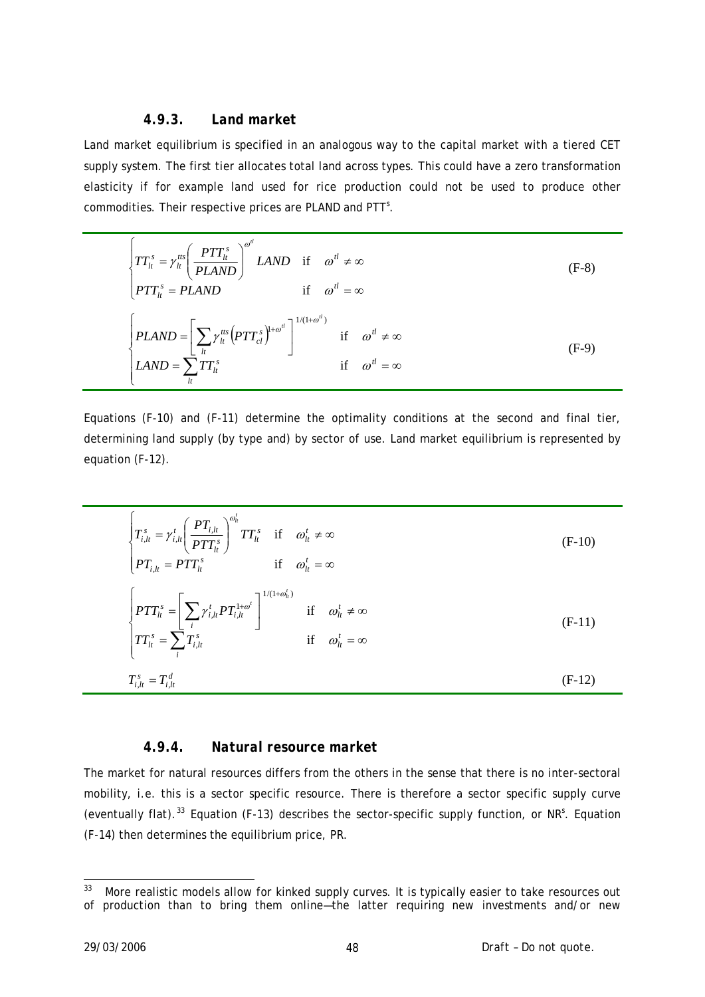## *4.9.3. Land market*

Land market equilibrium is specified in an analogous way to the capital market with a tiered CET supply system. The first tier allocates total land across types. This could have a zero transformation elasticity if for example land used for rice production could not be used to produce other commodities. Their respective prices are *PLAND* and *PTT*<sup>5</sup>.

$$
\begin{cases}\nTT_{lt}^{s} = \gamma_{lt}^{tts} \left(\frac{PTT_{lt}^{s}}{PLAND}\right)^{\omega^{tl}} LAND & \text{if } \omega^{tl} \neq \infty \\
PTT_{lt}^{s} = PLAND & \text{if } \omega^{tl} = \infty\n\end{cases}
$$
\n
$$
\begin{cases}\nPLAND = \left[\sum_{l} \gamma_{lt}^{tts} \left(PTT_{cl}^{s}\right)^{1+\omega^{tl}}\right]^{1/(1+\omega^{tl})} & \text{if } \omega^{tl} \neq \infty \\
LAND = \sum_{l} TT_{lt}^{s} & \text{if } \omega^{tl} = \infty\n\end{cases}
$$
\n
$$
(F-9)
$$

Equations (F-10) and (F-11) determine the optimality conditions at the second and final tier, determining land supply (by type and) by sector of use. Land market equilibrium is represented by equation (F-12).

$$
\begin{cases}\nT_{i,lt}^s = \gamma_{i,lt}^t \left(\frac{PT_{i,lt}}{PTT_{lt}^s}\right)^{\omega_{lt}^t} TT_t^s & \text{if } \omega_{lt}^t \neq \infty \\
PT_{i,lt} = PTT_t^s & \text{if } \omega_{lt}^t = \infty\n\end{cases}
$$
\n
$$
\begin{cases}\nPTT_{lt}^s = \left[\sum_i \gamma_{i,lt}^t PT_{i,lt}^{1+\omega_t^t}\right]^{1/(1+\omega_{lt}^t)} & \text{if } \omega_{lt}^t \neq \infty \\
TT_t^s = \sum_i T_{i,lt}^s & \text{if } \omega_{lt}^t = \infty\n\end{cases}
$$
\n
$$
T_{i,lt}^s = T_{i,lt}^d
$$
\n
$$
(F-12)
$$

## *4.9.4. Natural resource market*

The market for natural resources differs from the others in the sense that there is no inter-sectoral mobility, i.e. this is a sector specific resource. There is therefore a sector specific supply curve (eventually flat).<sup>[33](#page-47-0)</sup> Equation (F-13) describes the sector-specific supply function, or NR<sup>S</sup>. Equation (F-14) then determines the equilibrium price, *PR*.

<span id="page-47-0"></span><sup>33</sup> 33 More realistic models allow for kinked supply curves. It is typically easier to take resources out of production than to bring them online—the latter requiring new investments and/or new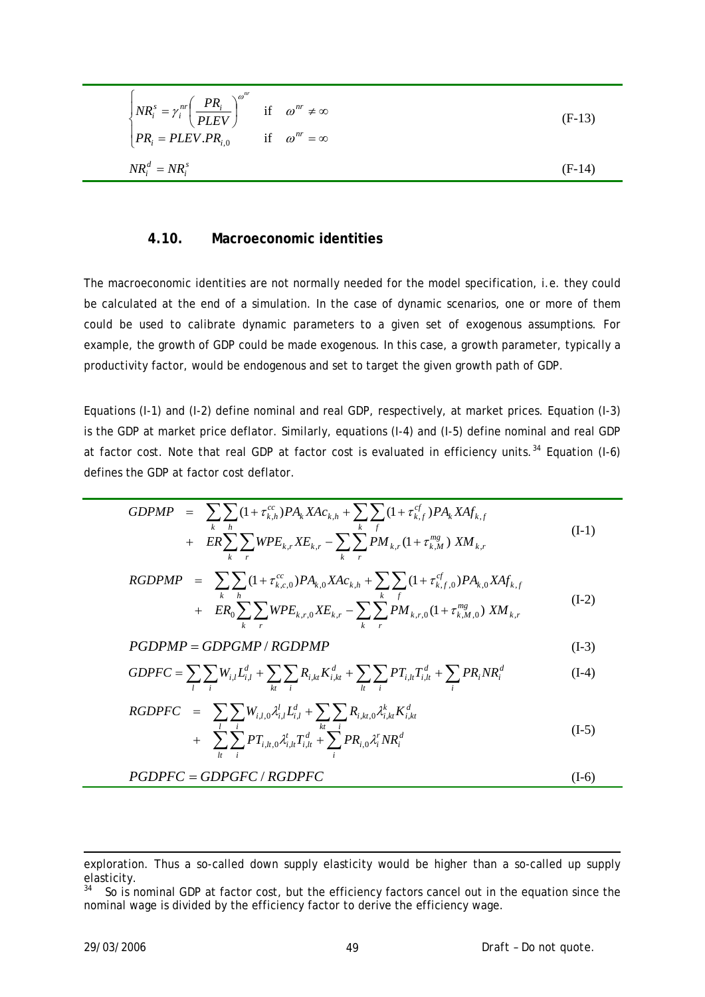$$
\begin{cases}\nNR_i^s = \gamma_i^{nr} \left(\frac{PR_i}{PLEV}\right)^{\omega^{nr}} & \text{if } \omega^{nr} \neq \infty \\
PR_i = PLEV.PR_{i,0} & \text{if } \omega^{nr} = \infty\n\end{cases}
$$
\n
$$
NR_i^d = NR_i^s
$$
\n(F-14)

#### **4.10. Macroeconomic identities**

The macroeconomic identities are not normally needed for the model specification, i.e. they could be calculated at the end of a simulation. In the case of dynamic scenarios, one or more of them could be used to calibrate dynamic parameters to a given set of exogenous assumptions. For example, the growth of GDP could be made exogenous. In this case, a growth parameter, typically a productivity factor, would be endogenous and set to target the given growth path of GDP.

Equations (I-1) and (I-2) define nominal and real GDP, respectively, at market prices. Equation (I-3) is the GDP at market price deflator. Similarly, equations (I-4) and (I-5) define nominal and real GDP at factor cost. Note that real GDP at factor cost is evaluated in efficiency units.<sup>[34](#page-48-0)</sup> Equation (I-6) defines the GDP at factor cost deflator.

$$
GDPMP = \sum_{k} \sum_{h} (1 + \tau_{k,h}^{cc}) P A_k X A c_{k,h} + \sum_{k} \sum_{f} (1 + \tau_{k,f}^{cf}) P A_k X A f_{k,f} + ER \sum_{k} \sum_{r} WPE_{k,r} X E_{k,r} - \sum_{k} \sum_{r} P M_{k,r} (1 + \tau_{k,M}^{mg}) X M_{k,r}
$$
(I-1)

$$
RGDPMP = \sum_{k} \sum_{h} (1 + \tau_{k,c,0}^{cc}) P A_{k,0} X A c_{k,h} + \sum_{k} \sum_{f} (1 + \tau_{k,f,0}^{cf}) P A_{k,0} X A f_{k,f}
$$
  
+  $ER_0 \sum_{k} \sum_{r} W P E_{k,r,0} X E_{k,r} - \sum_{k} \sum_{r} P M_{k,r,0} (1 + \tau_{k,M,0}^{mg}) X M_{k,r}$  (I-2)

$$
PGDPMP = GDPGMP / RGDPMP
$$
 (I-3)

$$
GDPFC = \sum_{l} \sum_{i} W_{i,l} L_{i,l}^{d} + \sum_{kt} \sum_{i} R_{i,kt} K_{i,kt}^{d} + \sum_{lt} \sum_{i} PT_{i,lt} T_{i,lt}^{d} + \sum_{i} PR_{i} NR_{i}^{d}
$$
(I-4)

$$
RGDPFC = \sum_{i} \sum_{i} W_{i,i,0} \lambda_{i,l}^{l} L_{i,l}^{d} + \sum_{k} \sum_{i} R_{i,k,t,0} \lambda_{i,kt}^{k} K_{i,kt}^{d}
$$
  
+ 
$$
\sum_{i} \sum_{i}^{l} PT_{i,t,0} \lambda_{i,lt}^{t} T_{i,lt}^{d} + \sum_{i}^{l} PR_{i,0} \lambda_{i}^{r} NR_{i}^{d}
$$
 (I-5)

$$
PGDPFC = GDPGFC / RGDPFC
$$
 (I-6)

-

exploration. Thus a so-called down supply elasticity would be higher than a so-called up supply elasticity.

<span id="page-48-0"></span><sup>&</sup>lt;sup>34</sup> So is nominal GDP at factor cost, but the efficiency factors cancel out in the equation since the nominal wage is divided by the efficiency factor to derive the efficiency wage.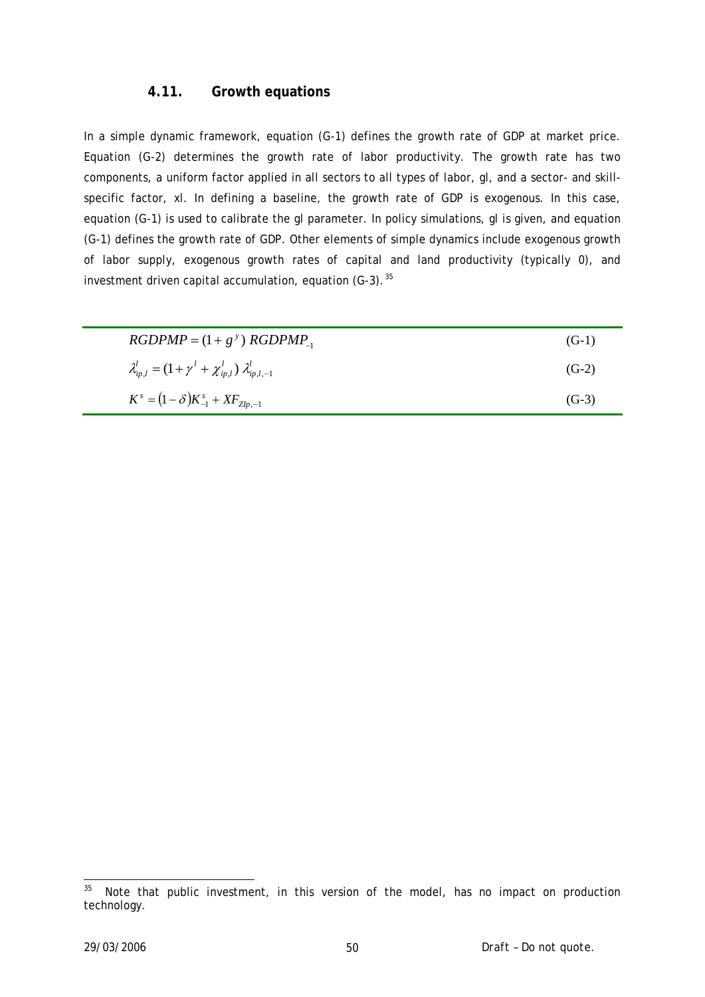## **4.11. Growth equations**

In a simple dynamic framework, equation (G-1) defines the growth rate of GDP at market price. Equation (G-2) determines the growth rate of labor productivity. The growth rate has two components, a uniform factor applied in all sectors to all types of labor, gl, and a sector- and skillspecific factor, xl. In defining a baseline, the growth rate of GDP is exogenous. In this case, equation (G-1) is used to calibrate the gl parameter. In policy simulations, gl is given, and equation (G-1) defines the growth rate of GDP. Other elements of simple dynamics include exogenous growth of labor supply, exogenous growth rates of capital and land productivity (typically 0), and investment driven capital accumulation, equation  $(G-3)$ .<sup>[35](#page-49-0)</sup>

| $RGDPMP = (1 + g^y) RGBPMP_1$                                        | $(G-1)$ |
|----------------------------------------------------------------------|---------|
| $\lambda'_{ip,l} = (1 + \gamma^l + \chi'_{ip,l}) \lambda'_{ip,l,-1}$ | $(G-2)$ |
| $K^s = (1 - \delta)K_{-1}^s + XF_{Zlp,-1}$                           | $(G-3)$ |

<span id="page-49-0"></span><sup>35</sup> Note that public investment, in this version of the model, has no impact on production technology.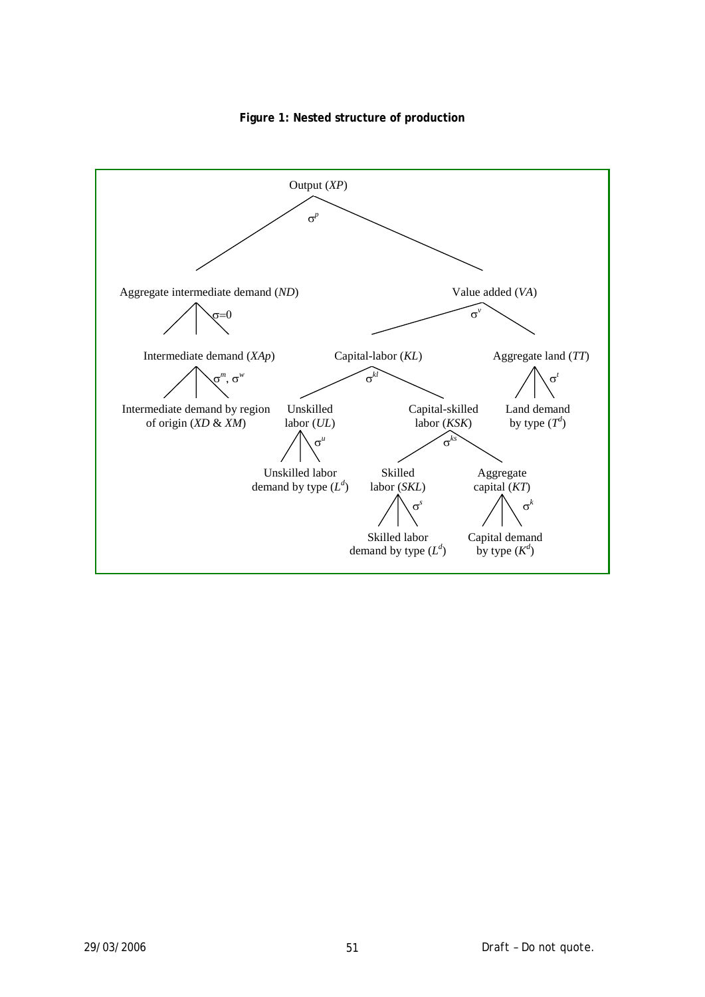

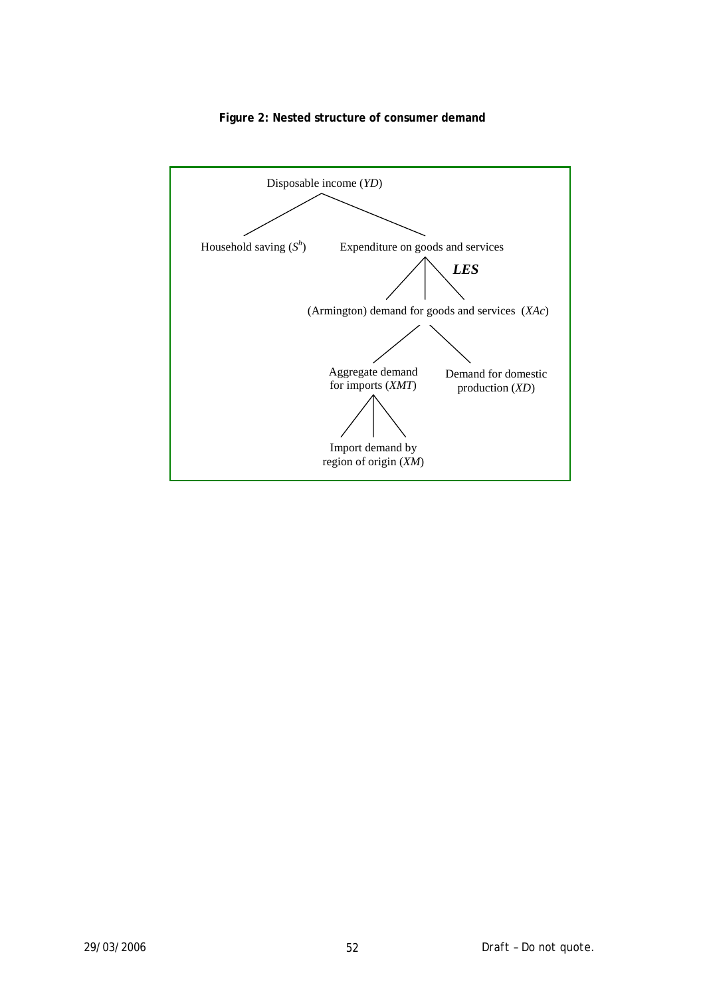

#### **Figure 2: Nested structure of consumer demand**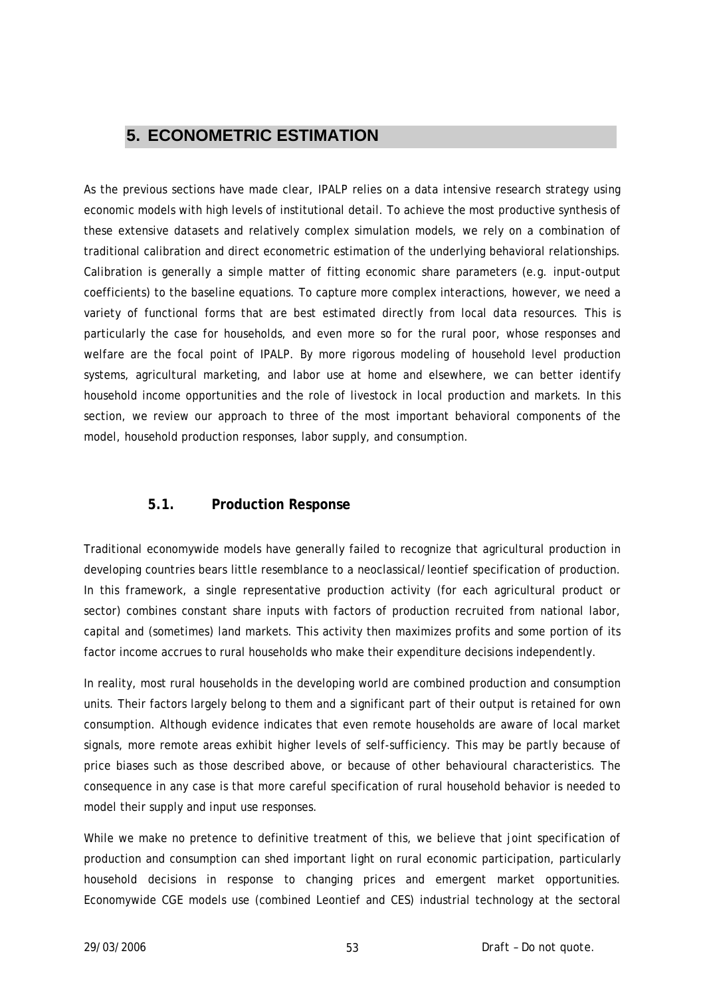# **5. ECONOMETRIC ESTIMATION**

As the previous sections have made clear, IPALP relies on a data intensive research strategy using economic models with high levels of institutional detail. To achieve the most productive synthesis of these extensive datasets and relatively complex simulation models, we rely on a combination of traditional calibration and direct econometric estimation of the underlying behavioral relationships. Calibration is generally a simple matter of fitting economic share parameters (e.g. input-output coefficients) to the baseline equations. To capture more complex interactions, however, we need a variety of functional forms that are best estimated directly from local data resources. This is particularly the case for households, and even more so for the rural poor, whose responses and welfare are the focal point of IPALP. By more rigorous modeling of household level production systems, agricultural marketing, and labor use at home and elsewhere, we can better identify household income opportunities and the role of livestock in local production and markets. In this section, we review our approach to three of the most important behavioral components of the model, household production responses, labor supply, and consumption.

## **5.1. Production Response**

Traditional economywide models have generally failed to recognize that agricultural production in developing countries bears little resemblance to a neoclassical/leontief specification of production. In this framework, a single representative production activity (for each agricultural product or sector) combines constant share inputs with factors of production recruited from national labor, capital and (sometimes) land markets. This activity then maximizes profits and some portion of its factor income accrues to rural households who make their expenditure decisions independently.

In reality, most rural households in the developing world are combined production and consumption units. Their factors largely belong to them and a significant part of their output is retained for own consumption. Although evidence indicates that even remote households are aware of local market signals, more remote areas exhibit higher levels of self-sufficiency. This may be partly because of price biases such as those described above, or because of other behavioural characteristics. The consequence in any case is that more careful specification of rural household behavior is needed to model their supply and input use responses.

While we make no pretence to definitive treatment of this, we believe that joint specification of production and consumption can shed important light on rural economic participation, particularly household decisions in response to changing prices and emergent market opportunities. Economywide CGE models use (combined Leontief and CES) industrial technology at the sectoral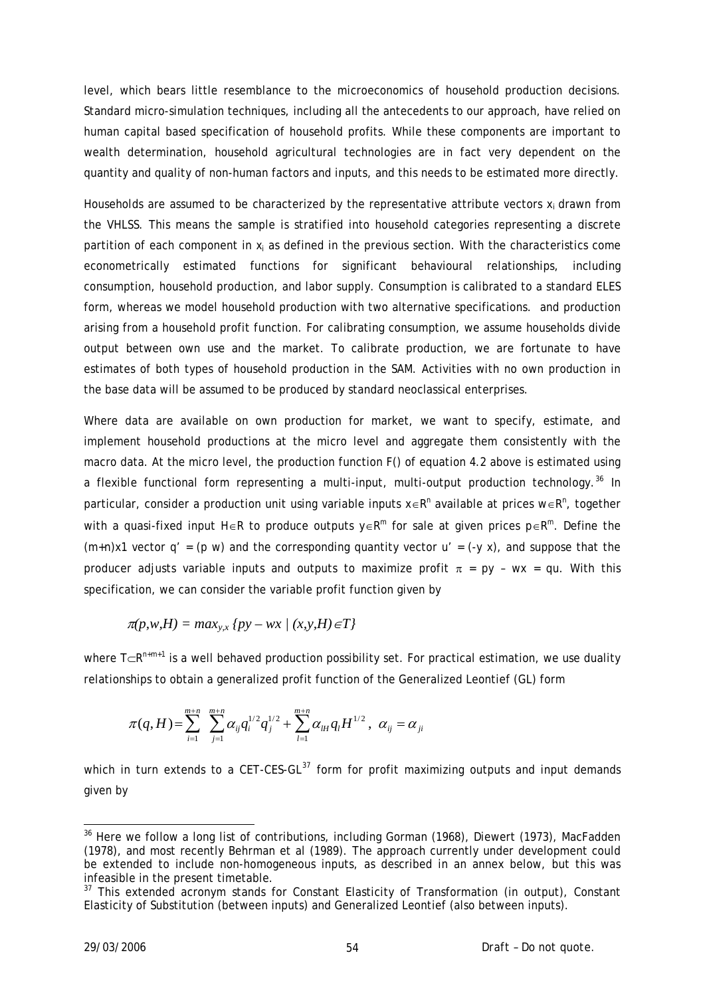level, which bears little resemblance to the microeconomics of household production decisions. Standard micro-simulation techniques, including all the antecedents to our approach, have relied on human capital based specification of household profits. While these components are important to wealth determination, household agricultural technologies are in fact very dependent on the quantity and quality of non-human factors and inputs, and this needs to be estimated more directly.

Households are assumed to be characterized by the representative attribute vectors  $x_i$  drawn from the VHLSS. This means the sample is stratified into household categories representing a discrete partition of each component in  $x_i$  as defined in the previous section. With the characteristics come econometrically estimated functions for significant behavioural relationships, including consumption, household production, and labor supply. Consumption is calibrated to a standard ELES form, whereas we model household production with two alternative specifications. and production arising from a household profit function. For calibrating consumption, we assume households divide output between own use and the market. To calibrate production, we are fortunate to have estimates of both types of household production in the SAM. Activities with no own production in the base data will be assumed to be produced by standard neoclassical enterprises.

Where data are available on own production for market, we want to specify, estimate, and implement household productions at the micro level and aggregate them consistently with the macro data. At the micro level, the production function F() of equation 4.2 above is estimated using a flexible functional form representing a multi-input, multi-output production technology.<sup>[36](#page-53-0)</sup> In particular, consider a production unit using variable inputs  $x \in R^n$  available at prices w∈R<sup>n</sup>, together with a quasi-fixed input H∈R to produce outputs y∈R<sup>m</sup> for sale at given prices  $p \in R^m$ . Define the  $(m+n)x1$  vector  $q' = (p \ w)$  and the corresponding quantity vector  $u' = (-y x)$ , and suppose that the producer adjusts variable inputs and outputs to maximize profit  $\pi$  = py - wx = qu. With this specification, we can consider the variable profit function given by

$$
\pi(p, w, H) = \max_{y, x} \{ py - wx \mid (x, y, H) \in T \}
$$

where T⊂R<sup>n+m+1</sup> is a well behaved production possibility set. For practical estimation, we use duality relationships to obtain a generalized profit function of the Generalized Leontief (GL) form

$$
\pi(q,H) = \sum_{i=1}^{m+n} \sum_{j=1}^{m+n} \alpha_{ij} q_i^{1/2} q_j^{1/2} + \sum_{l=1}^{m+n} \alpha_{lkl} q_l H^{1/2}, \ \alpha_{ij} = \alpha_{ji}
$$

which in turn extends to a CET-CES-GL $^{37}$  $^{37}$  $^{37}$  form for profit maximizing outputs and input demands given by

-

<span id="page-53-0"></span><sup>&</sup>lt;sup>36</sup> Here we follow a long list of contributions, including Gorman (1968), Diewert (1973), MacFadden (1978), and most recently Behrman et al (1989). The approach currently under development could be extended to include non-homogeneous inputs, as described in an annex below, but this was infeasible in the present timetable.

<span id="page-53-1"></span><sup>&</sup>lt;sup>37</sup> This extended acronym stands for Constant Elasticity of Transformation (in output), Constant Elasticity of Substitution (between inputs) and Generalized Leontief (also between inputs).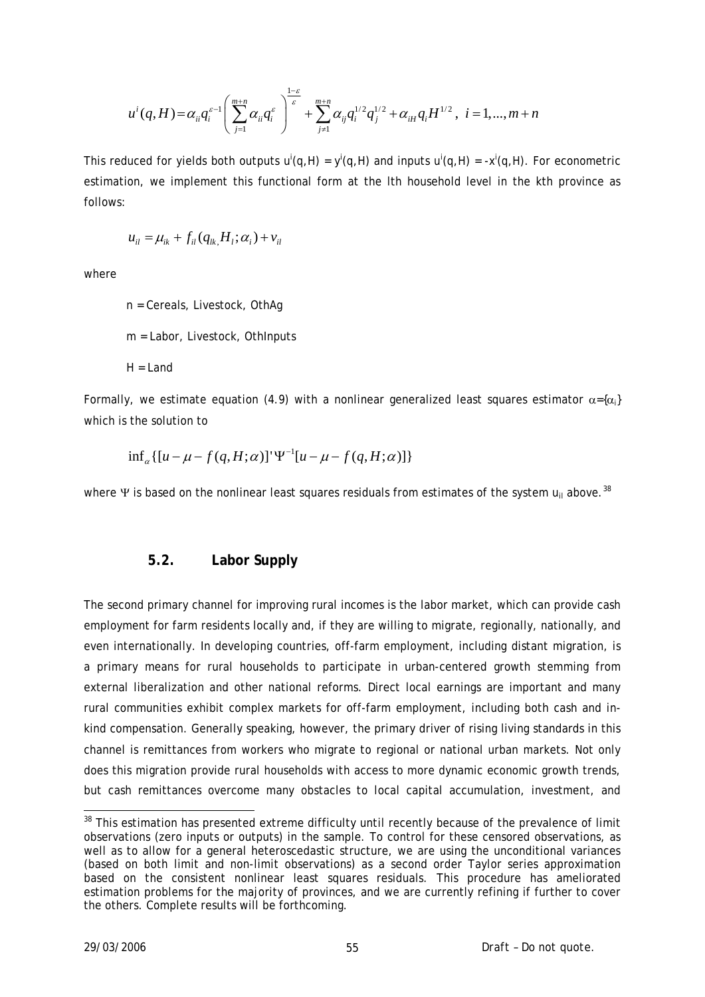$$
u^{i}(q,H) = \alpha_{ii}q_{i}^{\varepsilon}} \left( \sum_{j=1}^{m+n} \alpha_{ii}q_{i}^{\varepsilon} \right)^{\frac{1-\varepsilon}{\varepsilon}} + \sum_{j=1}^{m+n} \alpha_{ij}q_{i}^{1/2}q_{j}^{1/2} + \alpha_{iH}q_{i}H^{1/2}, \ i = 1,...,m+n
$$

This reduced for yields both outputs  $u^{i}(q,H) = y^{i}(q,H)$  and inputs  $u^{i}(q,H) = -x^{i}(q,H)$ . For econometric estimation, we implement this functional form at the lth household level in the kth province as follows:

$$
u_{il} = \mu_{ik} + f_{il}(q_{lk} H_l; \alpha_i) + v_{il}
$$

where

 n = Cereals, Livestock, OthAg m = Labor, Livestock, OthInputs  $H = I$  and

Formally, we estimate equation (4.9) with a nonlinear generalized least squares estimator  $\alpha = \{\alpha_i\}$ which is the solution to

$$
\inf_{a} \left[ [u - \mu - f(q, H; \alpha)]^{\mathrm{T}} \Psi^{-1} [u - \mu - f(q, H; \alpha)] \right]
$$

where Ψ is based on the nonlinear least squares residuals from estimates of the system  $u_{ii}$  above.<sup>[38](#page-54-0)</sup>

#### **5.2. Labor Supply**

The second primary channel for improving rural incomes is the labor market, which can provide cash employment for farm residents locally and, if they are willing to migrate, regionally, nationally, and even internationally. In developing countries, off-farm employment, including distant migration, is a primary means for rural households to participate in urban-centered growth stemming from external liberalization and other national reforms. Direct local earnings are important and many rural communities exhibit complex markets for off-farm employment, including both cash and inkind compensation. Generally speaking, however, the primary driver of rising living standards in this channel is remittances from workers who migrate to regional or national urban markets. Not only does this migration provide rural households with access to more dynamic economic growth trends, but cash remittances overcome many obstacles to local capital accumulation, investment, and

-

<span id="page-54-0"></span><sup>&</sup>lt;sup>38</sup> This estimation has presented extreme difficulty until recently because of the prevalence of limit observations (zero inputs or outputs) in the sample. To control for these censored observations, as well as to allow for a general heteroscedastic structure, we are using the unconditional variances (based on both limit and non-limit observations) as a second order Taylor series approximation based on the consistent nonlinear least squares residuals. This procedure has ameliorated estimation problems for the majority of provinces, and we are currently refining if further to cover the others. Complete results will be forthcoming.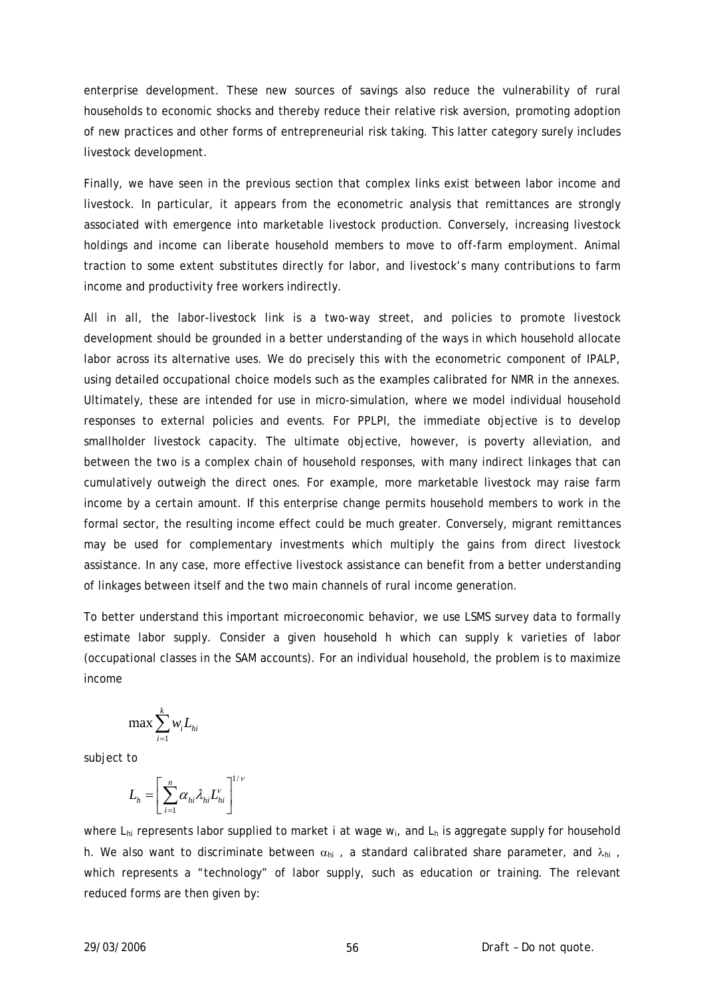enterprise development. These new sources of savings also reduce the vulnerability of rural households to economic shocks and thereby reduce their relative risk aversion, promoting adoption of new practices and other forms of entrepreneurial risk taking. This latter category surely includes livestock development.

Finally, we have seen in the previous section that complex links exist between labor income and livestock. In particular, it appears from the econometric analysis that remittances are strongly associated with emergence into marketable livestock production. Conversely, increasing livestock holdings and income can liberate household members to move to off-farm employment. Animal traction to some extent substitutes directly for labor, and livestock's many contributions to farm income and productivity free workers indirectly.

All in all, the labor-livestock link is a two-way street, and policies to promote livestock development should be grounded in a better understanding of the ways in which household allocate labor across its alternative uses. We do precisely this with the econometric component of IPALP, using detailed occupational choice models such as the examples calibrated for NMR in the annexes. Ultimately, these are intended for use in micro-simulation, where we model individual household responses to external policies and events. For PPLPI, the immediate objective is to develop smallholder livestock capacity. The ultimate objective, however, is poverty alleviation, and between the two is a complex chain of household responses, with many indirect linkages that can cumulatively outweigh the direct ones. For example, more marketable livestock may raise farm income by a certain amount. If this enterprise change permits household members to work in the formal sector, the resulting income effect could be much greater. Conversely, migrant remittances may be used for complementary investments which multiply the gains from direct livestock assistance. In any case, more effective livestock assistance can benefit from a better understanding of linkages between itself and the two main channels of rural income generation.

To better understand this important microeconomic behavior, we use LSMS survey data to formally estimate labor supply. Consider a given household h which can supply k varieties of labor (occupational classes in the SAM accounts). For an individual household, the problem is to maximize income

$$
\max \sum_{i=1}^k w_i L_{hi}
$$

subject to

$$
L_h = \left[ \sum_{i=1}^n \alpha_{hi} \lambda_{hi} L_{hi}^{\nu} \right]^{1/\nu}
$$

where L*hi* represents labor supplied to market *i* at wage w*i*, and Lh is aggregate supply for household h. We also want to discriminate between  $\alpha_{hi}$ , a standard calibrated share parameter, and  $\lambda_{hi}$ , which represents a "technology" of labor supply, such as education or training. The relevant reduced forms are then given by: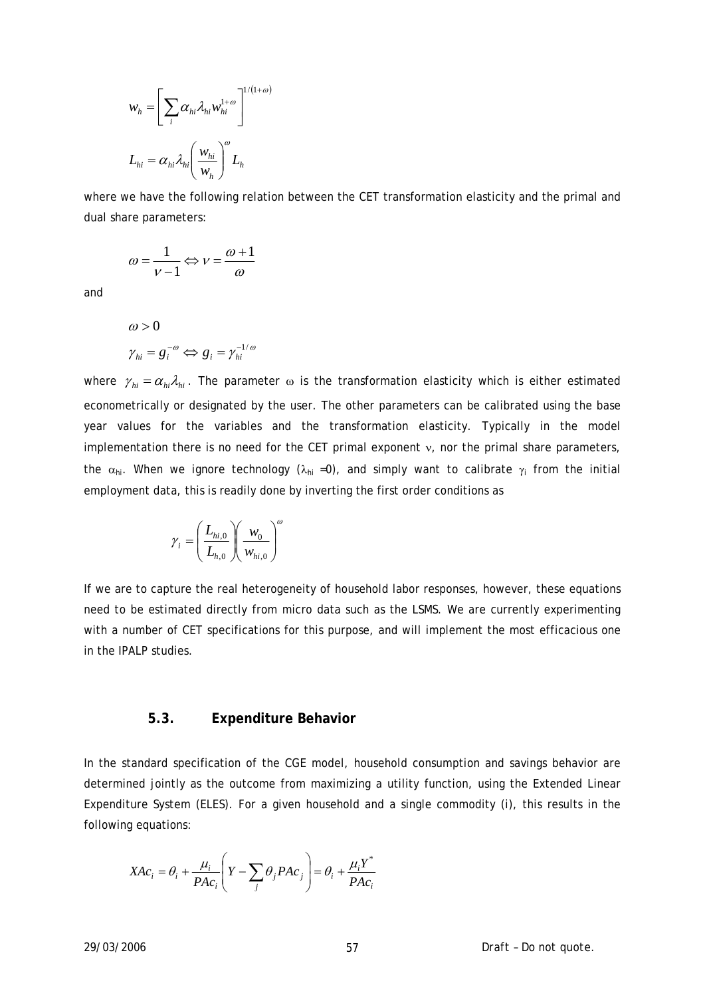$$
w_h = \left[\sum_i \alpha_{hi} \lambda_{hi} w_{hi}^{1+\omega}\right]^{1/(1+\omega)}
$$
  

$$
L_{hi} = \alpha_{hi} \lambda_{hi} \left(\frac{w_{hi}}{w_h}\right)^{\omega} L_h
$$

where we have the following relation between the CET transformation elasticity and the primal and dual share parameters:

$$
\omega = \frac{1}{v-1} \Longleftrightarrow v = \frac{\omega+1}{\omega}
$$

and

$$
\omega > 0
$$
  

$$
\gamma_{hi} = g_i^{-\omega} \Leftrightarrow g_i = \gamma_{hi}^{-1/\omega}
$$

where  $\gamma_{hi} = \alpha_{hi} \lambda_{hi}$ . The parameter  $\omega$  is the transformation elasticity which is either estimated econometrically or designated by the user. The other parameters can be calibrated using the base year values for the variables and the transformation elasticity. Typically in the model implementation there is no need for the CET primal exponent ν, nor the primal share parameters, the  $\alpha_{hi}$ . When we ignore technology ( $\lambda_{hi}$  =0), and simply want to calibrate  $\gamma_i$  from the initial employment data, this is readily done by inverting the first order conditions as

$$
\gamma_i = \left(\frac{L_{hi,0}}{L_{h,0}}\right)\left(\frac{w_0}{w_{hi,0}}\right)^{\omega}
$$

If we are to capture the real heterogeneity of household labor responses, however, these equations need to be estimated directly from micro data such as the LSMS. We are currently experimenting with a number of CET specifications for this purpose, and will implement the most efficacious one in the IPALP studies.

### **5.3. Expenditure Behavior**

In the standard specification of the CGE model, household consumption and savings behavior are determined jointly as the outcome from maximizing a utility function, using the Extended Linear Expenditure System (ELES). For a given household and a single commodity (i), this results in the following equations:

$$
XAc_i = \theta_i + \frac{\mu_i}{PAc_i} \left( Y - \sum_j \theta_j PAc_j \right) = \theta_i + \frac{\mu_i Y^*}{PAc_i}
$$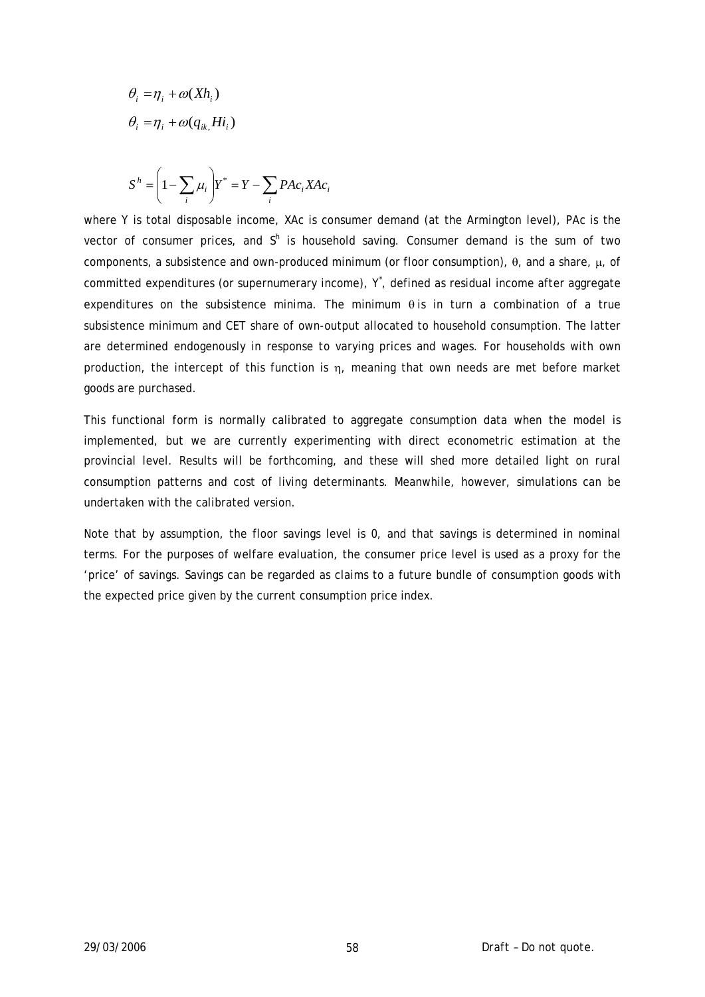$$
\theta_i = \eta_i + \omega(Xh_i)
$$
  
\n
$$
\theta_i = \eta_i + \omega(q_{ik}, Hi_i)
$$

$$
S^h = \left(1 - \sum_i \mu_i\right) Y^* = Y - \sum_i P A c_i X A c_i
$$

where *Y* is total disposable income, *XAc* is consumer demand (at the Armington level), *PAc* is the vector of consumer prices, and  $S^h$  is household saving. Consumer demand is the sum of two components, a subsistence and own-produced minimum (or floor consumption), θ, and a share, μ, of committed expenditures (or supernumerary income), Y, defined as residual income after aggregate expenditures on the subsistence minima. The minimum  $\theta$  is in turn a combination of a true subsistence minimum and CET share of own-output allocated to household consumption. The latter are determined endogenously in response to varying prices and wages. For households with own production, the intercept of this function is  $\eta$ , meaning that own needs are met before market goods are purchased.

This functional form is normally calibrated to aggregate consumption data when the model is implemented, but we are currently experimenting with direct econometric estimation at the provincial level. Results will be forthcoming, and these will shed more detailed light on rural consumption patterns and cost of living determinants. Meanwhile, however, simulations can be undertaken with the calibrated version.

Note that by assumption, the floor savings level is 0, and that savings is determined in nominal terms. For the purposes of welfare evaluation, the consumer price level is used as a proxy for the 'price' of savings. Savings can be regarded as claims to a future bundle of consumption goods with the expected price given by the current consumption price index.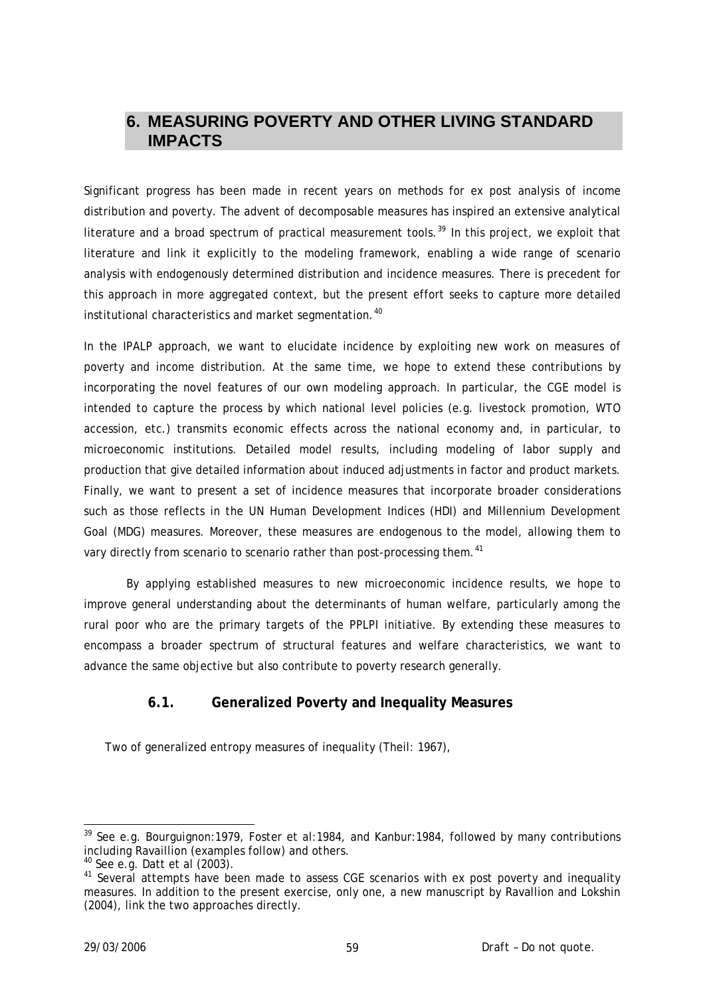# **6. MEASURING POVERTY AND OTHER LIVING STANDARD IMPACTS**

Significant progress has been made in recent years on methods for ex post analysis of income distribution and poverty. The advent of decomposable measures has inspired an extensive analytical literature and a broad spectrum of practical measurement tools.<sup>[39](#page-58-0)</sup> In this project, we exploit that literature and link it explicitly to the modeling framework, enabling a wide range of scenario analysis with endogenously determined distribution and incidence measures. There is precedent for this approach in more aggregated context, but the present effort seeks to capture more detailed institutional characteristics and market segmentation.<sup>[40](#page-58-1)</sup>

In the IPALP approach, we want to elucidate incidence by exploiting new work on measures of poverty and income distribution. At the same time, we hope to extend these contributions by incorporating the novel features of our own modeling approach. In particular, the CGE model is intended to capture the process by which national level policies (e.g. livestock promotion, WTO accession, etc.) transmits economic effects across the national economy and, in particular, to microeconomic institutions. Detailed model results, including modeling of labor supply and production that give detailed information about induced adjustments in factor and product markets. Finally, we want to present a set of incidence measures that incorporate broader considerations such as those reflects in the UN Human Development Indices (HDI) and Millennium Development Goal (MDG) measures. Moreover, these measures are endogenous to the model, allowing them to vary directly from scenario to scenario rather than post-processing them.<sup>[41](#page-58-2)</sup>

By applying established measures to new microeconomic incidence results, we hope to improve general understanding about the determinants of human welfare, particularly among the rural poor who are the primary targets of the PPLPI initiative. By extending these measures to encompass a broader spectrum of structural features and welfare characteristics, we want to advance the same objective but also contribute to poverty research generally.

# **6.1. Generalized Poverty and Inequality Measures**

Two of generalized entropy measures of inequality (Theil: 1967),

-

<span id="page-58-0"></span> $39$  See e.g. Bourguignon: 1979, Foster et al: 1984, and Kanbur: 1984, followed by many contributions including Ravaillion (examples follow) and others.

<span id="page-58-1"></span><sup>40</sup> See e.g. Datt et al (2003).

<span id="page-58-2"></span><sup>&</sup>lt;sup>41</sup> Several attempts have been made to assess CGE scenarios with ex post poverty and inequality measures. In addition to the present exercise, only one, a new manuscript by Ravallion and Lokshin (2004), link the two approaches directly.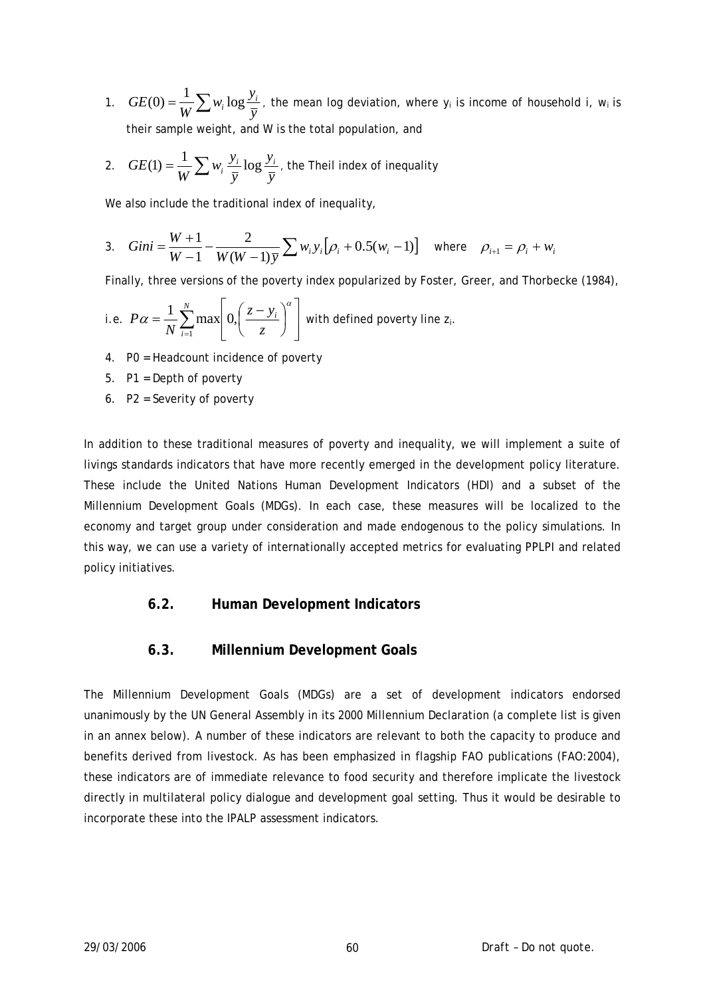1.  $GE(0) = \frac{1}{W} \sum w_i \log \frac{y_i}{y_i}$ *W*  $GE(0) = \frac{1}{W} \sum_{i} w_i \log \frac{y_i}{n}$ , the mean log deviation, where y<sub>i</sub> is income of household i, w<sub>i</sub> is their sample weight, and W is the total population, and

2. 
$$
GE(1) = \frac{1}{W} \sum w_i \frac{y_i}{\overline{y}} \log \frac{y_i}{\overline{y}}
$$
, the Theil index of inequality

We also include the traditional index of inequality,

3. 
$$
Gini = \frac{W+1}{W-1} - \frac{2}{W(W-1)\bar{y}} \sum w_i y_i [\rho_i + 0.5(w_i - 1)] \text{ where } \rho_{i+1} = \rho_i + w_i
$$

Finally, three versions of the poverty index popularized by Foster, Greer, and Thorbecke (1984),

i.e. 
$$
P\alpha = \frac{1}{N} \sum_{i=1}^{N} \max \left[ 0, \left( \frac{z - y_i}{z} \right)^{\alpha} \right]
$$
 with defined powerty line  $z_i$ .

- 4. P0 = Headcount incidence of poverty
- 5. P1 = Depth of poverty
- 6. P2 = Severity of poverty

In addition to these traditional measures of poverty and inequality, we will implement a suite of livings standards indicators that have more recently emerged in the development policy literature. These include the United Nations Human Development Indicators (HDI) and a subset of the Millennium Development Goals (MDGs). In each case, these measures will be localized to the economy and target group under consideration and made endogenous to the policy simulations. In this way, we can use a variety of internationally accepted metrics for evaluating PPLPI and related policy initiatives.

## **6.2. Human Development Indicators**

## **6.3. Millennium Development Goals**

The Millennium Development Goals (MDGs) are a set of development indicators endorsed unanimously by the UN General Assembly in its 2000 Millennium Declaration (a complete list is given in an annex below). A number of these indicators are relevant to both the capacity to produce and benefits derived from livestock. As has been emphasized in flagship FAO publications (FAO:2004), these indicators are of immediate relevance to food security and therefore implicate the livestock directly in multilateral policy dialogue and development goal setting. Thus it would be desirable to incorporate these into the IPALP assessment indicators.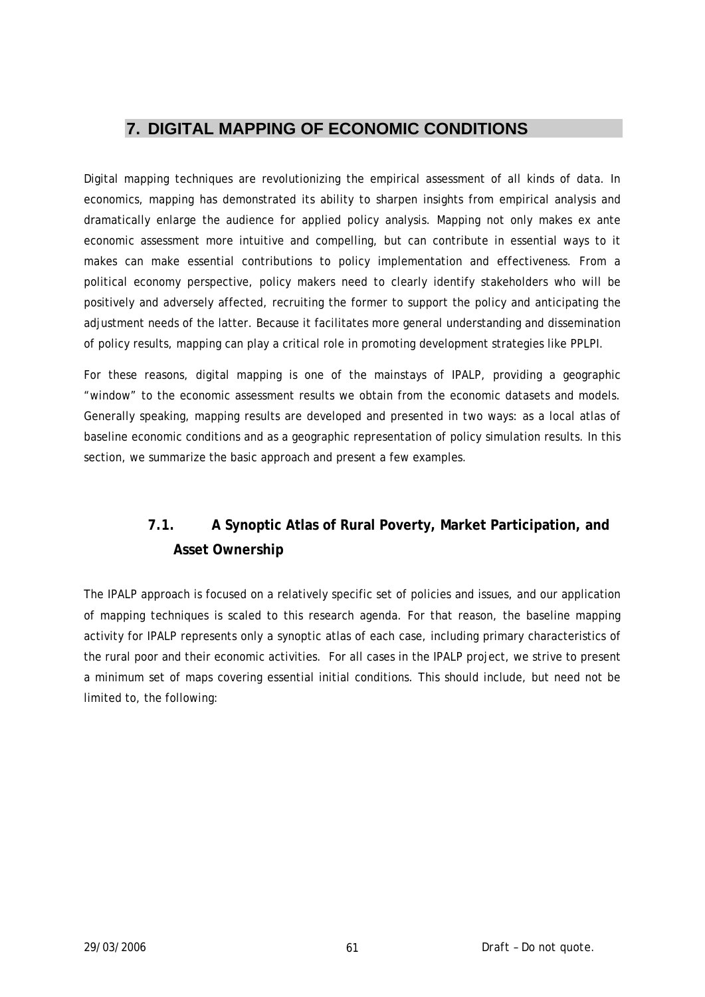# **7. DIGITAL MAPPING OF ECONOMIC CONDITIONS**

Digital mapping techniques are revolutionizing the empirical assessment of all kinds of data. In economics, mapping has demonstrated its ability to sharpen insights from empirical analysis and dramatically enlarge the audience for applied policy analysis. Mapping not only makes ex ante economic assessment more intuitive and compelling, but can contribute in essential ways to it makes can make essential contributions to policy implementation and effectiveness. From a political economy perspective, policy makers need to clearly identify stakeholders who will be positively and adversely affected, recruiting the former to support the policy and anticipating the adjustment needs of the latter. Because it facilitates more general understanding and dissemination of policy results, mapping can play a critical role in promoting development strategies like PPLPI.

For these reasons, digital mapping is one of the mainstays of IPALP, providing a geographic "window" to the economic assessment results we obtain from the economic datasets and models. Generally speaking, mapping results are developed and presented in two ways: as a local atlas of baseline economic conditions and as a geographic representation of policy simulation results. In this section, we summarize the basic approach and present a few examples.

# **7.1. A Synoptic Atlas of Rural Poverty, Market Participation, and Asset Ownership**

The IPALP approach is focused on a relatively specific set of policies and issues, and our application of mapping techniques is scaled to this research agenda. For that reason, the baseline mapping activity for IPALP represents only a synoptic atlas of each case, including primary characteristics of the rural poor and their economic activities. For all cases in the IPALP project, we strive to present a minimum set of maps covering essential initial conditions. This should include, but need not be limited to, the following: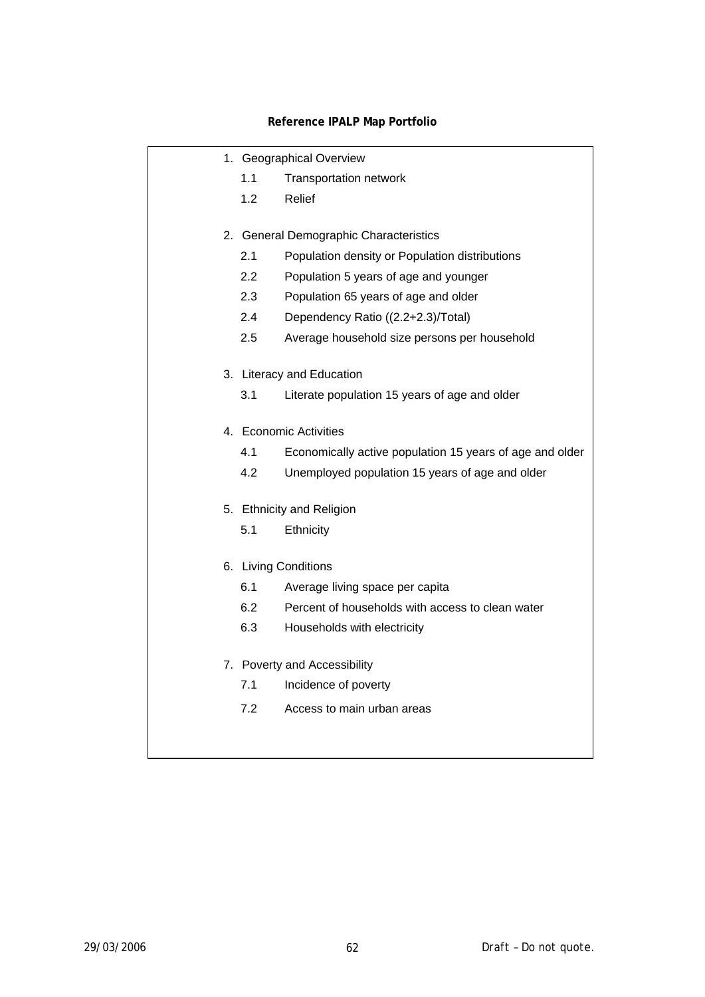## **Reference IPALP Map Portfolio**

|  | 1. Geographical Overview |                                                          |
|--|--------------------------|----------------------------------------------------------|
|  | 1.1                      | <b>Transportation network</b>                            |
|  | 1.2                      | Relief                                                   |
|  |                          | 2. General Demographic Characteristics                   |
|  | 2.1                      | Population density or Population distributions           |
|  | 2.2                      | Population 5 years of age and younger                    |
|  | 2.3                      | Population 65 years of age and older                     |
|  | 2.4                      | Dependency Ratio ((2.2+2.3)/Total)                       |
|  | 2.5                      | Average household size persons per household             |
|  |                          | 3. Literacy and Education                                |
|  | 3.1                      | Literate population 15 years of age and older            |
|  | 4. Economic Activities   |                                                          |
|  | 4.1                      | Economically active population 15 years of age and older |
|  | 4.2                      | Unemployed population 15 years of age and older          |
|  |                          | 5. Ethnicity and Religion                                |
|  | 5.1                      | Ethnicity                                                |
|  |                          | 6. Living Conditions                                     |
|  | 6.1                      | Average living space per capita                          |
|  | 6.2                      | Percent of households with access to clean water         |
|  | 6.3                      | Households with electricity                              |
|  |                          | 7. Poverty and Accessibility                             |
|  | 7.1                      | Incidence of poverty                                     |
|  | 7.2                      | Access to main urban areas                               |
|  |                          |                                                          |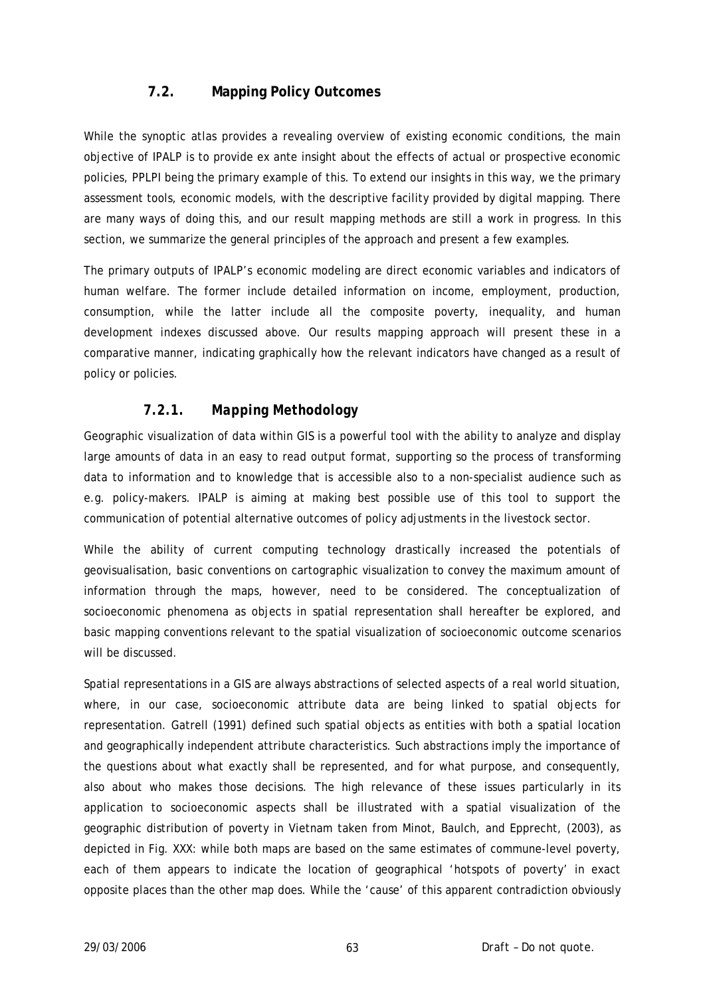# **7.2. Mapping Policy Outcomes**

While the synoptic atlas provides a revealing overview of existing economic conditions, the main objective of IPALP is to provide ex ante insight about the effects of actual or prospective economic policies, PPLPI being the primary example of this. To extend our insights in this way, we the primary assessment tools, economic models, with the descriptive facility provided by digital mapping. There are many ways of doing this, and our result mapping methods are still a work in progress. In this section, we summarize the general principles of the approach and present a few examples.

The primary outputs of IPALP's economic modeling are direct economic variables and indicators of human welfare. The former include detailed information on income, employment, production, consumption, while the latter include all the composite poverty, inequality, and human development indexes discussed above. Our results mapping approach will present these in a comparative manner, indicating graphically how the relevant indicators have changed as a result of policy or policies.

## *7.2.1. Mapping Methodology*

Geographic visualization of data within GIS is a powerful tool with the ability to analyze and display large amounts of data in an easy to read output format, supporting so the process of transforming data to information and to knowledge that is accessible also to a non-specialist audience such as e.g. policy-makers. IPALP is aiming at making best possible use of this tool to support the communication of potential alternative outcomes of policy adjustments in the livestock sector.

While the ability of current computing technology drastically increased the potentials of geovisualisation, basic conventions on cartographic visualization to convey the maximum amount of information through the maps, however, need to be considered. The conceptualization of socioeconomic phenomena as objects in spatial representation shall hereafter be explored, and basic mapping conventions relevant to the spatial visualization of socioeconomic outcome scenarios will be discussed.

Spatial representations in a GIS are always abstractions of selected aspects of a real world situation, where, in our case, socioeconomic attribute data are being linked to spatial objects for representation. Gatrell (1991) defined such spatial objects as entities with both a spatial location and geographically independent attribute characteristics. Such abstractions imply the importance of the questions about what exactly shall be represented, and for what purpose, and consequently, also about who makes those decisions. The high relevance of these issues particularly in its application to socioeconomic aspects shall be illustrated with a spatial visualization of the geographic distribution of poverty in Vietnam taken from Minot, Baulch, and Epprecht, (2003), as depicted in Fig. XXX: while both maps are based on the same estimates of commune-level poverty, each of them appears to indicate the location of geographical 'hotspots of poverty' in exact opposite places than the other map does. While the 'cause' of this apparent contradiction obviously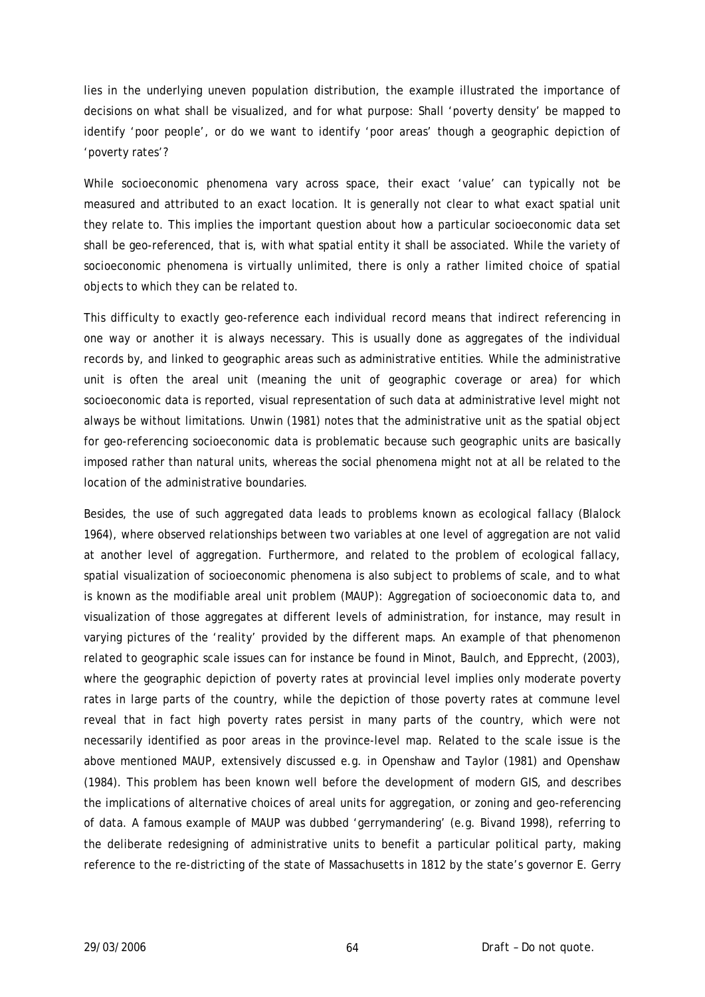lies in the underlying uneven population distribution, the example illustrated the importance of decisions on what shall be visualized, and for what purpose: Shall 'poverty density' be mapped to identify 'poor people', or do we want to identify 'poor areas' though a geographic depiction of 'poverty rates'?

While socioeconomic phenomena vary across space, their exact 'value' can typically not be measured and attributed to an exact location. It is generally not clear to what exact spatial unit they relate to. This implies the important question about how a particular socioeconomic data set shall be geo-referenced, that is, with what spatial entity it shall be associated. While the variety of socioeconomic phenomena is virtually unlimited, there is only a rather limited choice of spatial objects to which they can be related to.

This difficulty to exactly geo-reference each individual record means that indirect referencing in one way or another it is always necessary. This is usually done as aggregates of the individual records by, and linked to geographic areas such as administrative entities. While the administrative unit is often the areal unit (meaning the unit of geographic coverage or area) for which socioeconomic data is reported, visual representation of such data at administrative level might not always be without limitations. Unwin (1981) notes that the administrative unit as the spatial object for geo-referencing socioeconomic data is problematic because such geographic units are basically imposed rather than natural units, whereas the social phenomena might not at all be related to the location of the administrative boundaries.

Besides, the use of such aggregated data leads to problems known as ecological fallacy (Blalock 1964), where observed relationships between two variables at one level of aggregation are not valid at another level of aggregation. Furthermore, and related to the problem of ecological fallacy, spatial visualization of socioeconomic phenomena is also subject to problems of scale, and to what is known as the modifiable areal unit problem (MAUP): Aggregation of socioeconomic data to, and visualization of those aggregates at different levels of administration, for instance, may result in varying pictures of the 'reality' provided by the different maps. An example of that phenomenon related to geographic scale issues can for instance be found in Minot, Baulch, and Epprecht, (2003), where the geographic depiction of poverty rates at provincial level implies only moderate poverty rates in large parts of the country, while the depiction of those poverty rates at commune level reveal that in fact high poverty rates persist in many parts of the country, which were not necessarily identified as poor areas in the province-level map. Related to the scale issue is the above mentioned MAUP, extensively discussed e.g. in Openshaw and Taylor (1981) and Openshaw (1984). This problem has been known well before the development of modern GIS, and describes the implications of alternative choices of areal units for aggregation, or zoning and geo-referencing of data. A famous example of MAUP was dubbed 'gerrymandering' (e.g. Bivand 1998), referring to the deliberate redesigning of administrative units to benefit a particular political party, making reference to the re-districting of the state of Massachusetts in 1812 by the state's governor E. Gerry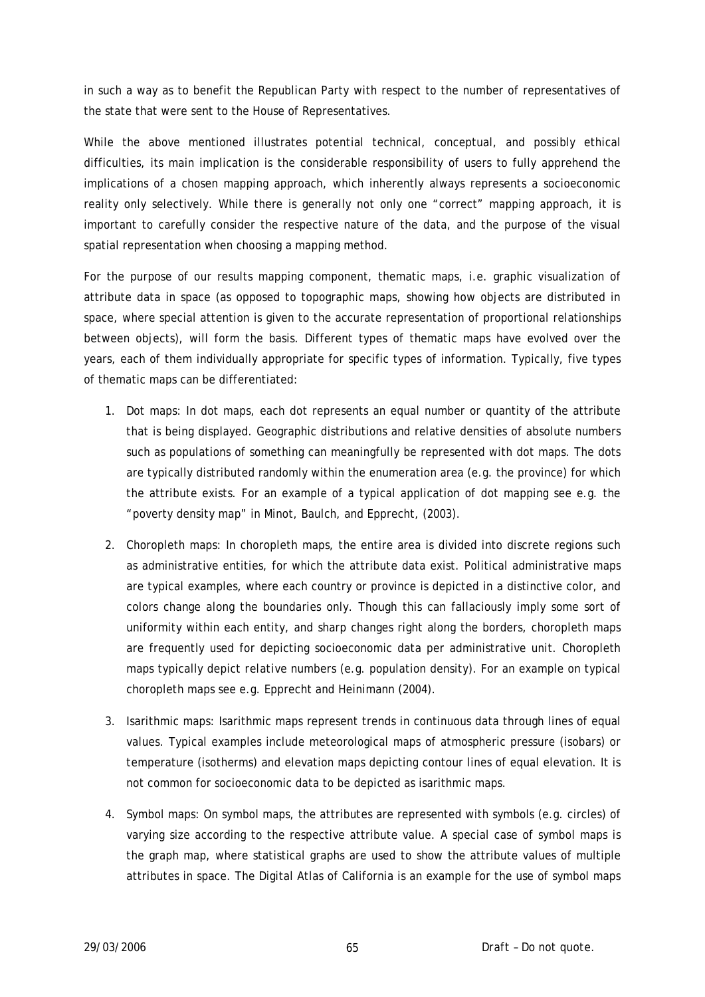in such a way as to benefit the Republican Party with respect to the number of representatives of the state that were sent to the House of Representatives.

While the above mentioned illustrates potential technical, conceptual, and possibly ethical difficulties, its main implication is the considerable responsibility of users to fully apprehend the implications of a chosen mapping approach, which inherently always represents a socioeconomic reality only selectively. While there is generally not only one "correct" mapping approach, it is important to carefully consider the respective nature of the data, and the purpose of the visual spatial representation when choosing a mapping method.

For the purpose of our results mapping component, thematic maps, i.e. graphic visualization of attribute data in space (as opposed to topographic maps, showing how objects are distributed in space, where special attention is given to the accurate representation of proportional relationships between objects), will form the basis. Different types of thematic maps have evolved over the years, each of them individually appropriate for specific types of information. Typically, five types of thematic maps can be differentiated:

- 1. Dot maps: In dot maps, each dot represents an equal number or quantity of the attribute that is being displayed. Geographic distributions and relative densities of absolute numbers such as populations of something can meaningfully be represented with dot maps. The dots are typically distributed randomly within the enumeration area (e.g. the province) for which the attribute exists. For an example of a typical application of dot mapping see e.g. the "poverty density map" in Minot, Baulch, and Epprecht, (2003).
- 2. Choropleth maps: In choropleth maps, the entire area is divided into discrete regions such as administrative entities, for which the attribute data exist. Political administrative maps are typical examples, where each country or province is depicted in a distinctive color, and colors change along the boundaries only. Though this can fallaciously imply some sort of uniformity within each entity, and sharp changes right along the borders, choropleth maps are frequently used for depicting socioeconomic data per administrative unit. Choropleth maps typically depict *relative* numbers (e.g. population density). For an example on typical choropleth maps see e.g. Epprecht and Heinimann (2004).
- 3. Isarithmic maps: Isarithmic maps represent trends in continuous data through lines of equal values. Typical examples include meteorological maps of atmospheric pressure (isobars) or temperature (isotherms) and elevation maps depicting contour lines of equal elevation. It is not common for socioeconomic data to be depicted as isarithmic maps.
- 4. Symbol maps: On symbol maps, the attributes are represented with symbols (e.g. circles) of varying size according to the respective attribute value. A special case of symbol maps is the graph map, where statistical graphs are used to show the attribute values of multiple attributes in space. The Digital Atlas of California is an example for the use of symbol maps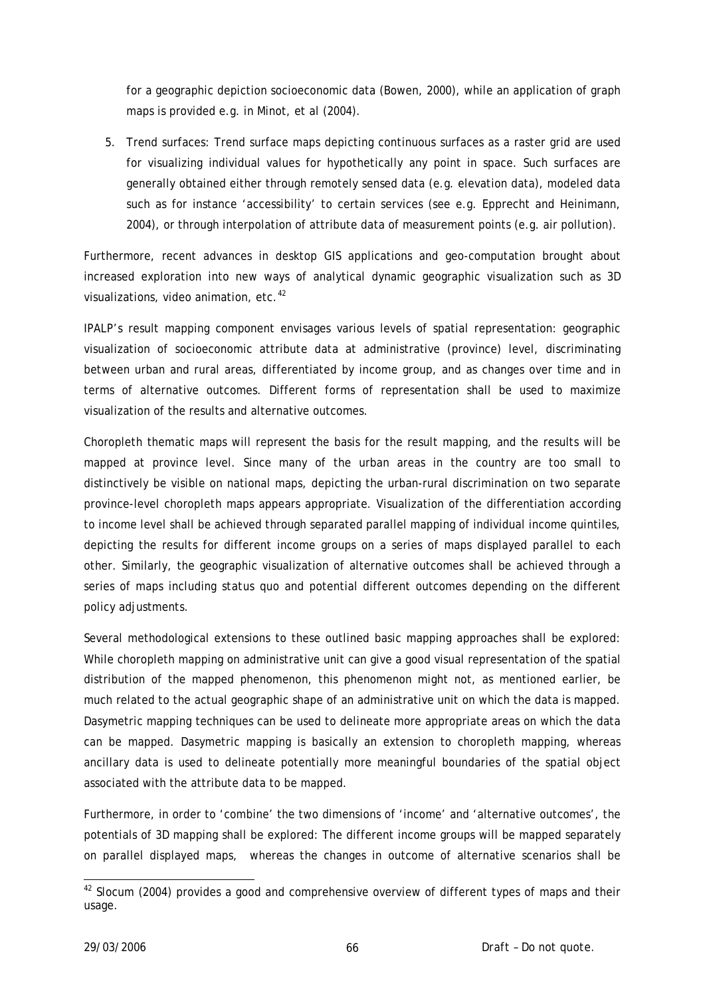for a geographic depiction socioeconomic data (Bowen, 2000), while an application of graph maps is provided e.g. in Minot, *et al* (2004).

5. Trend surfaces: Trend surface maps depicting continuous surfaces as a raster grid are used for visualizing individual values for hypothetically any point in space. Such surfaces are generally obtained either through remotely sensed data (e.g. elevation data), modeled data such as for instance 'accessibility' to certain services (see e.g. Epprecht and Heinimann, 2004), or through interpolation of attribute data of measurement points (e.g. air pollution).

Furthermore, recent advances in desktop GIS applications and geo-computation brought about increased exploration into new ways of analytical dynamic geographic visualization such as 3D visualizations, video animation, etc.<sup>[42](#page-65-0)</sup>

IPALP's result mapping component envisages various levels of spatial representation: geographic visualization of socioeconomic attribute data at administrative (province) level, discriminating between urban and rural areas, differentiated by income group, and as changes over time and in terms of alternative outcomes. Different forms of representation shall be used to maximize visualization of the results and alternative outcomes.

Choropleth thematic maps will represent the basis for the result mapping, and the results will be mapped at province level. Since many of the urban areas in the country are too small to distinctively be visible on national maps, depicting the urban-rural discrimination on two separate province-level choropleth maps appears appropriate. Visualization of the differentiation according to income level shall be achieved through separated parallel mapping of individual income quintiles, depicting the results for different income groups on a series of maps displayed parallel to each other. Similarly, the geographic visualization of alternative outcomes shall be achieved through a series of maps including *status quo* and potential different outcomes depending on the different policy adjustments.

Several methodological extensions to these outlined basic mapping approaches shall be explored: While choropleth mapping on administrative unit can give a good visual representation of the spatial distribution of the mapped phenomenon, this phenomenon might not, as mentioned earlier, be much related to the actual geographic shape of an administrative unit on which the data is mapped. Dasymetric mapping techniques can be used to delineate more appropriate areas on which the data can be mapped. Dasymetric mapping is basically an extension to choropleth mapping, whereas ancillary data is used to delineate potentially more meaningful boundaries of the spatial object associated with the attribute data to be mapped.

Furthermore, in order to 'combine' the two dimensions of 'income' and 'alternative outcomes', the potentials of 3D mapping shall be explored: The different income groups will be mapped separately on parallel displayed maps, whereas the changes in outcome of alternative scenarios shall be

<span id="page-65-0"></span><sup>-</sup> $42$  Slocum (2004) provides a good and comprehensive overview of different types of maps and their usage.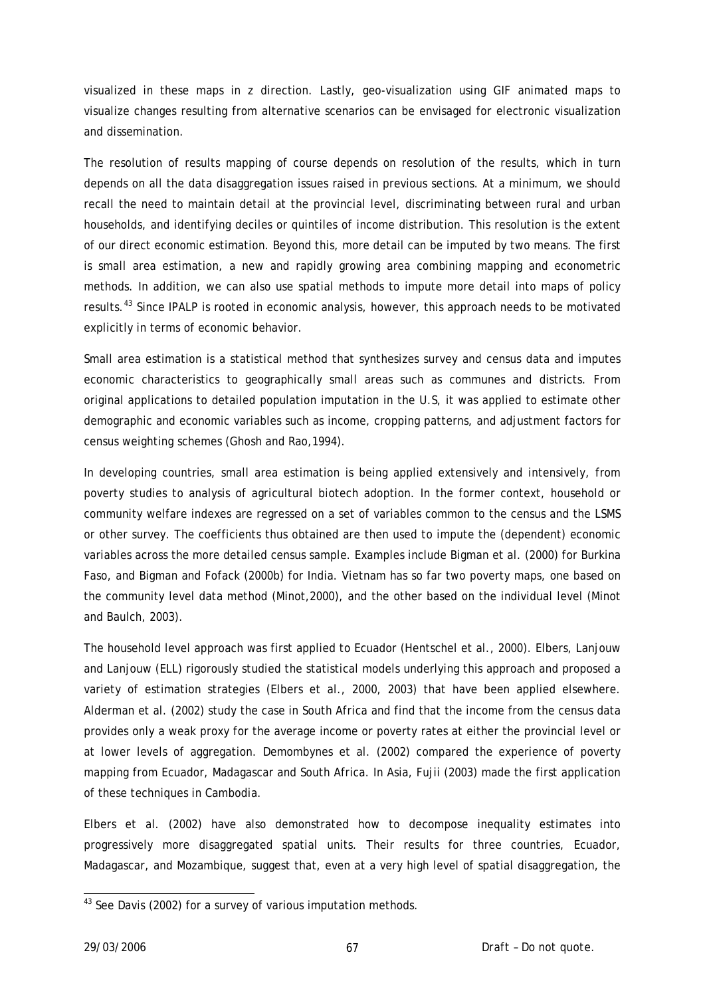visualized in these maps in z direction. Lastly, geo-visualization using GIF animated maps to visualize changes resulting from alternative scenarios can be envisaged for electronic visualization and dissemination.

The resolution of results mapping of course depends on resolution of the results, which in turn depends on all the data disaggregation issues raised in previous sections. At a minimum, we should recall the need to maintain detail at the provincial level, discriminating between rural and urban households, and identifying deciles or quintiles of income distribution. This resolution is the extent of our direct economic estimation. Beyond this, more detail can be imputed by two means. The first is small area estimation, a new and rapidly growing area combining mapping and econometric methods. In addition, we can also use spatial methods to impute more detail into maps of policy results.<sup>[43](#page-66-0)</sup> Since IPALP is rooted in economic analysis, however, this approach needs to be motivated explicitly in terms of economic behavior.

Small area estimation is a statistical method that synthesizes survey and census data and imputes economic characteristics to geographically small areas such as communes and districts. From original applications to detailed population imputation in the U.S, it was applied to estimate other demographic and economic variables such as income, cropping patterns, and adjustment factors for census weighting schemes (Ghosh and Rao,1994).

In developing countries, small area estimation is being applied extensively and intensively, from poverty studies to analysis of agricultural biotech adoption. In the former context, household or community welfare indexes are regressed on a set of variables common to the census and the LSMS or other survey. The coefficients thus obtained are then used to impute the (dependent) economic variables across the more detailed census sample. Examples include Bigman et al. (2000) for Burkina Faso, and Bigman and Fofack (2000b) for India. Vietnam has so far two poverty maps, one based on the community level data method (Minot,2000), and the other based on the individual level (Minot and Baulch, 2003).

The household level approach was first applied to Ecuador (Hentschel et al., 2000). Elbers, Lanjouw and Lanjouw (ELL) rigorously studied the statistical models underlying this approach and proposed a variety of estimation strategies (Elbers et al., 2000, 2003) that have been applied elsewhere. Alderman et al. (2002) study the case in South Africa and find that the income from the census data provides only a weak proxy for the average income or poverty rates at either the provincial level or at lower levels of aggregation. Demombynes et al. (2002) compared the experience of poverty mapping from Ecuador, Madagascar and South Africa. In Asia, Fujii (2003) made the first application of these techniques in Cambodia.

Elbers et al. (2002) have also demonstrated how to decompose inequality estimates into progressively more disaggregated spatial units. Their results for three countries, Ecuador, Madagascar, and Mozambique, suggest that, even at a very high level of spatial disaggregation, the

-

<span id="page-66-0"></span><sup>&</sup>lt;sup>43</sup> See Davis (2002) for a survey of various imputation methods.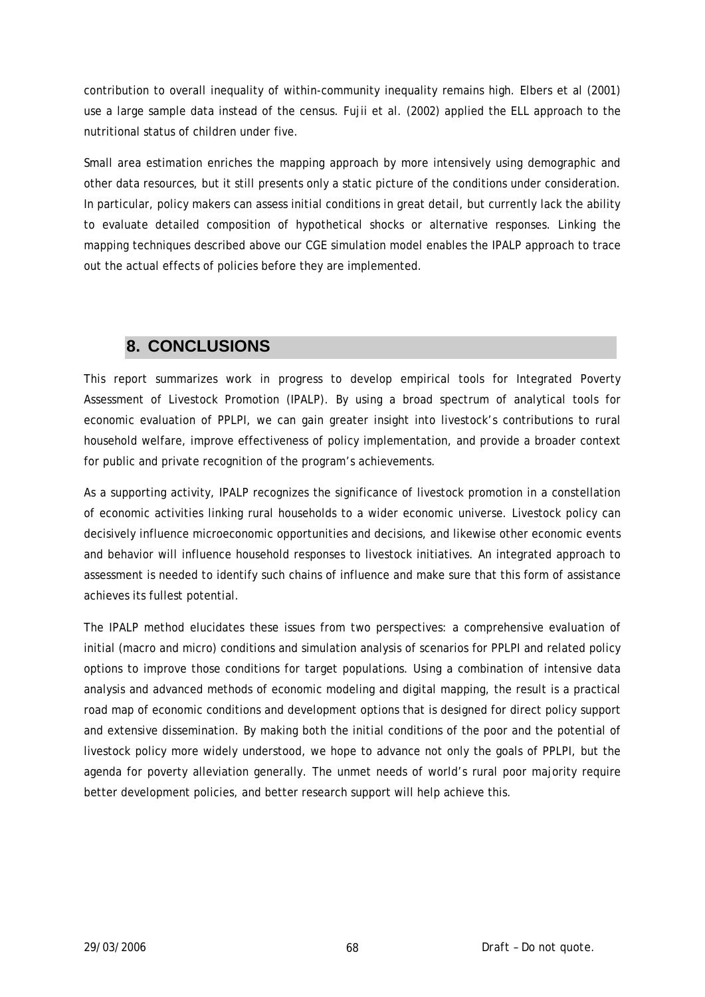contribution to overall inequality of within-community inequality remains high. Elbers et al (2001) use a large sample data instead of the census. Fujii et al. (2002) applied the ELL approach to the nutritional status of children under five.

Small area estimation enriches the mapping approach by more intensively using demographic and other data resources, but it still presents only a static picture of the conditions under consideration. In particular, policy makers can assess initial conditions in great detail, but currently lack the ability to evaluate detailed composition of hypothetical shocks or alternative responses. Linking the mapping techniques described above our CGE simulation model enables the IPALP approach to trace out the actual effects of policies before they are implemented.

# **8. CONCLUSIONS**

This report summarizes work in progress to develop empirical tools for Integrated Poverty Assessment of Livestock Promotion (IPALP). By using a broad spectrum of analytical tools for economic evaluation of PPLPI, we can gain greater insight into livestock's contributions to rural household welfare, improve effectiveness of policy implementation, and provide a broader context for public and private recognition of the program's achievements.

As a supporting activity, IPALP recognizes the significance of livestock promotion in a constellation of economic activities linking rural households to a wider economic universe. Livestock policy can decisively influence microeconomic opportunities and decisions, and likewise other economic events and behavior will influence household responses to livestock initiatives. An integrated approach to assessment is needed to identify such chains of influence and make sure that this form of assistance achieves its fullest potential.

The IPALP method elucidates these issues from two perspectives: a comprehensive evaluation of initial (macro and micro) conditions and simulation analysis of scenarios for PPLPI and related policy options to improve those conditions for target populations. Using a combination of intensive data analysis and advanced methods of economic modeling and digital mapping, the result is a practical road map of economic conditions and development options that is designed for direct policy support and extensive dissemination. By making both the initial conditions of the poor and the potential of livestock policy more widely understood, we hope to advance not only the goals of PPLPI, but the agenda for poverty alleviation generally. The unmet needs of world's rural poor majority require better development policies, and better research support will help achieve this.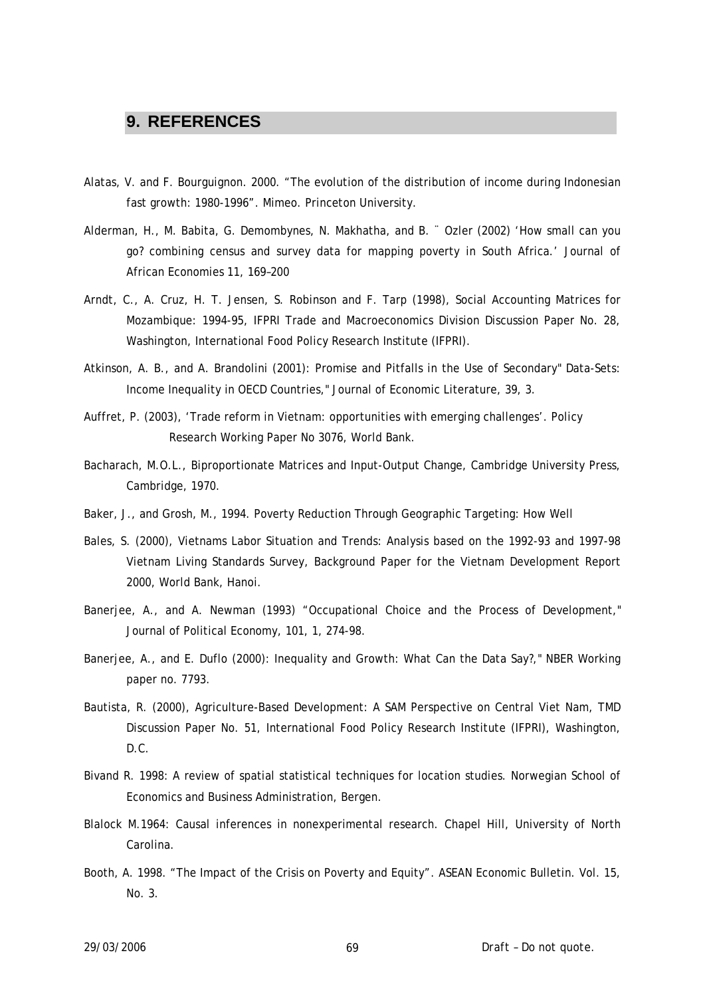## **9. REFERENCES**

- Alatas, V. and F. Bourguignon. 2000. "The evolution of the distribution of income during Indonesian fast growth: 1980-1996". Mimeo. Princeton University.
- Alderman, H., M. Babita, G. Demombynes, N. Makhatha, and B. ¨ Ozler (2002) 'How small can you go? combining census and survey data for mapping poverty in South Africa.' Journal of African Economies 11, 169–200
- Arndt, C., A. Cruz, H. T. Jensen, S. Robinson and F. Tarp (1998), Social Accounting Matrices for Mozambique: 1994-95, IFPRI Trade and Macroeconomics Division Discussion Paper No. 28, Washington, International Food Policy Research Institute (IFPRI).
- Atkinson, A. B., and A. Brandolini (2001): Promise and Pitfalls in the Use of Secondary" Data-Sets: Income Inequality in OECD Countries," Journal of Economic Literature, 39, 3.
- Auffret, P. (2003), 'Trade reform in Vietnam: opportunities with emerging challenges'. Policy Research Working Paper No 3076, World Bank.
- Bacharach, M.O.L., Biproportionate Matrices and Input-Output Change, Cambridge University Press, Cambridge, 1970.
- Baker, J., and Grosh, M., 1994. Poverty Reduction Through Geographic Targeting: How Well
- Bales, S. (2000), Vietnams Labor Situation and Trends: Analysis based on the 1992-93 and 1997-98 Vietnam Living Standards Survey, Background Paper for the Vietnam Development Report 2000, World Bank, Hanoi.
- Banerjee, A., and A. Newman (1993) "Occupational Choice and the Process of Development," Journal of Political Economy, 101, 1, 274-98.
- Banerjee, A., and E. Duflo (2000): Inequality and Growth: What Can the Data Say?," NBER Working paper no. 7793.
- Bautista, R. (2000), Agriculture-Based Development: A SAM Perspective on Central Viet Nam, TMD Discussion Paper No. 51, International Food Policy Research Institute (IFPRI), Washington, D.C.
- Bivand R. 1998: A review of spatial statistical techniques for location studies. Norwegian School of Economics and Business Administration, Bergen.
- Blalock M.1964: Causal inferences in nonexperimental research. Chapel Hill, University of North Carolina.
- Booth, A. 1998. "The Impact of the Crisis on Poverty and Equity". ASEAN Economic Bulletin. Vol. 15, No. 3.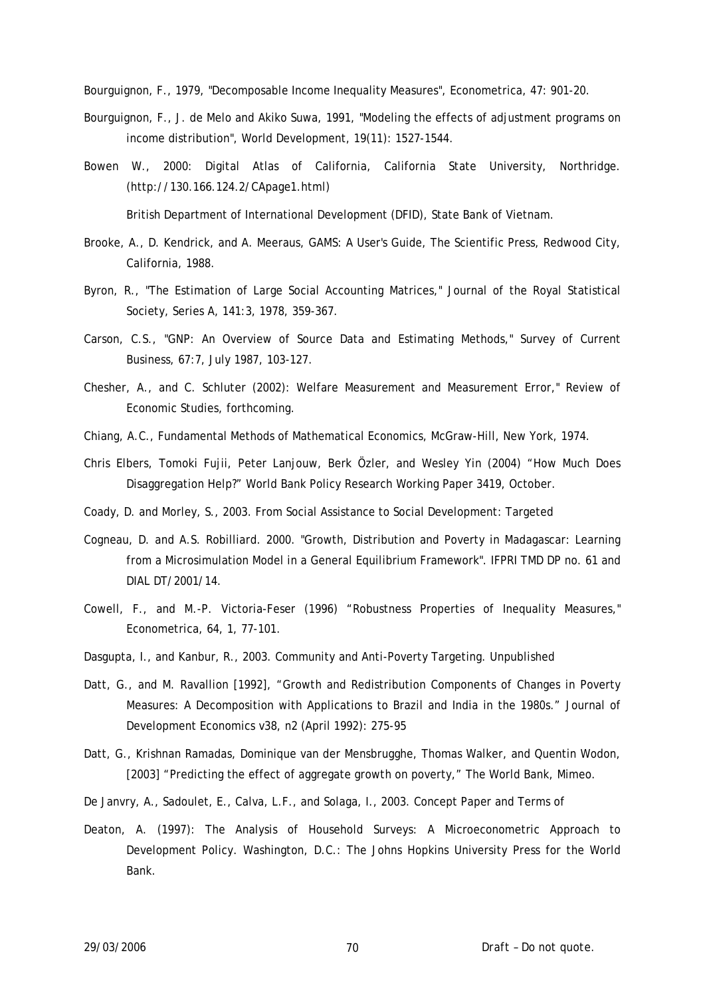Bourguignon, F., 1979, "Decomposable Income Inequality Measures", Econometrica, 47: 901-20.

- Bourguignon, F., J. de Melo and Akiko Suwa, 1991, "Modeling the effects of adjustment programs on income distribution", World Development, 19(11): 1527-1544.
- Bowen W., 2000: Digital Atlas of California, California State University, Northridge. (<http://130.166.124.2/CApage1.html>)

British Department of International Development (DFID), State Bank of Vietnam.

- Brooke, A., D. Kendrick, and A. Meeraus, GAMS: A User's Guide, The Scientific Press, Redwood City, California, 1988.
- Byron, R., "The Estimation of Large Social Accounting Matrices," Journal of the Royal Statistical Society, Series A, 141:3, 1978, 359-367.
- Carson, C.S., "GNP: An Overview of Source Data and Estimating Methods," Survey of Current Business, 67:7, July 1987, 103-127.
- Chesher, A., and C. Schluter (2002): Welfare Measurement and Measurement Error," Review of Economic Studies, forthcoming.
- Chiang, A.C., Fundamental Methods of Mathematical Economics, McGraw-Hill, New York, 1974.
- Chris Elbers, Tomoki Fujii, Peter Lanjouw, Berk Özler, and Wesley Yin (2004) "How Much Does Disaggregation Help?" World Bank Policy Research Working Paper 3419, October.
- Coady, D. and Morley, S., 2003. From Social Assistance to Social Development: Targeted
- Cogneau, D. and A.S. Robilliard. 2000. "Growth, Distribution and Poverty in Madagascar: Learning from a Microsimulation Model in a General Equilibrium Framework". IFPRI TMD DP no. 61 and DIAL DT/2001/14.
- Cowell, F., and M.-P. Victoria-Feser (1996) "Robustness Properties of Inequality Measures," Econometrica, 64, 1, 77-101.
- Dasgupta, I., and Kanbur, R., 2003. Community and Anti-Poverty Targeting. Unpublished
- Datt, G., and M. Ravallion [1992], "Growth and Redistribution Components of Changes in Poverty Measures: A Decomposition with Applications to Brazil and India in the 1980s." Journal of Development Economics v38, n2 (April 1992): 275-95
- Datt, G., Krishnan Ramadas, Dominique van der Mensbrugghe, Thomas Walker, and Quentin Wodon, [2003] "Predicting the effect of aggregate growth on poverty," The World Bank, Mimeo.
- De Janvry, A., Sadoulet, E., Calva, L.F., and Solaga, I., 2003. Concept Paper and Terms of
- Deaton, A. (1997): The Analysis of Household Surveys: A Microeconometric Approach to Development Policy. Washington, D.C.: The Johns Hopkins University Press for the World Bank.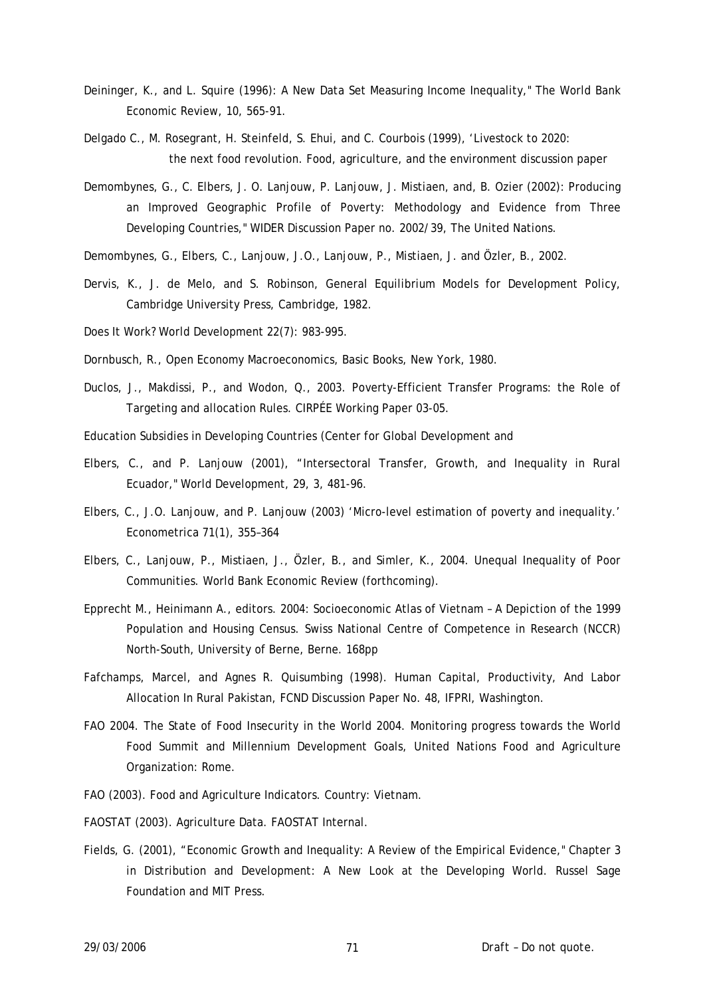- Deininger, K., and L. Squire (1996): A New Data Set Measuring Income Inequality," The World Bank Economic Review, 10, 565-91.
- Delgado C., M. Rosegrant, H. Steinfeld, S. Ehui, and C. Courbois (1999), 'Livestock to 2020: the next food revolution. Food, agriculture, and the environment discussion paper
- Demombynes, G., C. Elbers, J. O. Lanjouw, P. Lanjouw, J. Mistiaen, and, B. Ozier (2002): Producing an Improved Geographic Profile of Poverty: Methodology and Evidence from Three Developing Countries," WIDER Discussion Paper no. 2002/39, The United Nations.
- Demombynes, G., Elbers, C., Lanjouw, J.O., Lanjouw, P., Mistiaen, J. and Özler, B., 2002.
- Dervis, K., J. de Melo, and S. Robinson, General Equilibrium Models for Development Policy, Cambridge University Press, Cambridge, 1982.
- Does It Work? World Development 22(7): 983-995.
- Dornbusch, R., Open Economy Macroeconomics, Basic Books, New York, 1980.
- Duclos, J., Makdissi, P., and Wodon, Q., 2003. Poverty-Efficient Transfer Programs: the Role of Targeting and allocation Rules. CIRPÉE Working Paper 03-05.
- Education Subsidies in Developing Countries (Center for Global Development and
- Elbers, C., and P. Lanjouw (2001), "Intersectoral Transfer, Growth, and Inequality in Rural Ecuador," World Development, 29, 3, 481-96.
- Elbers, C., J.O. Lanjouw, and P. Lanjouw (2003) 'Micro-level estimation of poverty and inequality.' Econometrica 71(1), 355–364
- Elbers, C., Lanjouw, P., Mistiaen, J., Özler, B., and Simler, K., 2004. Unequal Inequality of Poor Communities. World Bank Economic Review (forthcoming).
- Epprecht M., Heinimann A., editors. 2004: Socioeconomic Atlas of Vietnam A Depiction of the 1999 Population and Housing Census. Swiss National Centre of Competence in Research (NCCR) North-South, University of Berne, Berne. 168pp
- Fafchamps, Marcel, and Agnes R. Quisumbing (1998). Human Capital, Productivity, And Labor Allocation In Rural Pakistan, FCND Discussion Paper No. 48, IFPRI, Washington.
- FAO 2004. The State of Food Insecurity in the World 2004. Monitoring progress towards the World Food Summit and Millennium Development Goals, United Nations Food and Agriculture Organization: Rome.
- FAO (2003). Food and Agriculture Indicators. Country: Vietnam.
- FAOSTAT (2003). Agriculture Data. FAOSTAT Internal.
- Fields, G. (2001), "Economic Growth and Inequality: A Review of the Empirical Evidence," Chapter 3 in Distribution and Development: A New Look at the Developing World. Russel Sage Foundation and MIT Press.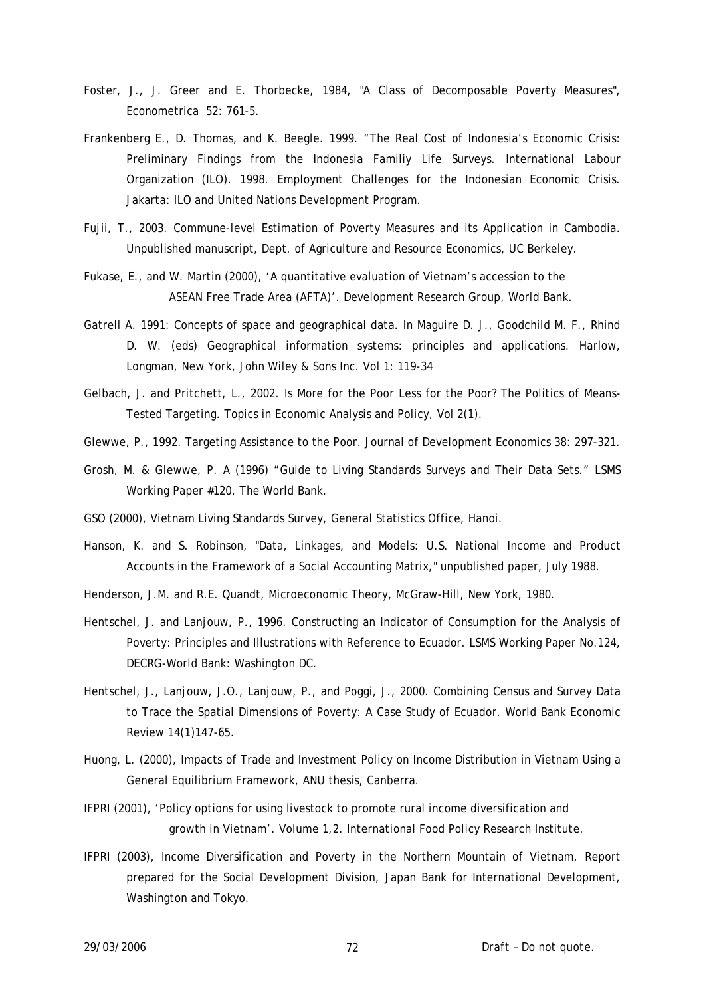- Foster, J., J. Greer and E. Thorbecke, 1984, "A Class of Decomposable Poverty Measures", Econometrica 52: 761-5.
- Frankenberg E., D. Thomas, and K. Beegle. 1999. "The Real Cost of Indonesia's Economic Crisis: Preliminary Findings from the Indonesia Familiy Life Surveys. International Labour Organization (ILO). 1998. Employment Challenges for the Indonesian Economic Crisis. Jakarta: ILO and United Nations Development Program.
- Fujii, T., 2003. Commune-level Estimation of Poverty Measures and its Application in Cambodia. Unpublished manuscript, Dept. of Agriculture and Resource Economics, UC Berkeley.
- Fukase, E., and W. Martin (2000), 'A quantitative evaluation of Vietnam's accession to the ASEAN Free Trade Area (AFTA)'. Development Research Group, World Bank.
- Gatrell A. 1991: Concepts of space and geographical data. In Maguire D. J., Goodchild M. F., Rhind D. W. (eds) Geographical information systems: principles and applications. Harlow, Longman, New York, John Wiley & Sons Inc. Vol 1: 119-34
- Gelbach, J. and Pritchett, L., 2002. Is More for the Poor Less for the Poor? The Politics of Means-Tested Targeting. Topics in Economic Analysis and Policy, Vol 2(1).
- Glewwe, P., 1992. Targeting Assistance to the Poor. Journal of Development Economics 38: 297-321.
- Grosh, M. & Glewwe, P. A (1996) "Guide to Living Standards Surveys and Their Data Sets." LSMS Working Paper #120, The World Bank.
- GSO (2000), Vietnam Living Standards Survey, General Statistics Office, Hanoi.
- Hanson, K. and S. Robinson, "Data, Linkages, and Models: U.S. National Income and Product Accounts in the Framework of a Social Accounting Matrix," unpublished paper, July 1988.
- Henderson, J.M. and R.E. Quandt, Microeconomic Theory, McGraw-Hill, New York, 1980.
- Hentschel, J. and Lanjouw, P., 1996. Constructing an Indicator of Consumption for the Analysis of Poverty: Principles and Illustrations with Reference to Ecuador. LSMS Working Paper No.124, DECRG-World Bank: Washington DC.
- Hentschel, J., Lanjouw, J.O., Lanjouw, P., and Poggi, J., 2000. Combining Census and Survey Data to Trace the Spatial Dimensions of Poverty: A Case Study of Ecuador. World Bank Economic Review 14(1)147-65.
- Huong, L. (2000), Impacts of Trade and Investment Policy on Income Distribution in Vietnam Using a General Equilibrium Framework, ANU thesis, Canberra.
- IFPRI (2001), 'Policy options for using livestock to promote rural income diversification and growth in Vietnam'. Volume 1,2. International Food Policy Research Institute.
- IFPRI (2003), Income Diversification and Poverty in the Northern Mountain of Vietnam, Report prepared for the Social Development Division, Japan Bank for International Development, Washington and Tokyo.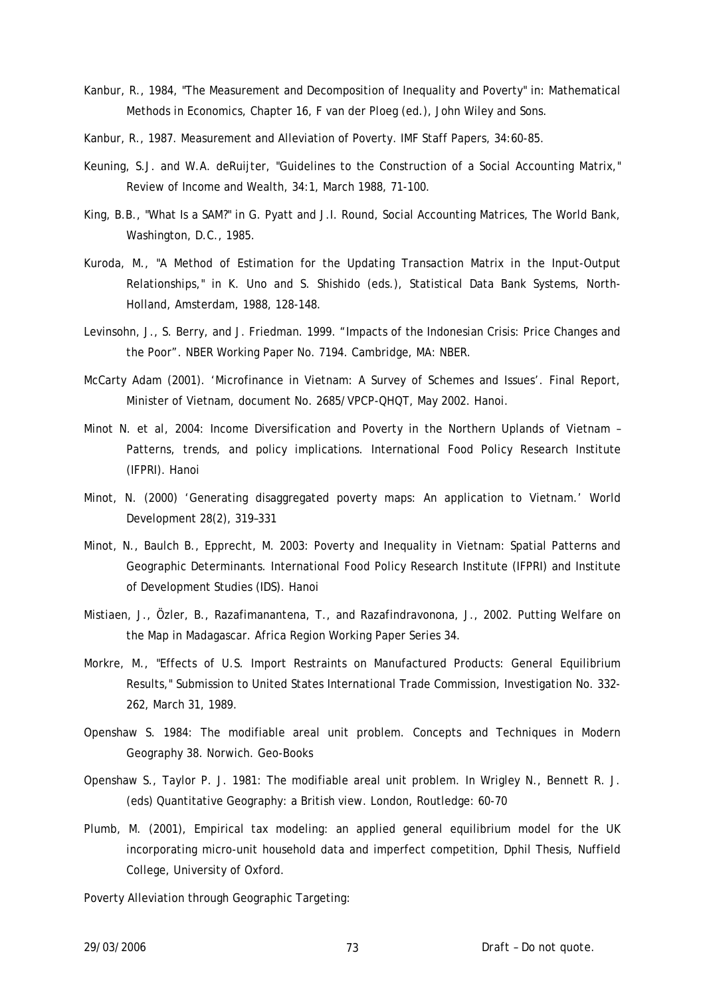- Kanbur, R., 1984, "The Measurement and Decomposition of Inequality and Poverty" in: Mathematical Methods in Economics, Chapter 16, F van der Ploeg (ed.), John Wiley and Sons.
- Kanbur, R., 1987. Measurement and Alleviation of Poverty. IMF Staff Papers, 34:60-85.
- Keuning, S.J. and W.A. deRuijter, "Guidelines to the Construction of a Social Accounting Matrix," Review of Income and Wealth, 34:1, March 1988, 71-100.
- King, B.B., "What Is a SAM?" in G. Pyatt and J.I. Round, Social Accounting Matrices, The World Bank, Washington, D.C., 1985.
- Kuroda, M., "A Method of Estimation for the Updating Transaction Matrix in the Input-Output Relationships," in K. Uno and S. Shishido (eds.), Statistical Data Bank Systems, North-Holland, Amsterdam, 1988, 128-148.
- Levinsohn, J., S. Berry, and J. Friedman. 1999. "Impacts of the Indonesian Crisis: Price Changes and the Poor". NBER Working Paper No. 7194. Cambridge, MA: NBER.
- McCarty Adam (2001). 'Microfinance in Vietnam: A Survey of Schemes and Issues'. Final Report, Minister of Vietnam, document No. 2685/VPCP-QHQT, May 2002. Hanoi.
- Minot N. *et al*, 2004: Income Diversification and Poverty in the Northern Uplands of Vietnam Patterns, trends, and policy implications. International Food Policy Research Institute (IFPRI). Hanoi
- Minot, N. (2000) 'Generating disaggregated poverty maps: An application to Vietnam.' World Development 28(2), 319–331
- Minot, N., Baulch B., Epprecht, M. 2003: Poverty and Inequality in Vietnam: Spatial Patterns and Geographic Determinants. International Food Policy Research Institute (IFPRI) and Institute of Development Studies (IDS). Hanoi
- Mistiaen, J., Özler, B., Razafimanantena, T., and Razafindravonona, J., 2002. Putting Welfare on the Map in Madagascar. Africa Region Working Paper Series 34.
- Morkre, M., "Effects of U.S. Import Restraints on Manufactured Products: General Equilibrium Results," Submission to United States International Trade Commission, Investigation No. 332- 262, March 31, 1989.
- Openshaw S. 1984: The modifiable areal unit problem. Concepts and Techniques in Modern Geography 38. Norwich. Geo-Books
- Openshaw S., Taylor P. J. 1981: The modifiable areal unit problem. In Wrigley N., Bennett R. J. (eds) Quantitative Geography: a British view. London, Routledge: 60-70
- Plumb, M. (2001), Empirical tax modeling: an applied general equilibrium model for the UK incorporating micro-unit household data and imperfect competition, Dphil Thesis, Nuffield College, University of Oxford.
- Poverty Alleviation through Geographic Targeting: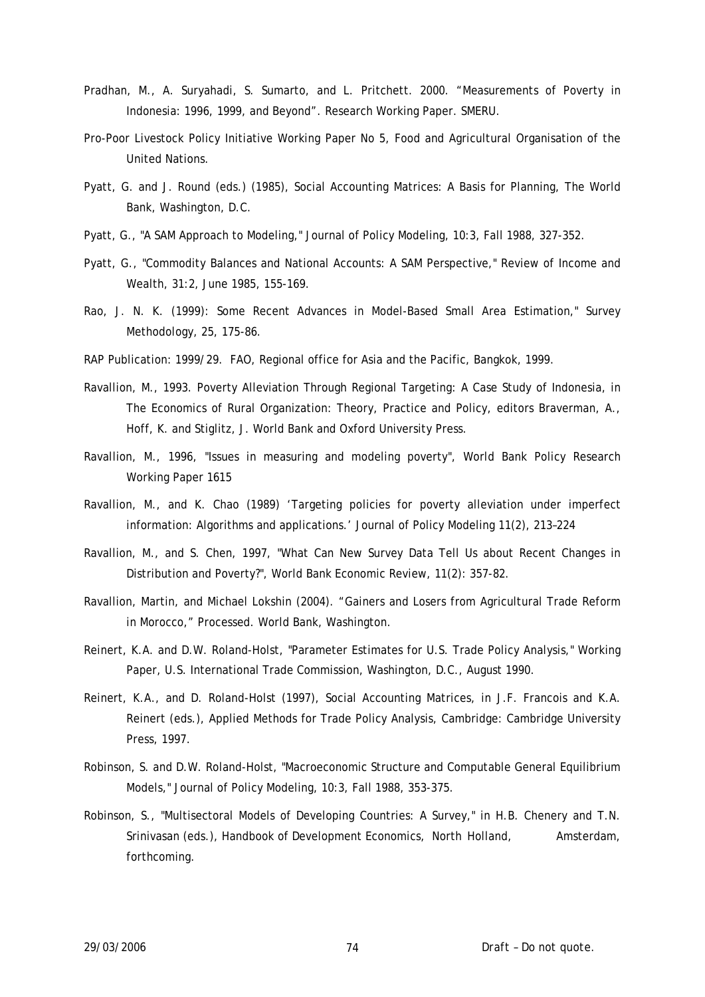- Pradhan, M., A. Suryahadi, S. Sumarto, and L. Pritchett. 2000. "Measurements of Poverty in Indonesia: 1996, 1999, and Beyond". Research Working Paper. SMERU.
- Pro-Poor Livestock Policy Initiative Working Paper No 5, Food and Agricultural Organisation of the United Nations.
- Pyatt, G. and J. Round (eds.) (1985), Social Accounting Matrices: A Basis for Planning, The World Bank, Washington, D.C.
- Pyatt, G., "A SAM Approach to Modeling," Journal of Policy Modeling, 10:3, Fall 1988, 327-352.
- Pyatt, G., "Commodity Balances and National Accounts: A SAM Perspective," Review of Income and Wealth, 31:2, June 1985, 155-169.
- Rao, J. N. K. (1999): Some Recent Advances in Model-Based Small Area Estimation," Survey Methodology, 25, 175-86.
- RAP Publication: 1999/29. FAO, Regional office for Asia and the Pacific, Bangkok, 1999.
- Ravallion, M., 1993. Poverty Alleviation Through Regional Targeting: A Case Study of Indonesia, in The Economics of Rural Organization: Theory, Practice and Policy, editors Braverman, A., Hoff, K. and Stiglitz, J. World Bank and Oxford University Press.
- Ravallion, M., 1996, "Issues in measuring and modeling poverty", World Bank Policy Research Working Paper 1615
- Ravallion, M., and K. Chao (1989) 'Targeting policies for poverty alleviation under imperfect information: Algorithms and applications.' Journal of Policy Modeling 11(2), 213–224
- Ravallion, M., and S. Chen, 1997, "What Can New Survey Data Tell Us about Recent Changes in Distribution and Poverty?", World Bank Economic Review, 11(2): 357-82.
- Ravallion, Martin, and Michael Lokshin (2004). "Gainers and Losers from Agricultural Trade Reform in Morocco," Processed. World Bank, Washington.
- Reinert, K.A. and D.W. Roland-Holst, "Parameter Estimates for U.S. Trade Policy Analysis," Working Paper, U.S. International Trade Commission, Washington, D.C., August 1990.
- Reinert, K.A., and D. Roland-Holst (1997), Social Accounting Matrices, in J.F. Francois and K.A. Reinert (eds.), Applied Methods for Trade Policy Analysis, Cambridge: Cambridge University Press, 1997.
- Robinson, S. and D.W. Roland-Holst, "Macroeconomic Structure and Computable General Equilibrium Models," Journal of Policy Modeling, 10:3, Fall 1988, 353-375.
- Robinson, S., "Multisectoral Models of Developing Countries: A Survey," in H.B. Chenery and T.N. Srinivasan (eds.), Handbook of Development Economics, North Holland, Amsterdam, forthcoming.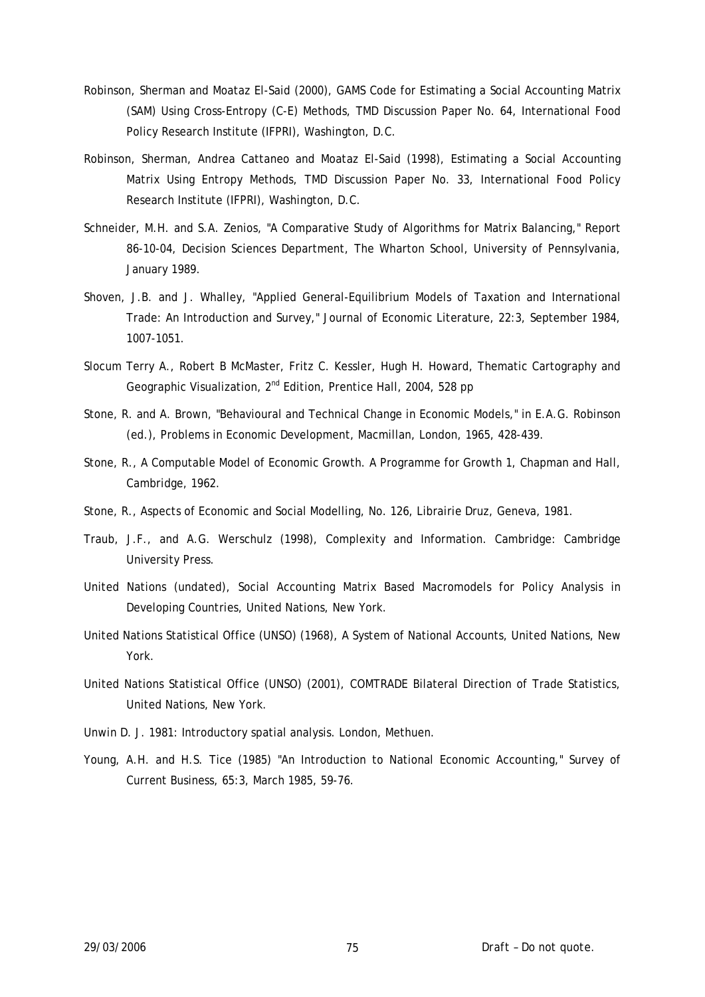- Robinson, Sherman and Moataz El-Said (2000), GAMS Code for Estimating a Social Accounting Matrix (SAM) Using Cross-Entropy (C-E) Methods, TMD Discussion Paper No. 64, International Food Policy Research Institute (IFPRI), Washington, D.C.
- Robinson, Sherman, Andrea Cattaneo and Moataz El-Said (1998), Estimating a Social Accounting Matrix Using Entropy Methods, TMD Discussion Paper No. 33, International Food Policy Research Institute (IFPRI), Washington, D.C.
- Schneider, M.H. and S.A. Zenios, "A Comparative Study of Algorithms for Matrix Balancing," Report 86-10-04, Decision Sciences Department, The Wharton School, University of Pennsylvania, January 1989.
- Shoven, J.B. and J. Whalley, "Applied General-Equilibrium Models of Taxation and International Trade: An Introduction and Survey," Journal of Economic Literature, 22:3, September 1984, 1007-1051.
- Slocum Terry A., Robert B McMaster, Fritz C. Kessler, Hugh H. Howard, Thematic Cartography and Geographic Visualization, 2nd Edition, Prentice Hall, 2004, 528 pp
- Stone, R. and A. Brown, "Behavioural and Technical Change in Economic Models," in E.A.G. Robinson (ed.), Problems in Economic Development, Macmillan, London, 1965, 428-439.
- Stone, R., A Computable Model of Economic Growth. A Programme for Growth 1, Chapman and Hall, Cambridge, 1962.
- Stone, R., Aspects of Economic and Social Modelling, No. 126, Librairie Druz, Geneva, 1981.
- Traub, J.F., and A.G. Werschulz (1998), Complexity and Information. Cambridge: Cambridge University Press.
- United Nations (undated), Social Accounting Matrix Based Macromodels for Policy Analysis in Developing Countries, United Nations, New York.
- United Nations Statistical Office (UNSO) (1968), A System of National Accounts, United Nations, New York.
- United Nations Statistical Office (UNSO) (2001), COMTRADE Bilateral Direction of Trade Statistics, United Nations, New York.
- Unwin D. J. 1981: Introductory spatial analysis. London, Methuen.
- Young, A.H. and H.S. Tice (1985) "An Introduction to National Economic Accounting," Survey of Current Business, 65:3, March 1985, 59-76.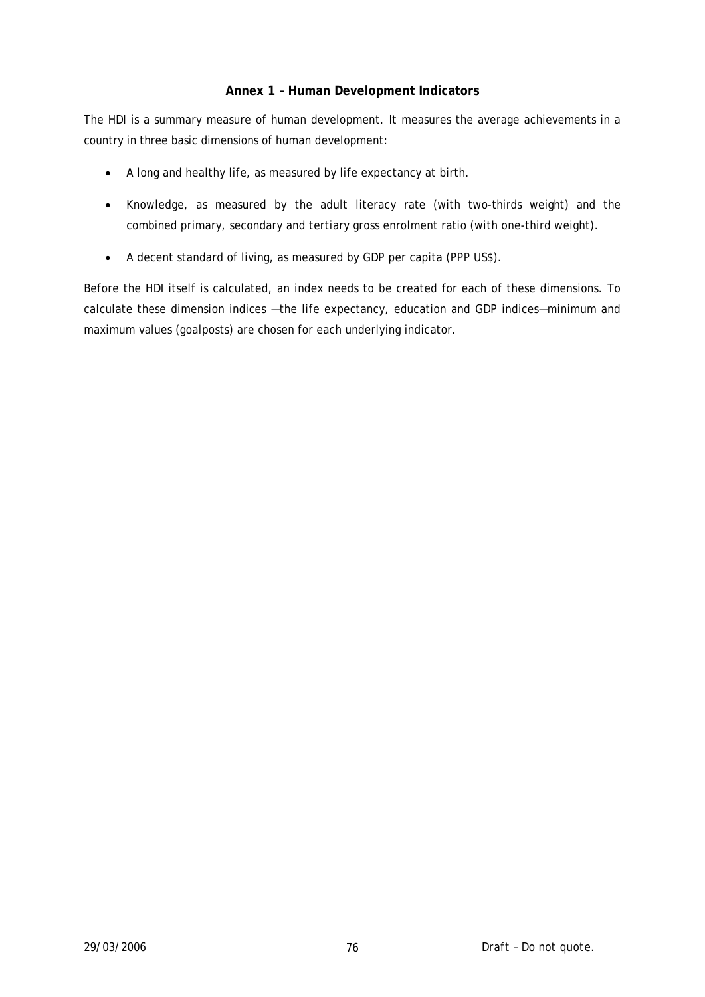# **Annex 1 – Human Development Indicators**

The HDI is a summary measure of human development. It measures the average achievements in a country in three basic dimensions of human development:

- A long and healthy life, as measured by life expectancy at birth.
- Knowledge, as measured by the adult literacy rate (with two-thirds weight) and the combined primary, secondary and tertiary gross enrolment ratio (with one-third weight).
- A decent standard of living, as measured by GDP per capita (PPP US\$).

Before the HDI itself is calculated, an index needs to be created for each of these dimensions. To calculate these dimension indices —the life expectancy, education and GDP indices—minimum and maximum values (goalposts) are chosen for each underlying indicator.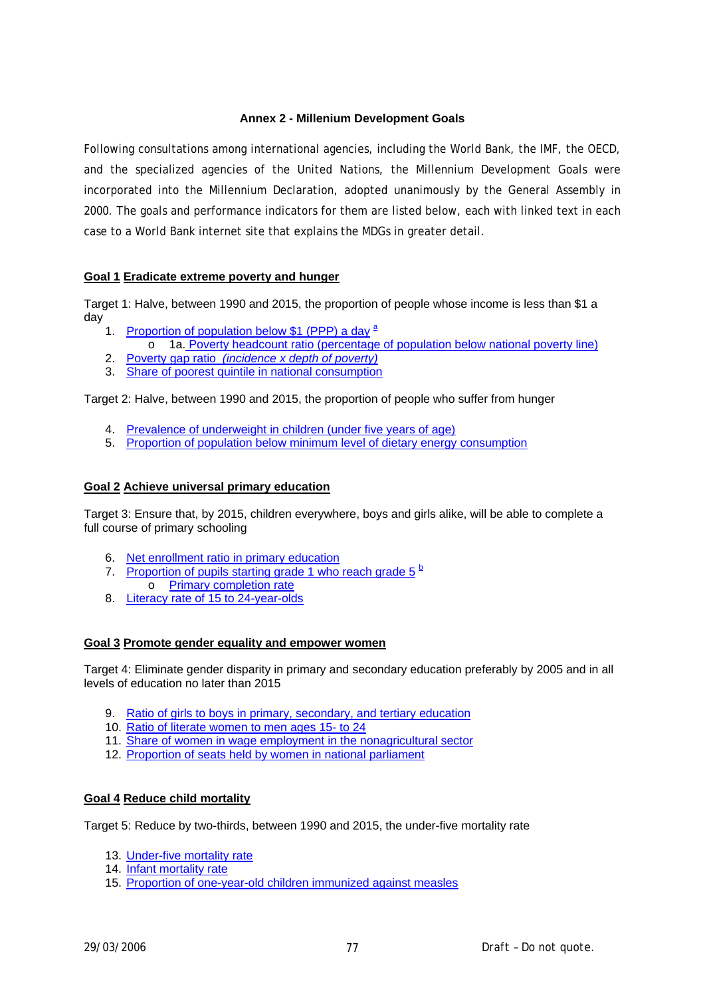### **Annex 2 - Millenium Development Goals**

Following consultations among international agencies, including the World Bank, the IMF, the OECD, and the specialized agencies of the United Nations, the Millennium Development Goals were incorporated into the Millennium Declaration, adopted unanimously by the General Assembly in 2000. The goals and performance indicators for them are listed below, each with linked text in each case to a World Bank internet site that explains the MDGs in greater detail.

## **Goal 1 Eradicate extreme poverty and hunger**

Target 1: Halve, between 1990 and 2015, the proportion of people whose income is less than \$1 a day

- 1. [Proportion of population below \\$1 \(PPP\) a day](http://www.developmentgoals.org/mdgun/1a.htm) <sup>[a](http://www.developmentgoals.org/mdgun/19.htm)</sup>
	- o 1a. [Poverty headcount ratio \(percentage of population below national poverty line\)](http://www.developmentgoals.org/mdgun/1b.htm)
- 2. Poverty gap ratio *[\(incidence x depth of poverty\)](http://www.developmentgoals.org/mdgun/2.htm)*
- 3. [Share of poorest quintile in national consumption](http://www.developmentgoals.org/mdgun/3.htm)

Target 2: Halve, between 1990 and 2015, the proportion of people who suffer from hunger

- 4. [Prevalence of underweight in children \(under five years of age\)](http://www.developmentgoals.org/mdgun/4.htm)
- 5. [Proportion of population below minimum level of dietary energy consumption](http://www.developmentgoals.org/mdgun/5.htm)

## **Goal 2 Achieve universal primary education**

Target 3: Ensure that, by 2015, children everywhere, boys and girls alike, will be able to complete a full course of primary schooling

- 6. [Net enrollment ratio in primary education](http://www.developmentgoals.org/mdgun/6.htm)
- 7. Proportion of pupils starting grade 1 who reach grade  $5^{\frac{b}{2}}$  $5^{\frac{b}{2}}$  $5^{\frac{b}{2}}$ o [Primary completion rate](http://www.developmentgoals.org/mdgun/7b.htm)
- 8. [Literacy rate of 15 to 24-year-olds](http://www.developmentgoals.org/mdgun/8.htm)

### **Goal 3 Promote gender equality and empower women**

Target 4: Eliminate gender disparity in primary and secondary education preferably by 2005 and in all levels of education no later than 2015

- 9. [Ratio of girls to boys in primary, secondary, and tertiary education](http://www.developmentgoals.org/mdgun/9.htm)
- 10. [Ratio of literate women to men ages 15- to 24](http://www.developmentgoals.org/mdgun/10.htm)
- 11. [Share of women in wage employment in the nonagricultural sector](http://www.developmentgoals.org/mdgun/11.htm)
- 12. [Proportion of seats held by women in national parliament](http://www.developmentgoals.org/mdgun/12.htm)

### **Goal 4 Reduce child mortality**

Target 5: Reduce by two-thirds, between 1990 and 2015, the under-five mortality rate

- 13. [Under-five mortality rate](http://www.developmentgoals.org/mdgun/13.htm)
- 14. [Infant mortality rate](http://www.developmentgoals.org/mdgun/14.htm)
- 15. [Proportion of one-year-old children immunized against measles](http://www.developmentgoals.org/mdgun/15.htm)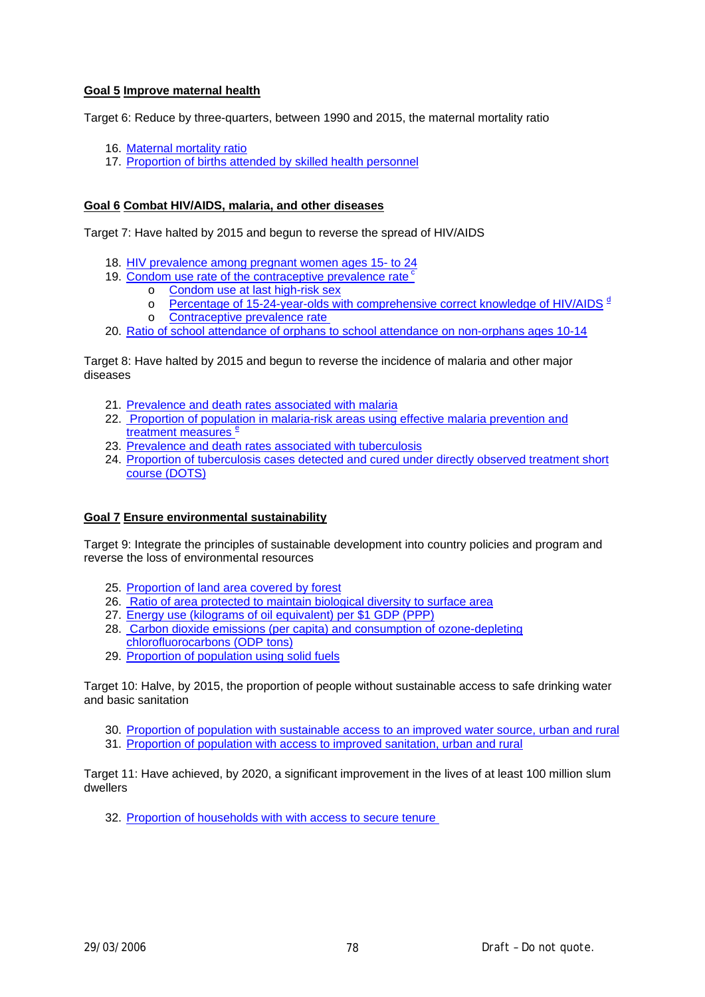### **Goal 5 Improve maternal health**

Target 6: Reduce by three-quarters, between 1990 and 2015, the maternal mortality ratio

- 16. [Maternal mortality ratio](http://www.developmentgoals.org/mdgun/16.htm)
- 17. [Proportion of births attended by skilled health personnel](http://www.developmentgoals.org/mdgun/17.htm)

#### **Goal 6 Combat HIV/AIDS, malaria, and other diseases**

Target 7: Have halted by 2015 and begun to reverse the spread of HIV/AIDS

- 18. [HIV prevalence among pregnant women ages 15- to 24](http://www.developmentgoals.org/mdgun/18.htm)
- 19. Condom use rate of the contraceptive prevalence rate<sup>c</sup>
	- o [Condom use at last high-risk sex](http://www.developmentgoals.org/mdgun/19a.htm)
	- o [Percentage of 15-24-year-olds with comprehensive correct knowledge of HIV/AIDS](http://www.developmentgoals.org/mdgun/19b.htm)<sup>[d](http://www.developmentgoals.org/mdgun/19.htm)</sup>
	- o [Contraceptive prevalence rate](http://www.developmentgoals.org/mdgun/19.htm)
- 20. [Ratio of school attendance of orphans to school attendance on non-orphans ages 10-14](http://www.developmentgoals.org/mdgun/20.htm)

Target 8: Have halted by 2015 and begun to reverse the incidence of malaria and other major diseases

- 21. [Prevalence and death rates associated with malaria](http://www.developmentgoals.org/mdgun/21.htm)
- 22. [Proportion of population in malaria-risk areas using effective malaria prevention and](http://www.developmentgoals.org/mdgun/22.htm)  [treatment measures](http://www.developmentgoals.org/mdgun/22.htm)<sup>[e](http://www.developmentgoals.org/mdgun/19.htm)</sup>
- 23. [Prevalence and death rates associated with tuberculosis](http://www.developmentgoals.org/mdgun/23.htm)
- 24. [Proportion of tuberculosis cases detected and cured under directly observed treatment short](http://www.developmentgoals.org/mdgun/24.htm)  [course \(DOTS\)](http://www.developmentgoals.org/mdgun/24.htm)

### **Goal 7 Ensure environmental sustainability**

Target 9: Integrate the principles of sustainable development into country policies and program and reverse the loss of environmental resources

- 25. [Proportion of land area covered by forest](http://www.developmentgoals.org/mdgun/25.htm)
- 26. [Ratio of area protected to maintain biological diversity to surface area](http://www.developmentgoals.org/mdgun/26.htm)
- 27. [Energy use \(kilograms of oil equivalent\) per \\$1 GDP \(PPP\)](http://www.developmentgoals.org/mdgun/27.htm)
- 28. [Carbon dioxide emissions \(per capita\) and consumption of ozone-depleting](http://www.developmentgoals.org/mdgun/28.htm)  [chlorofluorocarbons \(ODP tons\)](http://www.developmentgoals.org/mdgun/28.htm)
- 29. [Proportion of population using solid fuels](http://www.developmentgoals.org/mdgun/29.htm)

Target 10: Halve, by 2015, the proportion of people without sustainable access to safe drinking water and basic sanitation

- 30. [Proportion of population with sustainable access to an improved water source, urban and rural](http://www.developmentgoals.org/mdgun/30.htm)
- 31. [Proportion of population with access to improved sanitation, urban and rural](http://www.developmentgoals.org/mdgun/31.htm)

Target 11: Have achieved, by 2020, a significant improvement in the lives of at least 100 million slum dwellers

32. [Proportion of households with with access to secure tenure](http://www.developmentgoals.org/mdgun/32.htm)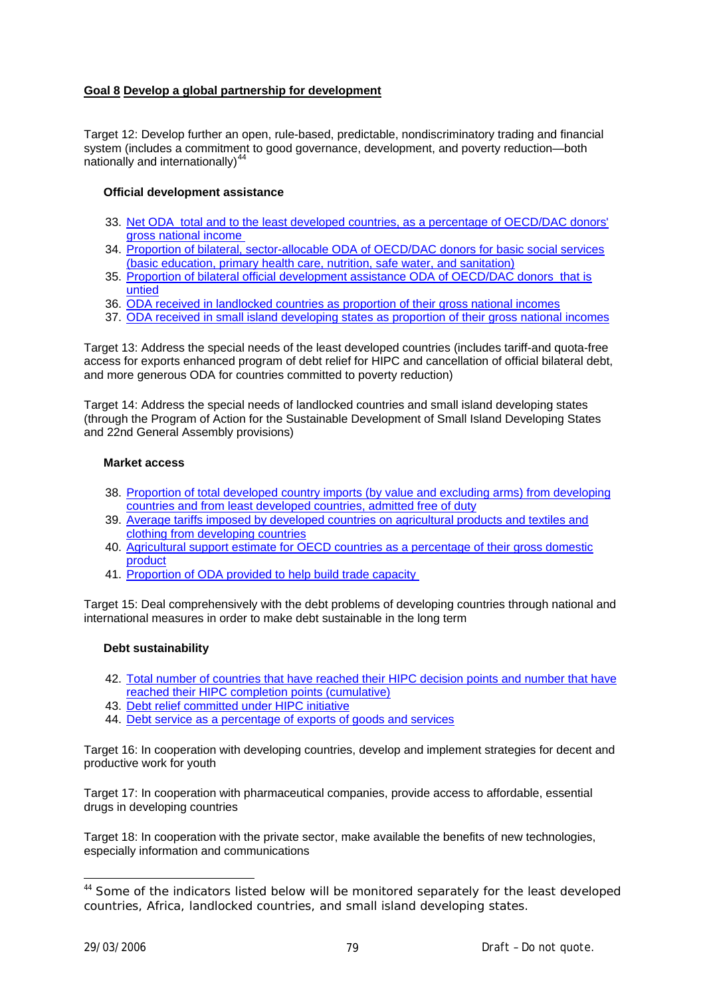## **Goal 8 Develop a global partnership for development**

Target 12: Develop further an open, rule-based, predictable, nondiscriminatory trading and financial system (includes a commitment to good governance, development, and poverty reduction—both nationally and internationally) $4$ 

#### **Official development assistance**

- 33. [Net ODA total and to the least developed countries, as a percentage of OECD/DAC donors'](http://www.developmentgoals.org/mdgun/33.htm)  [gross national income](http://www.developmentgoals.org/mdgun/33.htm)
- 34. [Proportion of bilateral, sector-allocable ODA of OECD/DAC donors for basic social services](http://www.developmentgoals.org/mdgun/34.htm)  [\(basic education, primary health care, nutrition, safe water, and sanitation\)](http://www.developmentgoals.org/mdgun/34.htm)
- 35. [Proportion of bilateral official development assistance ODA of OECD/DAC donors that is](http://www.developmentgoals.org/mdgun/35.htm)  [untied](http://www.developmentgoals.org/mdgun/35.htm)
- 36. [ODA received in landlocked countries as proportion of their gross national incomes](http://www.developmentgoals.org/mdgun/36.htm)
- 37. [ODA received in small island developing states as proportion of their gross national incomes](http://www.developmentgoals.org/mdgun/37.htm)

Target 13: Address the special needs of the least developed countries (includes tariff-and quota-free access for exports enhanced program of debt relief for HIPC and cancellation of official bilateral debt, and more generous ODA for countries committed to poverty reduction)

Target 14: Address the special needs of landlocked countries and small island developing states (through the Program of Action for the Sustainable Development of Small Island Developing States and 22nd General Assembly provisions)

#### **Market access**

- 38. [Proportion of total developed country imports \(by value and excluding arms\) from developing](http://www.developmentgoals.org/mdgun/38.htm)  [countries and from least developed countries, admitted free of duty](http://www.developmentgoals.org/mdgun/38.htm)
- 39. [Average tariffs imposed by developed countries on agricultural products and textiles and](http://www.developmentgoals.org/mdgun/39.htm)  [clothing from developing countries](http://www.developmentgoals.org/mdgun/39.htm)
- 40. [Agricultural support estimate for OECD countries as a percentage of their gross domestic](http://www.developmentgoals.org/mdgun/40.htm)  [product](http://www.developmentgoals.org/mdgun/40.htm)
- 41. [Proportion of ODA provided to help build trade capacity](http://www.developmentgoals.org/mdgun/41.htm)

Target 15: Deal comprehensively with the debt problems of developing countries through national and international measures in order to make debt sustainable in the long term

### **Debt sustainability**

- 42. [Total number of countries that have reached their HIPC decision points and number that have](http://www.developmentgoals.org/mdgun/42.htm)  [reached their HIPC completion points \(cumulative\)](http://www.developmentgoals.org/mdgun/42.htm)
- 43. [Debt relief committed under HIPC initiative](http://www.developmentgoals.org/mdgun/43.htm)
- 44. [Debt service as a percentage of exports of goods and services](http://www.developmentgoals.org/mdgun/44.htm)

Target 16: In cooperation with developing countries, develop and implement strategies for decent and productive work for youth

Target 17: In cooperation with pharmaceutical companies, provide access to affordable, essential drugs in developing countries

Target 18: In cooperation with the private sector, make available the benefits of new technologies, especially information and communications

1

<span id="page-78-0"></span><sup>&</sup>lt;sup>44</sup> Some of the indicators listed below will be monitored separately for the least developed countries, Africa, landlocked countries, and small island developing states.